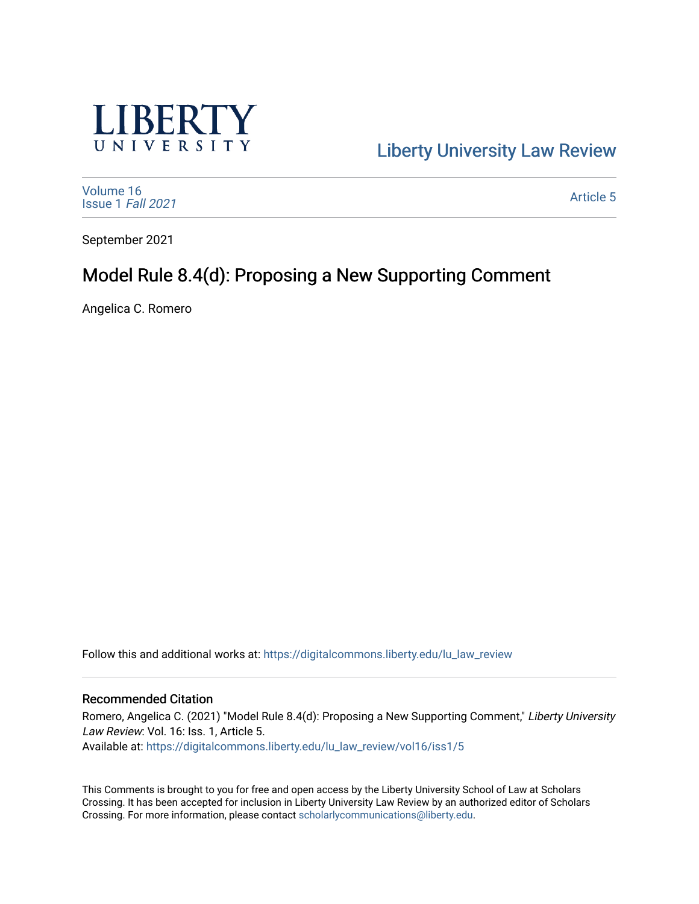

[Liberty University Law Review](https://digitalcommons.liberty.edu/lu_law_review) 

[Volume 16](https://digitalcommons.liberty.edu/lu_law_review/vol16) [Issue 1](https://digitalcommons.liberty.edu/lu_law_review/vol16/iss1) Fall 2021

[Article 5](https://digitalcommons.liberty.edu/lu_law_review/vol16/iss1/5) 

September 2021

# Model Rule 8.4(d): Proposing a New Supporting Comment

Angelica C. Romero

Follow this and additional works at: [https://digitalcommons.liberty.edu/lu\\_law\\_review](https://digitalcommons.liberty.edu/lu_law_review?utm_source=digitalcommons.liberty.edu%2Flu_law_review%2Fvol16%2Fiss1%2F5&utm_medium=PDF&utm_campaign=PDFCoverPages) 

## Recommended Citation

Romero, Angelica C. (2021) "Model Rule 8.4(d): Proposing a New Supporting Comment," Liberty University Law Review: Vol. 16: Iss. 1, Article 5. Available at: [https://digitalcommons.liberty.edu/lu\\_law\\_review/vol16/iss1/5](https://digitalcommons.liberty.edu/lu_law_review/vol16/iss1/5?utm_source=digitalcommons.liberty.edu%2Flu_law_review%2Fvol16%2Fiss1%2F5&utm_medium=PDF&utm_campaign=PDFCoverPages) 

This Comments is brought to you for free and open access by the Liberty University School of Law at Scholars Crossing. It has been accepted for inclusion in Liberty University Law Review by an authorized editor of Scholars Crossing. For more information, please contact [scholarlycommunications@liberty.edu](mailto:scholarlycommunications@liberty.edu).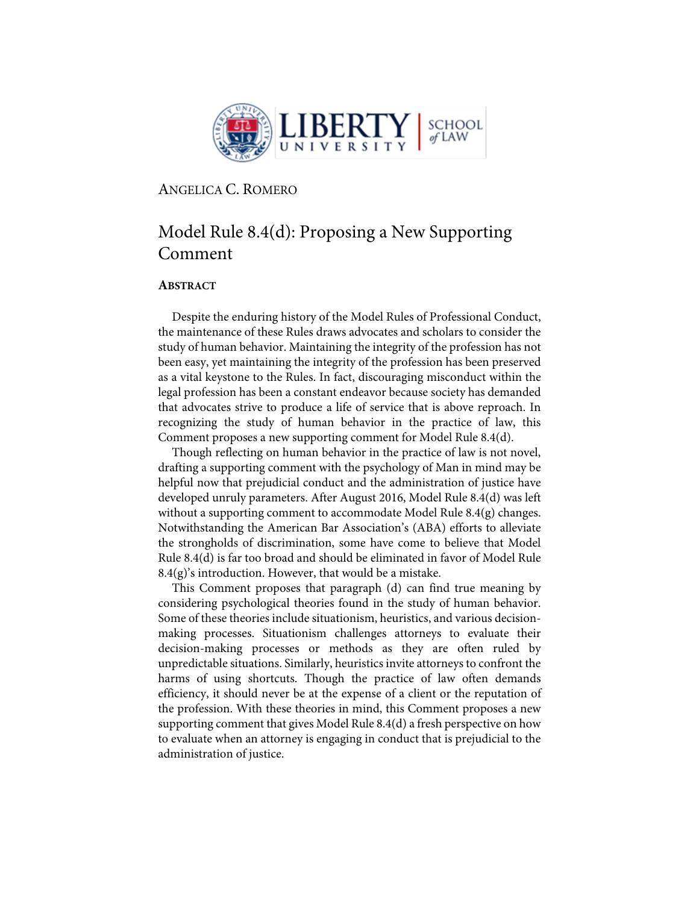

ANGELICA C. ROMERO

# Model Rule 8.4(d): Proposing a New Supporting Comment

# **ABSTRACT**

Despite the enduring history of the Model Rules of Professional Conduct, the maintenance of these Rules draws advocates and scholars to consider the study of human behavior. Maintaining the integrity of the profession has not been easy, yet maintaining the integrity of the profession has been preserved as a vital keystone to the Rules. In fact, discouraging misconduct within the legal profession has been a constant endeavor because society has demanded that advocates strive to produce a life of service that is above reproach. In recognizing the study of human behavior in the practice of law, this Comment proposes a new supporting comment for Model Rule 8.4(d).

Though reflecting on human behavior in the practice of law is not novel, drafting a supporting comment with the psychology of Man in mind may be helpful now that prejudicial conduct and the administration of justice have developed unruly parameters. After August 2016, Model Rule 8.4(d) was left without a supporting comment to accommodate Model Rule 8.4(g) changes. Notwithstanding the American Bar Association's (ABA) efforts to alleviate the strongholds of discrimination, some have come to believe that Model Rule 8.4(d) is far too broad and should be eliminated in favor of Model Rule  $8.4(g)$ 's introduction. However, that would be a mistake.

This Comment proposes that paragraph (d) can find true meaning by considering psychological theories found in the study of human behavior. Some of these theories include situationism, heuristics, and various decisionmaking processes. Situationism challenges attorneys to evaluate their decision-making processes or methods as they are often ruled by unpredictable situations. Similarly, heuristics invite attorneys to confront the harms of using shortcuts. Though the practice of law often demands efficiency, it should never be at the expense of a client or the reputation of the profession. With these theories in mind, this Comment proposes a new supporting comment that gives Model Rule 8.4(d) a fresh perspective on how to evaluate when an attorney is engaging in conduct that is prejudicial to the administration of justice.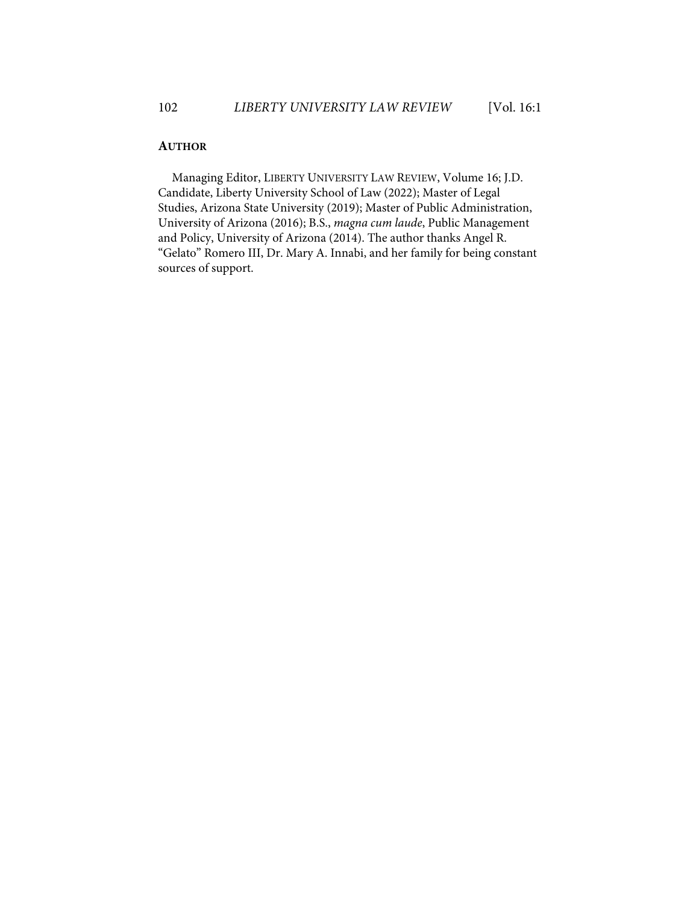# **AUTHOR**

Managing Editor, LIBERTY UNIVERSITY LAW REVIEW, Volume 16; J.D. Candidate, Liberty University School of Law (2022); Master of Legal Studies, Arizona State University (2019); Master of Public Administration, University of Arizona (2016); B.S., *magna cum laude*, Public Management and Policy, University of Arizona (2014). The author thanks Angel R. "Gelato" Romero III, Dr. Mary A. Innabi, and her family for being constant sources of support.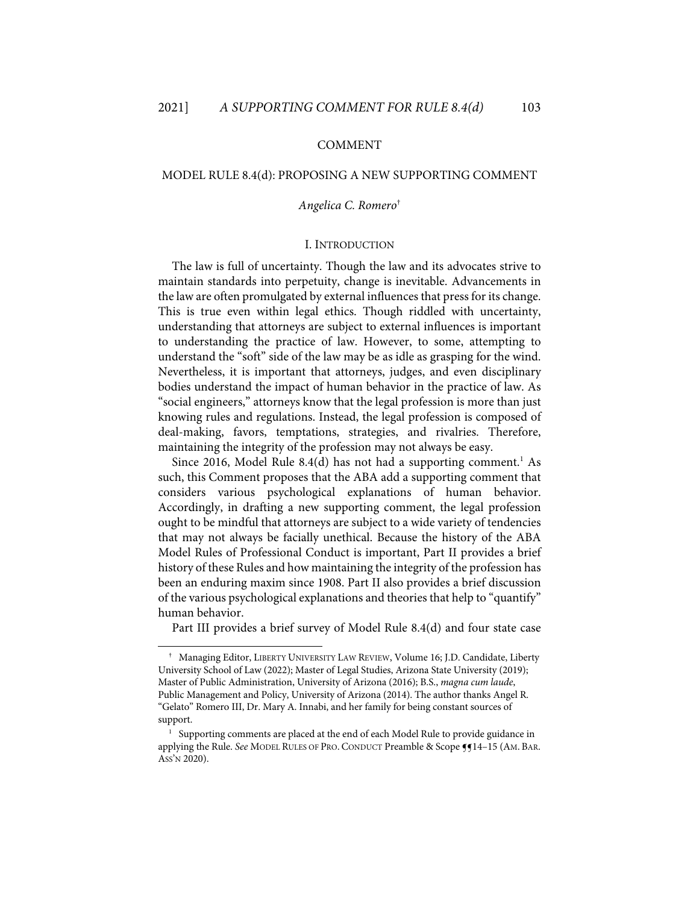#### COMMENT

## MODEL RULE 8.4(d): PROPOSING A NEW SUPPORTING COMMENT

#### *Angelica C. Romero*†

## I. INTRODUCTION

The law is full of uncertainty. Though the law and its advocates strive to maintain standards into perpetuity, change is inevitable. Advancements in the law are often promulgated by external influences that press for its change. This is true even within legal ethics. Though riddled with uncertainty, understanding that attorneys are subject to external influences is important to understanding the practice of law. However, to some, attempting to understand the "soft" side of the law may be as idle as grasping for the wind. Nevertheless, it is important that attorneys, judges, and even disciplinary bodies understand the impact of human behavior in the practice of law. As "social engineers," attorneys know that the legal profession is more than just knowing rules and regulations. Instead, the legal profession is composed of deal-making, favors, temptations, strategies, and rivalries. Therefore, maintaining the integrity of the profession may not always be easy.

Since 2016, Model Rule 8.4(d) has not had a supporting comment.<sup>1</sup> As such, this Comment proposes that the ABA add a supporting comment that considers various psychological explanations of human behavior. Accordingly, in drafting a new supporting comment, the legal profession ought to be mindful that attorneys are subject to a wide variety of tendencies that may not always be facially unethical. Because the history of the ABA Model Rules of Professional Conduct is important, Part II provides a brief history of these Rules and how maintaining the integrity of the profession has been an enduring maxim since 1908. Part II also provides a brief discussion of the various psychological explanations and theories that help to "quantify" human behavior.

Part III provides a brief survey of Model Rule 8.4(d) and four state case

<sup>†</sup> Managing Editor, LIBERTY UNIVERSITY LAW REVIEW, Volume 16; J.D. Candidate, Liberty University School of Law (2022); Master of Legal Studies, Arizona State University (2019); Master of Public Administration, University of Arizona (2016); B.S., *magna cum laude*, Public Management and Policy, University of Arizona (2014). The author thanks Angel R. "Gelato" Romero III, Dr. Mary A. Innabi, and her family for being constant sources of support.

<sup>&</sup>lt;sup>1</sup> Supporting comments are placed at the end of each Model Rule to provide guidance in applying the Rule. See MODEL RULES OF PRO. CONDUCT Preamble & Scope **[5**14-15 (AM. BAR. ASS'N 2020).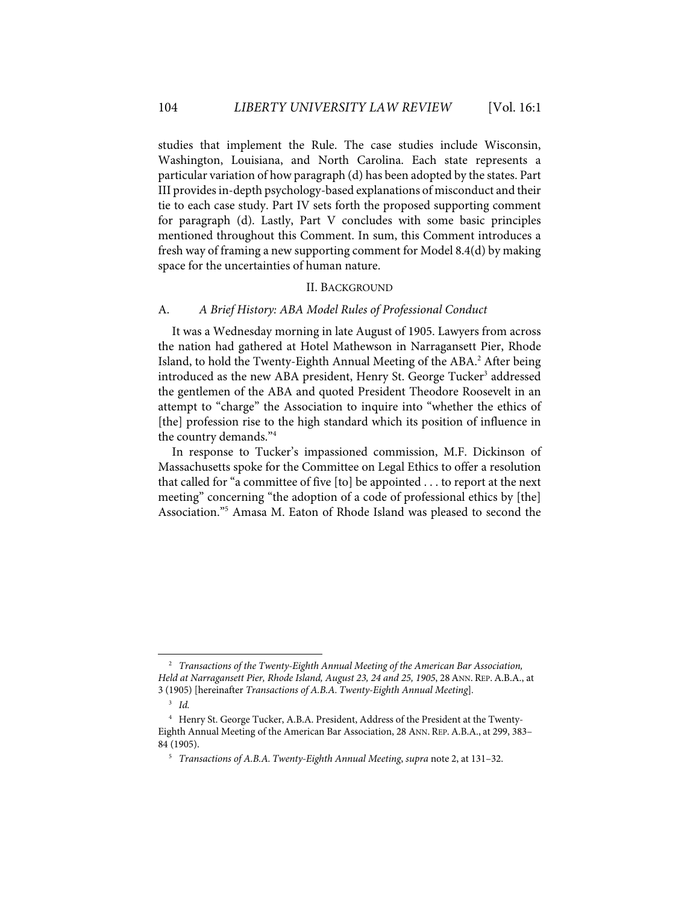studies that implement the Rule. The case studies include Wisconsin, Washington, Louisiana, and North Carolina. Each state represents a particular variation of how paragraph (d) has been adopted by the states. Part III provides in-depth psychology-based explanations of misconduct and their tie to each case study. Part IV sets forth the proposed supporting comment for paragraph (d). Lastly, Part V concludes with some basic principles mentioned throughout this Comment. In sum, this Comment introduces a fresh way of framing a new supporting comment for Model 8.4(d) by making space for the uncertainties of human nature.

#### II. BACKGROUND

### A. *A Brief History: ABA Model Rules of Professional Conduct*

It was a Wednesday morning in late August of 1905. Lawyers from across the nation had gathered at Hotel Mathewson in Narragansett Pier, Rhode Island, to hold the Twenty-Eighth Annual Meeting of the ABA. <sup>2</sup> After being introduced as the new ABA president, Henry St. George Tucker<sup>3</sup> addressed the gentlemen of the ABA and quoted President Theodore Roosevelt in an attempt to "charge" the Association to inquire into "whether the ethics of [the] profession rise to the high standard which its position of influence in the country demands."4

In response to Tucker's impassioned commission, M.F. Dickinson of Massachusetts spoke for the Committee on Legal Ethics to offer a resolution that called for "a committee of five [to] be appointed . . . to report at the next meeting" concerning "the adoption of a code of professional ethics by [the] Association."5 Amasa M. Eaton of Rhode Island was pleased to second the

<sup>2</sup> *Transactions of the Twenty-Eighth Annual Meeting of the American Bar Association, Held at Narragansett Pier, Rhode Island, August 23, 24 and 25, 1905*, 28ANN. REP.A.B.A., at 3 (1905) [hereinafter *Transactions of A.B.A. Twenty-Eighth Annual Meeting*]*.*

<sup>3</sup> *Id.*

<sup>4</sup> Henry St. George Tucker, A.B.A. President, Address of the President at the Twenty-Eighth Annual Meeting of the American Bar Association, 28 ANN. REP.A.B.A., at 299, 383– 84 (1905).

<sup>5</sup> *Transactions of A.B.A. Twenty-Eighth Annual Meeting*, *supra* note 2, at 131–32.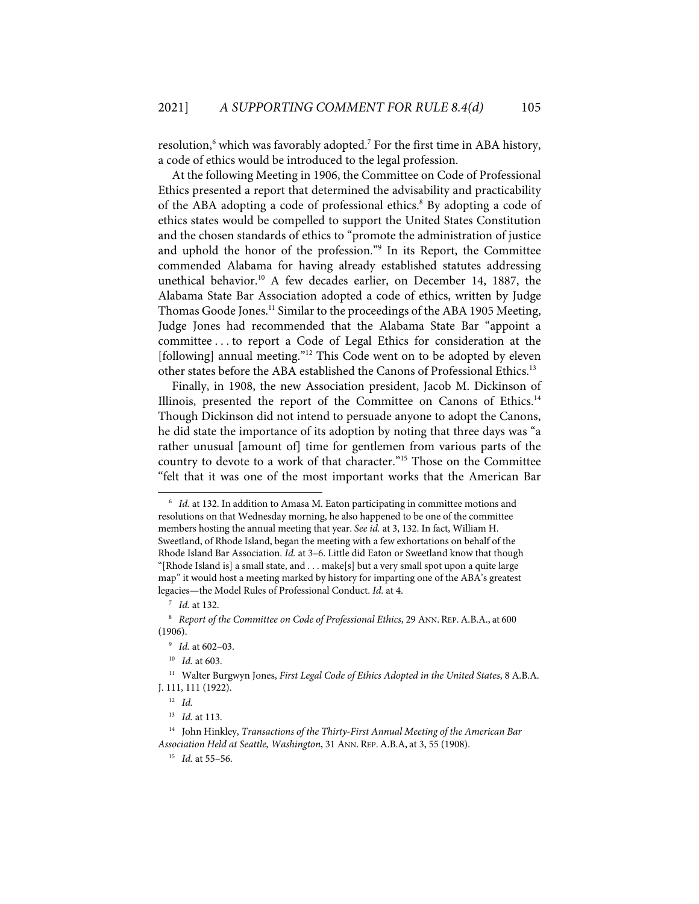resolution,<sup>6</sup> which was favorably adopted.<sup>7</sup> For the first time in ABA history, a code of ethics would be introduced to the legal profession.

At the following Meeting in 1906, the Committee on Code of Professional Ethics presented a report that determined the advisability and practicability of the ABA adopting a code of professional ethics.<sup>8</sup> By adopting a code of ethics states would be compelled to support the United States Constitution and the chosen standards of ethics to "promote the administration of justice and uphold the honor of the profession."<sup>9</sup> In its Report, the Committee commended Alabama for having already established statutes addressing unethical behavior. <sup>10</sup> A few decades earlier, on December 14, 1887, the Alabama State Bar Association adopted a code of ethics, written by Judge Thomas Goode Jones.<sup>11</sup> Similar to the proceedings of the ABA 1905 Meeting, Judge Jones had recommended that the Alabama State Bar "appoint a committee . . . to report a Code of Legal Ethics for consideration at the [following] annual meeting."<sup>12</sup> This Code went on to be adopted by eleven other states before the ABA established the Canons of Professional Ethics.<sup>13</sup>

Finally, in 1908, the new Association president, Jacob M. Dickinson of Illinois, presented the report of the Committee on Canons of Ethics.<sup>14</sup> Though Dickinson did not intend to persuade anyone to adopt the Canons, he did state the importance of its adoption by noting that three days was "a rather unusual [amount of] time for gentlemen from various parts of the country to devote to a work of that character."15 Those on the Committee "felt that it was one of the most important works that the American Bar

11 Walter Burgwyn Jones, *First Legal Code of Ethics Adopted in the United States*, 8 A.B.A. J. 111, 111 (1922).

<sup>6</sup> *Id.* at 132. In addition to Amasa M. Eaton participating in committee motions and resolutions on that Wednesday morning, he also happened to be one of the committee members hosting the annual meeting that year. *See id.* at 3, 132. In fact, William H. Sweetland, of Rhode Island, began the meeting with a few exhortations on behalf of the Rhode Island Bar Association. *Id.* at 3–6. Little did Eaton or Sweetland know that though "[Rhode Island is] a small state, and . . . make[s] but a very small spot upon a quite large map" it would host a meeting marked by history for imparting one of the ABA's greatest legacies—the Model Rules of Professional Conduct. *Id.* at 4.

<sup>7</sup> *Id.* at 132.

<sup>&</sup>lt;sup>8</sup> *Report of the Committee on Code of Professional Ethics*, 29 ANN. REP. A.B.A., at 600 (1906).

<sup>9</sup> *Id.* at 602–03.

<sup>10</sup> *Id.* at 603.

<sup>12</sup> *Id.*

<sup>13</sup> *Id.* at 113.

<sup>14</sup> John Hinkley, *Transactions of the Thirty-First Annual Meeting of the American Bar Association Held at Seattle, Washington*, 31 ANN. REP.A.B.A, at 3, 55 (1908).

<sup>15</sup> *Id.* at 55–56.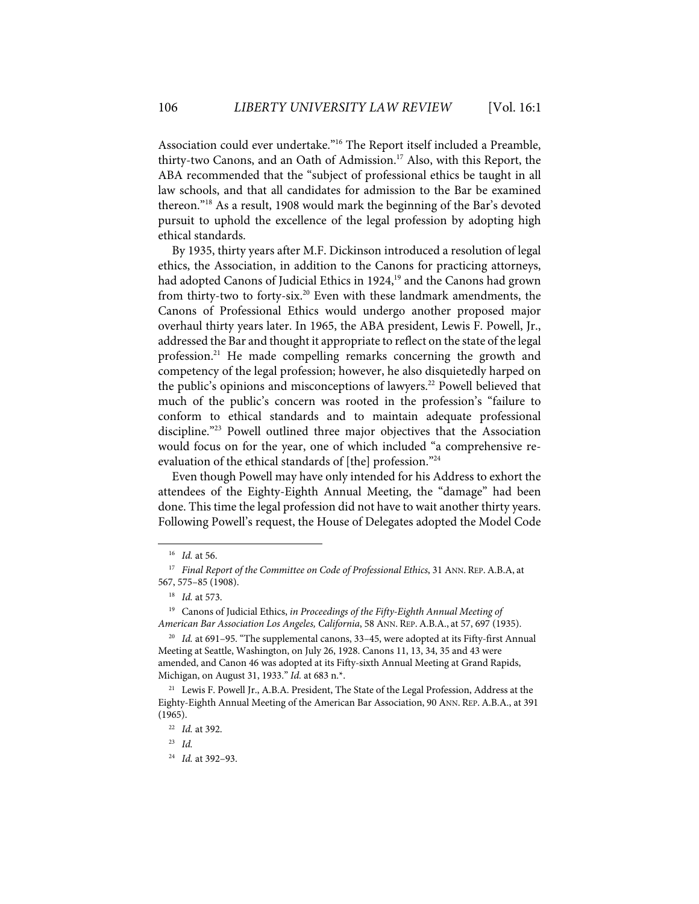Association could ever undertake."16 The Report itself included a Preamble, thirty-two Canons, and an Oath of Admission.<sup>17</sup> Also, with this Report, the ABA recommended that the "subject of professional ethics be taught in all law schools, and that all candidates for admission to the Bar be examined thereon."18 As a result, 1908 would mark the beginning of the Bar's devoted pursuit to uphold the excellence of the legal profession by adopting high ethical standards.

By 1935, thirty years after M.F. Dickinson introduced a resolution of legal ethics, the Association, in addition to the Canons for practicing attorneys, had adopted Canons of Judicial Ethics in 1924,<sup>19</sup> and the Canons had grown from thirty-two to forty-six. <sup>20</sup> Even with these landmark amendments, the Canons of Professional Ethics would undergo another proposed major overhaul thirty years later. In 1965, the ABA president, Lewis F. Powell, Jr., addressed the Bar and thought it appropriate to reflect on the state of the legal profession.<sup>21</sup> He made compelling remarks concerning the growth and competency of the legal profession; however, he also disquietedly harped on the public's opinions and misconceptions of lawyers.<sup>22</sup> Powell believed that much of the public's concern was rooted in the profession's "failure to conform to ethical standards and to maintain adequate professional discipline."23 Powell outlined three major objectives that the Association would focus on for the year, one of which included "a comprehensive reevaluation of the ethical standards of [the] profession."24

Even though Powell may have only intended for his Address to exhort the attendees of the Eighty-Eighth Annual Meeting, the "damage" had been done. This time the legal profession did not have to wait another thirty years. Following Powell's request, the House of Delegates adopted the Model Code

<sup>16</sup> *Id.* at 56.

<sup>&</sup>lt;sup>17</sup> *Final Report of the Committee on Code of Professional Ethics*, 31 ANN. REP. A.B.A, at 567, 575–85 (1908).

<sup>18</sup> *Id.* at 573.

<sup>19</sup> Canons of Judicial Ethics, *in Proceedings of the Fifty-Eighth Annual Meeting of American Bar Association Los Angeles, California*, 58 ANN. REP.A.B.A., at 57, 697 (1935).

<sup>&</sup>lt;sup>20</sup> *Id.* at 691-95. "The supplemental canons, 33-45, were adopted at its Fifty-first Annual Meeting at Seattle, Washington, on July 26, 1928. Canons 11, 13, 34, 35 and 43 were amended, and Canon 46 was adopted at its Fifty-sixth Annual Meeting at Grand Rapids, Michigan, on August 31, 1933." *Id.* at 683 n.\*.

<sup>&</sup>lt;sup>21</sup> Lewis F. Powell Jr., A.B.A. President, The State of the Legal Profession, Address at the Eighty-Eighth Annual Meeting of the American Bar Association, 90 ANN. REP.A.B.A., at 391 (1965).

<sup>22</sup> *Id.* at 392.

<sup>23</sup> *Id.*

<sup>24</sup> *Id.* at 392–93.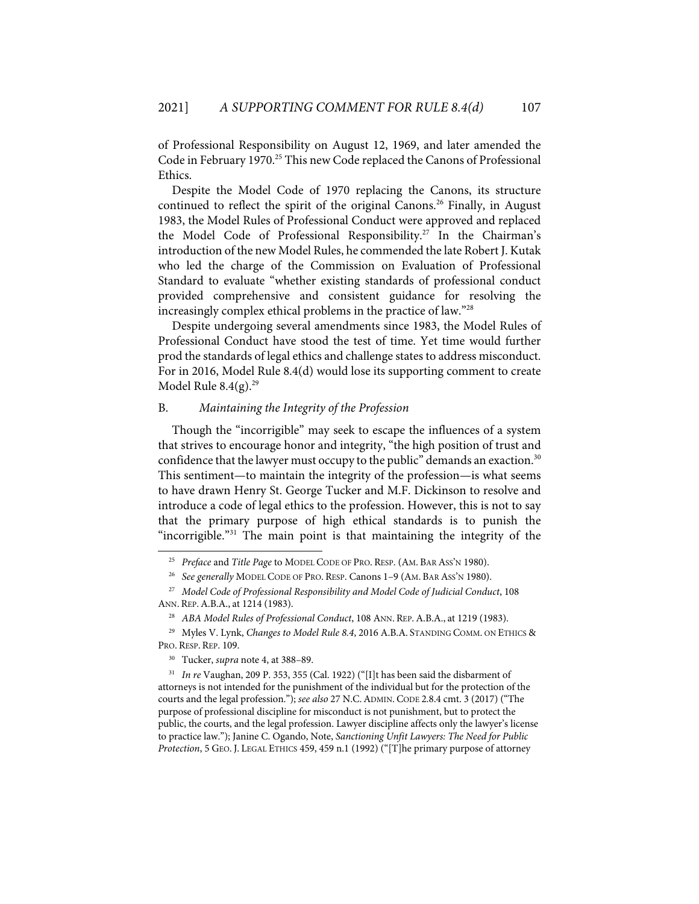of Professional Responsibility on August 12, 1969, and later amended the Code in February 1970. <sup>25</sup> This new Code replaced the Canons of Professional Ethics.

Despite the Model Code of 1970 replacing the Canons, its structure continued to reflect the spirit of the original Canons. <sup>26</sup> Finally, in August 1983, the Model Rules of Professional Conduct were approved and replaced the Model Code of Professional Responsibility. <sup>27</sup> In the Chairman's introduction of the new Model Rules, he commended the late Robert J. Kutak who led the charge of the Commission on Evaluation of Professional Standard to evaluate "whether existing standards of professional conduct provided comprehensive and consistent guidance for resolving the increasingly complex ethical problems in the practice of law."28

Despite undergoing several amendments since 1983, the Model Rules of Professional Conduct have stood the test of time. Yet time would further prod the standards of legal ethics and challenge states to address misconduct. For in 2016, Model Rule 8.4(d) would lose its supporting comment to create Model Rule  $8.4(g).^{29}$ 

# B. *Maintaining the Integrity of the Profession*

Though the "incorrigible" may seek to escape the influences of a system that strives to encourage honor and integrity, "the high position of trust and confidence that the lawyer must occupy to the public" demands an exaction.<sup>30</sup> This sentiment—to maintain the integrity of the profession—is what seems to have drawn Henry St. George Tucker and M.F. Dickinson to resolve and introduce a code of legal ethics to the profession. However, this is not to say that the primary purpose of high ethical standards is to punish the "incorrigible."<sup>31</sup> The main point is that maintaining the integrity of the

<sup>25</sup> *Preface* and *Title Page* to MODEL CODE OF PRO. RESP. (AM. BAR ASS'N 1980).

<sup>26</sup> *See generally* MODEL CODE OF PRO. RESP. Canons 1–9 (AM. BAR ASS'N 1980).

<sup>27</sup> *Model Code of Professional Responsibility and Model Code of Judicial Conduct*, 108 ANN. REP.A.B.A., at 1214 (1983).

<sup>&</sup>lt;sup>28</sup> ABA Model Rules of Professional Conduct, 108 ANN. REP. A.B.A., at 1219 (1983).

<sup>29</sup> Myles V. Lynk, *Changes to Model Rule 8.4*, 2016 A.B.A. STANDING COMM. ON ETHICS & PRO. RESP. REP. 109.

<sup>30</sup> Tucker, *supra* note 4, at 388–89.

<sup>31</sup> *In re* Vaughan, 209 P. 353, 355 (Cal. 1922) ("[I]t has been said the disbarment of attorneys is not intended for the punishment of the individual but for the protection of the courts and the legal profession."); *see also* 27 N.C.ADMIN. CODE 2.8.4 cmt. 3 (2017) ("The purpose of professional discipline for misconduct is not punishment, but to protect the public, the courts, and the legal profession. Lawyer discipline affects only the lawyer's license to practice law."); Janine C. Ogando, Note, *Sanctioning Unfit Lawyers: The Need for Public Protection*, 5 GEO. J. LEGAL ETHICS 459, 459 n.1 (1992) ("[T]he primary purpose of attorney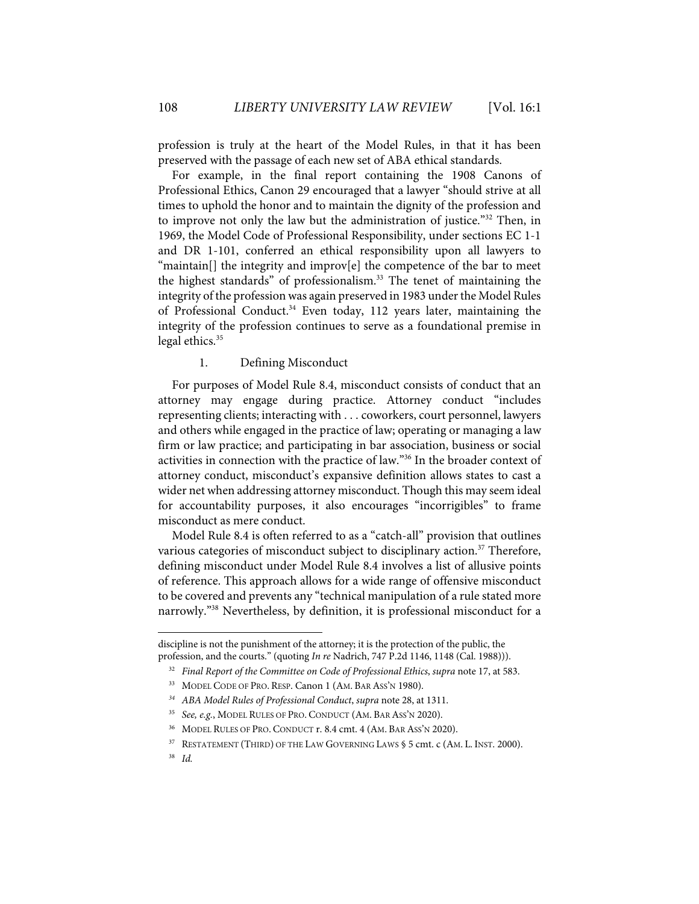profession is truly at the heart of the Model Rules, in that it has been preserved with the passage of each new set of ABA ethical standards.

For example, in the final report containing the 1908 Canons of Professional Ethics, Canon 29 encouraged that a lawyer "should strive at all times to uphold the honor and to maintain the dignity of the profession and to improve not only the law but the administration of justice."<sup>32</sup> Then, in 1969, the Model Code of Professional Responsibility, under sections EC 1-1 and DR 1-101, conferred an ethical responsibility upon all lawyers to "maintain[] the integrity and improv[e] the competence of the bar to meet the highest standards" of professionalism.<sup>33</sup> The tenet of maintaining the integrity of the profession was again preserved in 1983 under the Model Rules of Professional Conduct.<sup>34</sup> Even today, 112 years later, maintaining the integrity of the profession continues to serve as a foundational premise in legal ethics.<sup>35</sup>

## 1. Defining Misconduct

For purposes of Model Rule 8.4, misconduct consists of conduct that an attorney may engage during practice. Attorney conduct "includes representing clients; interacting with . . . coworkers, court personnel, lawyers and others while engaged in the practice of law; operating or managing a law firm or law practice; and participating in bar association, business or social activities in connection with the practice of law."36 In the broader context of attorney conduct, misconduct's expansive definition allows states to cast a wider net when addressing attorney misconduct. Though this may seem ideal for accountability purposes, it also encourages "incorrigibles" to frame misconduct as mere conduct.

Model Rule 8.4 is often referred to as a "catch-all" provision that outlines various categories of misconduct subject to disciplinary action.<sup>37</sup> Therefore, defining misconduct under Model Rule 8.4 involves a list of allusive points of reference. This approach allows for a wide range of offensive misconduct to be covered and prevents any "technical manipulation of a rule stated more narrowly."38 Nevertheless, by definition, it is professional misconduct for a

discipline is not the punishment of the attorney; it is the protection of the public, the profession, and the courts." (quoting *In re* Nadrich, 747 P.2d 1146, 1148 (Cal. 1988))).

<sup>32</sup> *Final Report of the Committee on Code of Professional Ethics*, *supra* note 17, at 583.

<sup>33</sup> MODEL CODE OF PRO. RESP. Canon 1 (AM. BAR ASS'N 1980).

*<sup>34</sup> ABA Model Rules of Professional Conduct*, *supra* note 28, at 1311.

<sup>35</sup> *See, e.g.*, MODEL RULES OF PRO. CONDUCT (AM. BAR ASS'N 2020).

<sup>36</sup> MODEL RULES OF PRO. CONDUCT r. 8.4 cmt. 4 (AM. BAR ASS'N 2020).

<sup>&</sup>lt;sup>37</sup> RESTATEMENT (THIRD) OF THE LAW GOVERNING LAWS § 5 cmt. c (AM. L. INST. 2000).

<sup>38</sup> *Id.*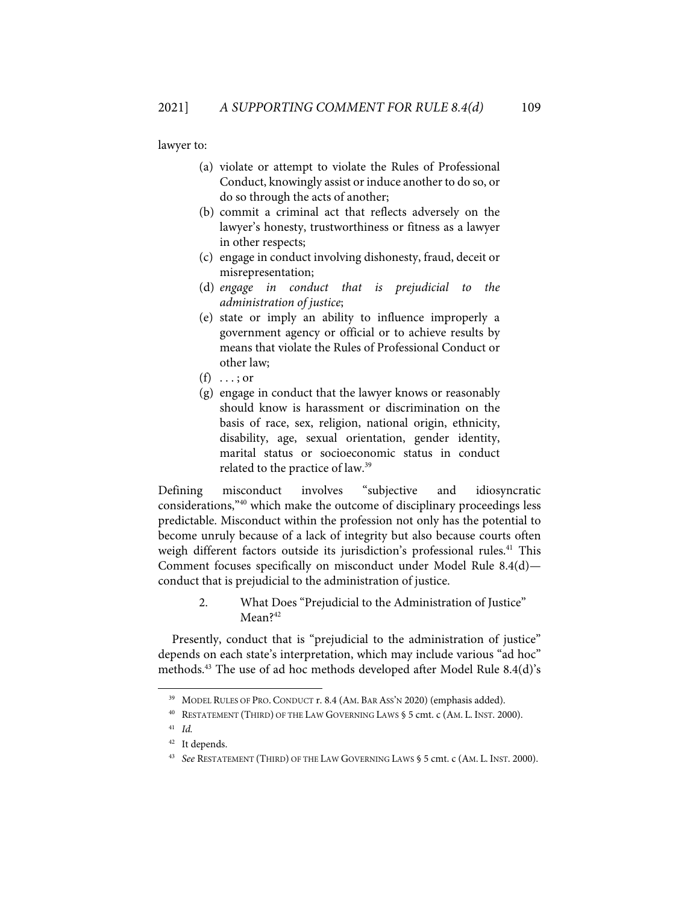lawyer to:

- (a) violate or attempt to violate the Rules of Professional Conduct, knowingly assist or induce another to do so, or do so through the acts of another;
- (b) commit a criminal act that reflects adversely on the lawyer's honesty, trustworthiness or fitness as a lawyer in other respects;
- (c) engage in conduct involving dishonesty, fraud, deceit or misrepresentation;
- (d) *engage in conduct that is prejudicial to the administration of justice*;
- (e) state or imply an ability to influence improperly a government agency or official or to achieve results by means that violate the Rules of Professional Conduct or other law;
- $(f) \dots$ ; or
- (g) engage in conduct that the lawyer knows or reasonably should know is harassment or discrimination on the basis of race, sex, religion, national origin, ethnicity, disability, age, sexual orientation, gender identity, marital status or socioeconomic status in conduct related to the practice of law.39

Defining misconduct involves "subjective and idiosyncratic considerations,"40 which make the outcome of disciplinary proceedings less predictable. Misconduct within the profession not only has the potential to become unruly because of a lack of integrity but also because courts often weigh different factors outside its jurisdiction's professional rules. <sup>41</sup> This Comment focuses specifically on misconduct under Model Rule 8.4(d) conduct that is prejudicial to the administration of justice.

> 2. What Does "Prejudicial to the Administration of Justice" Mean?<sup>42</sup>

Presently, conduct that is "prejudicial to the administration of justice" depends on each state's interpretation, which may include various "ad hoc" methods. <sup>43</sup> The use of ad hoc methods developed after Model Rule 8.4(d)'s

<sup>&</sup>lt;sup>39</sup> MODEL RULES OF PRO. CONDUCT r. 8.4 (AM. BAR ASS'N 2020) (emphasis added).

<sup>40</sup> RESTATEMENT (THIRD) OF THE LAW GOVERNING LAWS § 5 cmt. c (AM. L. INST. 2000).

<sup>41</sup> *Id.*

<sup>42</sup> It depends.

<sup>43</sup> *See* RESTATEMENT (THIRD) OF THE LAW GOVERNING LAWS § 5 cmt. c (AM. L. INST. 2000).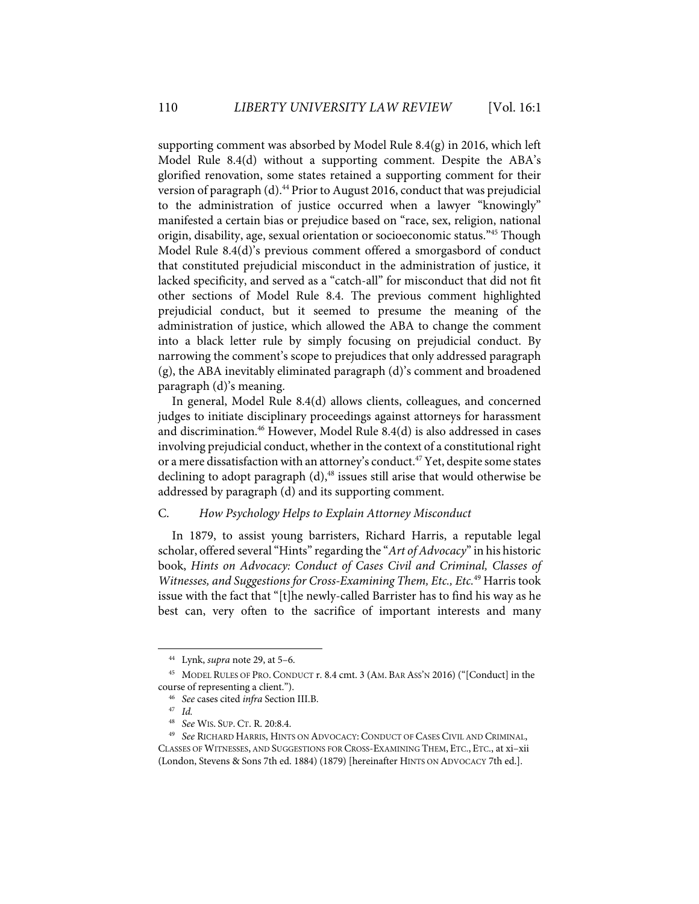supporting comment was absorbed by Model Rule 8.4(g) in 2016, which left Model Rule 8.4(d) without a supporting comment. Despite the ABA's glorified renovation, some states retained a supporting comment for their version of paragraph (d).<sup>44</sup> Prior to August 2016, conduct that was prejudicial to the administration of justice occurred when a lawyer "knowingly" manifested a certain bias or prejudice based on "race, sex, religion, national origin, disability, age, sexual orientation or socioeconomic status."45 Though Model Rule 8.4(d)'s previous comment offered a smorgasbord of conduct that constituted prejudicial misconduct in the administration of justice, it lacked specificity, and served as a "catch-all" for misconduct that did not fit other sections of Model Rule 8.4. The previous comment highlighted prejudicial conduct, but it seemed to presume the meaning of the administration of justice, which allowed the ABA to change the comment into a black letter rule by simply focusing on prejudicial conduct. By narrowing the comment's scope to prejudices that only addressed paragraph (g), the ABA inevitably eliminated paragraph (d)'s comment and broadened paragraph (d)'s meaning.

In general, Model Rule 8.4(d) allows clients, colleagues, and concerned judges to initiate disciplinary proceedings against attorneys for harassment and discrimination.46 However, Model Rule 8.4(d) is also addressed in cases involving prejudicial conduct, whether in the context of a constitutional right or a mere dissatisfaction with an attorney's conduct. <sup>47</sup> Yet, despite some states declining to adopt paragraph (d), <sup>48</sup> issues still arise that would otherwise be addressed by paragraph (d) and its supporting comment.

## C. *How Psychology Helps to Explain Attorney Misconduct*

In 1879, to assist young barristers, Richard Harris, a reputable legal scholar, offered several"Hints" regarding the "*Art of Advocacy*" in his historic book, *Hints on Advocacy: Conduct of Cases Civil and Criminal, Classes of Witnesses, and Suggestions for Cross-Examining Them, Etc., Etc.*<sup>49</sup> Harris took issue with the fact that "[t]he newly-called Barrister has to find his way as he best can, very often to the sacrifice of important interests and many

<sup>44</sup> Lynk, *supra* note 29, at 5–6.

<sup>45</sup> MODEL RULES OF PRO. CONDUCT r. 8.4 cmt. 3 (AM. BAR ASS'N 2016) ("[Conduct] in the course of representing a client."). 46 *See* cases cited *infra* Section III.B.

<sup>&</sup>lt;sup>47</sup> *Id.*<br><sup>48</sup> *See* 

<sup>48</sup>*See* WIS. SUP. CT. R. 20:8.4. 49 *See* RICHARD HARRIS, HINTS ON ADVOCACY: CONDUCT OF CASES CIVIL AND CRIMINAL, CLASSES OF WITNESSES, AND SUGGESTIONS FOR CROSS-EXAMINING THEM, ETC., ETC., at xi–xii (London, Stevens & Sons 7th ed. 1884) (1879) [hereinafter HINTS ON ADVOCACY 7th ed.].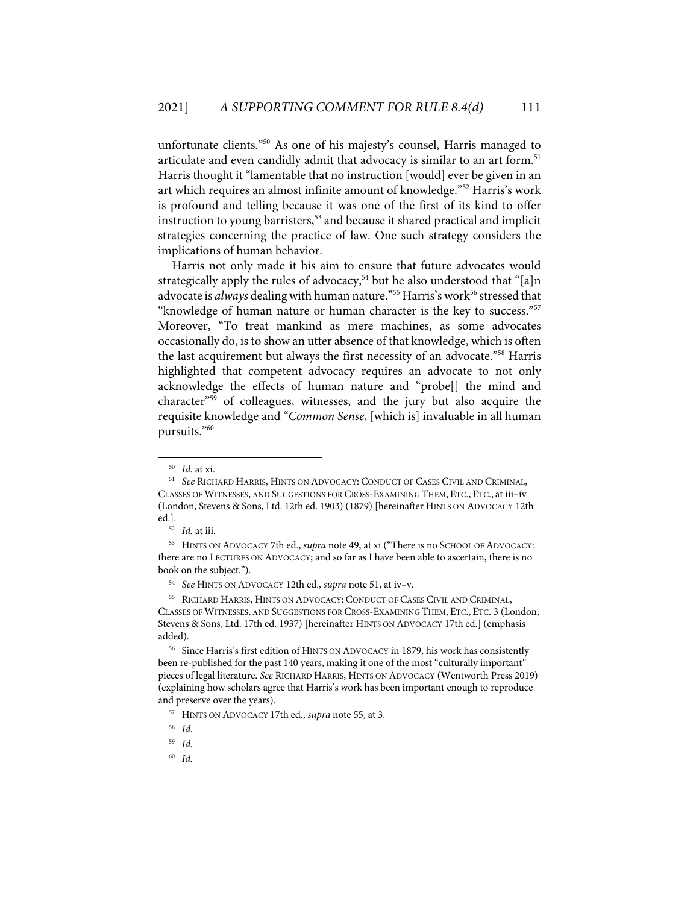unfortunate clients."<sup>50</sup> As one of his majesty's counsel, Harris managed to articulate and even candidly admit that advocacy is similar to an art form.<sup>51</sup> Harris thought it "lamentable that no instruction [would] ever be given in an art which requires an almost infinite amount of knowledge."52 Harris's work is profound and telling because it was one of the first of its kind to offer instruction to young barristers, <sup>53</sup> and because it shared practical and implicit strategies concerning the practice of law. One such strategy considers the implications of human behavior.

Harris not only made it his aim to ensure that future advocates would strategically apply the rules of advocacy, <sup>54</sup> but he also understood that "[a]n advocate is *always* dealing with human nature."<sup>55</sup> Harris's work<sup>56</sup> stressed that "knowledge of human nature or human character is the key to success."57 Moreover, "To treat mankind as mere machines, as some advocates occasionally do, is to show an utter absence of that knowledge, which is often the last acquirement but always the first necessity of an advocate."58 Harris highlighted that competent advocacy requires an advocate to not only acknowledge the effects of human nature and "probe[] the mind and character"59 of colleagues, witnesses, and the jury but also acquire the requisite knowledge and "*Common Sense*, [which is] invaluable in all human pursuits."60

<sup>&</sup>lt;sup>50</sup> Id. at xi.<br><sup>51</sup> See RICHARD HARRIS, HINTS ON ADVOCACY: CONDUCT OF CASES CIVIL AND CRIMINAL, CLASSES OF WITNESSES, AND SUGGESTIONS FOR CROSS-EXAMINING THEM, ETC., ETC., at iii–iv (London, Stevens & Sons, Ltd. 12th ed. 1903) (1879) [hereinafter HINTS ON ADVOCACY 12th ed.].

<sup>52</sup> *Id.* at iii.

<sup>53</sup> HINTS ON ADVOCACY 7th ed., *supra* note 49, at xi ("There is no SCHOOL OF ADVOCACY: there are no LECTURES ON ADVOCACY; and so far as I have been able to ascertain, there is no book on the subject.").

<sup>54</sup> *See* HINTS ON ADVOCACY 12th ed., *supra* note 51, at iv–v.

<sup>55</sup> RICHARD HARRIS, HINTS ON ADVOCACY: CONDUCT OF CASES CIVIL AND CRIMINAL, CLASSES OF WITNESSES, AND SUGGESTIONS FOR CROSS-EXAMINING THEM, ETC., ETC. 3 (London, Stevens & Sons, Ltd. 17th ed. 1937) [hereinafter HINTS ON ADVOCACY 17th ed.] (emphasis added).

<sup>&</sup>lt;sup>56</sup> Since Harris's first edition of HINTS ON ADVOCACY in 1879, his work has consistently been re-published for the past 140 years, making it one of the most "culturally important" pieces of legal literature. *See* RICHARD HARRIS, HINTS ON ADVOCACY (Wentworth Press 2019) (explaining how scholars agree that Harris's work has been important enough to reproduce and preserve over the years).

<sup>57</sup> HINTS ON ADVOCACY 17th ed., *supra* note 55, at 3.

<sup>58</sup> *Id.* 

<sup>59</sup> *Id.*

<sup>60</sup> *Id.*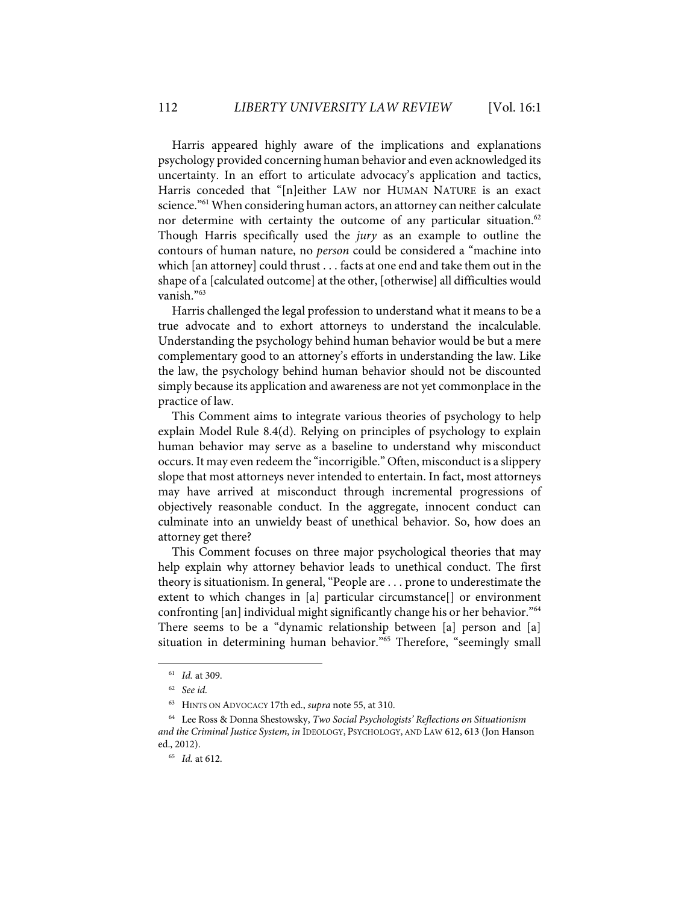Harris appeared highly aware of the implications and explanations psychology provided concerning human behavior and even acknowledged its uncertainty. In an effort to articulate advocacy's application and tactics, Harris conceded that "[n]either LAW nor HUMAN NATURE is an exact science."<sup>61</sup> When considering human actors, an attorney can neither calculate nor determine with certainty the outcome of any particular situation.<sup>62</sup> Though Harris specifically used the *jury* as an example to outline the contours of human nature, no *person* could be considered a "machine into which [an attorney] could thrust . . . facts at one end and take them out in the shape of a [calculated outcome] at the other, [otherwise] all difficulties would vanish."63

Harris challenged the legal profession to understand what it means to be a true advocate and to exhort attorneys to understand the incalculable. Understanding the psychology behind human behavior would be but a mere complementary good to an attorney's efforts in understanding the law. Like the law, the psychology behind human behavior should not be discounted simply because its application and awareness are not yet commonplace in the practice of law.

This Comment aims to integrate various theories of psychology to help explain Model Rule 8.4(d). Relying on principles of psychology to explain human behavior may serve as a baseline to understand why misconduct occurs. It may even redeem the "incorrigible." Often, misconduct is a slippery slope that most attorneys never intended to entertain. In fact, most attorneys may have arrived at misconduct through incremental progressions of objectively reasonable conduct. In the aggregate, innocent conduct can culminate into an unwieldy beast of unethical behavior. So, how does an attorney get there?

This Comment focuses on three major psychological theories that may help explain why attorney behavior leads to unethical conduct. The first theory is situationism. In general, "People are . . . prone to underestimate the extent to which changes in [a] particular circumstance[] or environment confronting [an] individual might significantly change his or her behavior."64 There seems to be a "dynamic relationship between [a] person and [a] situation in determining human behavior."<sup>65</sup> Therefore, "seemingly small

<sup>61</sup> *Id.* at 309.

<sup>62</sup> *See id.*

<sup>63</sup> HINTS ON ADVOCACY 17th ed., *supra* note 55, at 310.

<sup>64</sup> Lee Ross & Donna Shestowsky, *Two Social Psychologists' Reflections on Situationism and the Criminal Justice System*, *in* IDEOLOGY, PSYCHOLOGY, AND LAW 612, 613 (Jon Hanson ed., 2012).

<sup>65</sup> *Id.* at 612.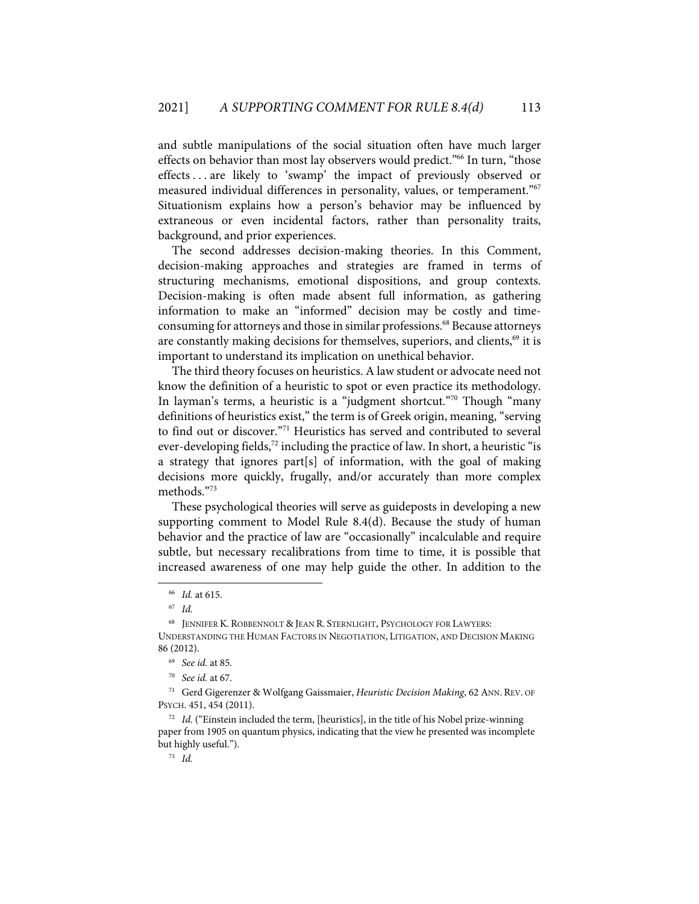and subtle manipulations of the social situation often have much larger effects on behavior than most lay observers would predict."<sup>66</sup> In turn, "those effects . . . are likely to 'swamp' the impact of previously observed or measured individual differences in personality, values, or temperament."<sup>67</sup> Situationism explains how a person's behavior may be influenced by extraneous or even incidental factors, rather than personality traits, background, and prior experiences.

The second addresses decision-making theories. In this Comment, decision-making approaches and strategies are framed in terms of structuring mechanisms, emotional dispositions, and group contexts. Decision-making is often made absent full information, as gathering information to make an "informed" decision may be costly and timeconsuming for attorneys and those in similar professions.<sup>68</sup> Because attorneys are constantly making decisions for themselves, superiors, and clients,<sup>69</sup> it is important to understand its implication on unethical behavior.

The third theory focuses on heuristics. A law student or advocate need not know the definition of a heuristic to spot or even practice its methodology. In layman's terms, a heuristic is a "judgment shortcut."70 Though "many definitions of heuristics exist," the term is of Greek origin, meaning, "serving to find out or discover."<sup>71</sup> Heuristics has served and contributed to several ever-developing fields, <sup>72</sup> including the practice of law. In short, a heuristic "is a strategy that ignores part[s] of information, with the goal of making decisions more quickly, frugally, and/or accurately than more complex methods."73

These psychological theories will serve as guideposts in developing a new supporting comment to Model Rule 8.4(d). Because the study of human behavior and the practice of law are "occasionally" incalculable and require subtle, but necessary recalibrations from time to time, it is possible that increased awareness of one may help guide the other. In addition to the

<sup>66</sup> *Id.* at 615.

<sup>67</sup> *Id.* 

<sup>68</sup> JENNIFER K. ROBBENNOLT & JEAN R. STERNLIGHT, PSYCHOLOGY FOR LAWYERS: UNDERSTANDING THE HUMAN FACTORS IN NEGOTIATION, LITIGATION, AND DECISION MAKING 86 (2012).

<sup>69</sup> *See id.* at 85.

<sup>70</sup> *See id.* at 67.

<sup>71</sup> Gerd Gigerenzer & Wolfgang Gaissmaier, *Heuristic Decision Making*, 62 ANN. REV. OF PSYCH. 451, 454 (2011).

<sup>72</sup> *Id*. ("Einstein included the term, [heuristics], in the title of his Nobel prize-winning paper from 1905 on quantum physics, indicating that the view he presented was incomplete but highly useful.").

<sup>73</sup> *Id.*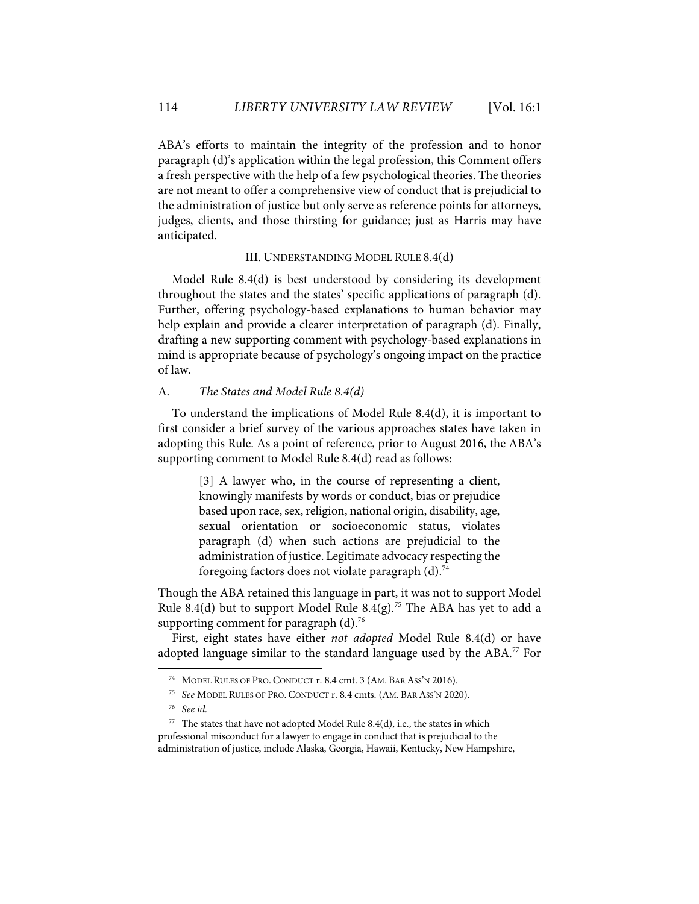ABA's efforts to maintain the integrity of the profession and to honor paragraph (d)'s application within the legal profession, this Comment offers a fresh perspective with the help of a few psychological theories. The theories are not meant to offer a comprehensive view of conduct that is prejudicial to the administration of justice but only serve as reference points for attorneys, judges, clients, and those thirsting for guidance; just as Harris may have anticipated.

# III. UNDERSTANDING MODEL RULE 8.4(d)

Model Rule 8.4(d) is best understood by considering its development throughout the states and the states' specific applications of paragraph (d). Further, offering psychology-based explanations to human behavior may help explain and provide a clearer interpretation of paragraph (d). Finally, drafting a new supporting comment with psychology-based explanations in mind is appropriate because of psychology's ongoing impact on the practice of law.

## A. *The States and Model Rule 8.4(d)*

To understand the implications of Model Rule 8.4(d), it is important to first consider a brief survey of the various approaches states have taken in adopting this Rule. As a point of reference, prior to August 2016, the ABA's supporting comment to Model Rule 8.4(d) read as follows:

> [3] A lawyer who, in the course of representing a client, knowingly manifests by words or conduct, bias or prejudice based upon race, sex, religion, national origin, disability, age, sexual orientation or socioeconomic status, violates paragraph (d) when such actions are prejudicial to the administration of justice. Legitimate advocacy respecting the foregoing factors does not violate paragraph (d).74

Though the ABA retained this language in part, it was not to support Model Rule 8.4(d) but to support Model Rule 8.4(g).<sup>75</sup> The ABA has yet to add a supporting comment for paragraph  $(d)$ .<sup>76</sup>

First, eight states have either *not adopted* Model Rule 8.4(d) or have adopted language similar to the standard language used by the ABA.<sup>77</sup> For

<sup>74</sup> MODEL RULES OF PRO. CONDUCT r. 8.4 cmt. 3 (AM. BAR ASS'N 2016).

<sup>75</sup> *See* MODEL RULES OF PRO. CONDUCT r. 8.4 cmts. (AM. BAR ASS'N 2020).

<sup>76</sup> *See id.* 

<sup>77</sup> The states that have not adopted Model Rule 8.4(d), i.e., the states in which professional misconduct for a lawyer to engage in conduct that is prejudicial to the administration of justice, include Alaska, Georgia, Hawaii, Kentucky, New Hampshire,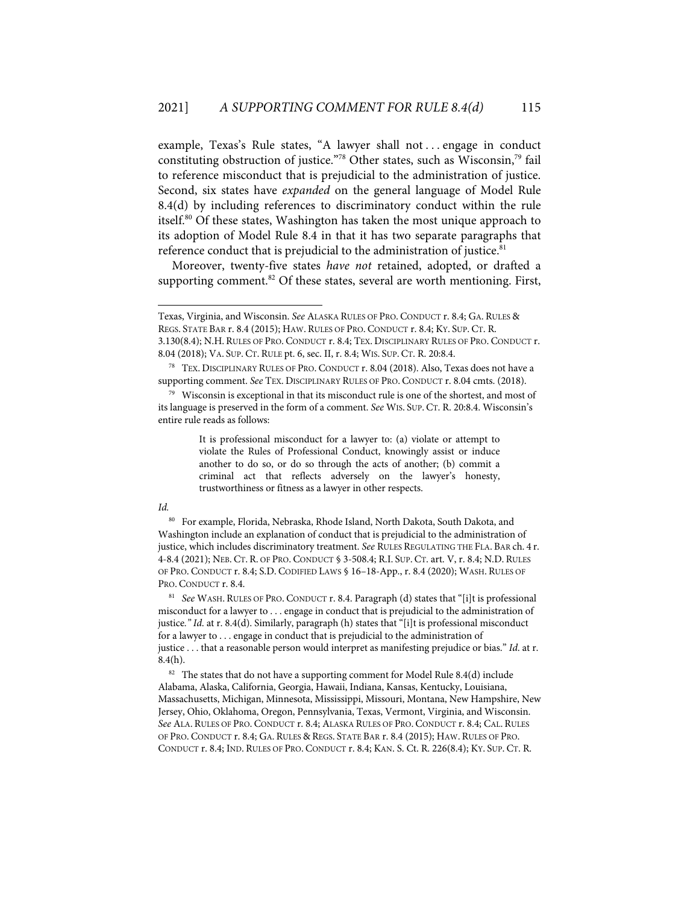example, Texas's Rule states, "A lawyer shall not ... engage in conduct constituting obstruction of justice."78 Other states, such as Wisconsin,79 fail to reference misconduct that is prejudicial to the administration of justice. Second, six states have *expanded* on the general language of Model Rule 8.4(d) by including references to discriminatory conduct within the rule itself.80 Of these states, Washington has taken the most unique approach to its adoption of Model Rule 8.4 in that it has two separate paragraphs that reference conduct that is prejudicial to the administration of justice.<sup>81</sup>

Moreover, twenty-five states *have not* retained, adopted, or drafted a supporting comment.<sup>82</sup> Of these states, several are worth mentioning. First,

It is professional misconduct for a lawyer to: (a) violate or attempt to violate the Rules of Professional Conduct, knowingly assist or induce another to do so, or do so through the acts of another; (b) commit a criminal act that reflects adversely on the lawyer's honesty, trustworthiness or fitness as a lawyer in other respects.

#### *Id.*

80 For example, Florida, Nebraska, Rhode Island, North Dakota, South Dakota, and Washington include an explanation of conduct that is prejudicial to the administration of justice, which includes discriminatory treatment. *See* RULES REGULATING THE FLA. BAR ch. 4 r. 4-8.4 (2021); NEB. CT. R. OF PRO. CONDUCT § 3-508.4; R.I. SUP. CT. art. V, r. 8.4; N.D. RULES OF PRO. CONDUCT r. 8.4; S.D. CODIFIED LAWS § 16–18-App., r. 8.4 (2020); WASH. RULES OF PRO. CONDUCT r. 8.4.

81 *See* WASH. RULES OF PRO. CONDUCT r. 8.4. Paragraph (d) states that "[i]t is professional misconduct for a lawyer to . . . engage in conduct that is prejudicial to the administration of justice*." Id*. at r. 8.4(d). Similarly, paragraph (h) states that "[i]t is professional misconduct for a lawyer to . . . engage in conduct that is prejudicial to the administration of justice . . . that a reasonable person would interpret as manifesting prejudice or bias." *Id*. at r. 8.4(h).

<sup>82</sup> The states that do not have a supporting comment for Model Rule 8.4(d) include Alabama, Alaska, California, Georgia, Hawaii, Indiana, Kansas, Kentucky, Louisiana, Massachusetts, Michigan, Minnesota, Mississippi, Missouri, Montana, New Hampshire, New Jersey, Ohio, Oklahoma, Oregon, Pennsylvania, Texas, Vermont, Virginia, and Wisconsin. *See* ALA. RULES OF PRO. CONDUCT r. 8.4; ALASKA RULES OF PRO. CONDUCT r. 8.4; CAL. RULES OF PRO. CONDUCT r. 8.4; GA. RULES & REGS. STATE BAR r. 8.4 (2015); HAW. RULES OF PRO. CONDUCT r. 8.4; IND. RULES OF PRO. CONDUCT r. 8.4; KAN. S. Ct. R. 226(8.4); KY. SUP. CT. R.

Texas, Virginia, and Wisconsin. *See* ALASKA RULES OF PRO. CONDUCT r. 8.4; GA. RULES & REGS. STATE BAR r. 8.4 (2015); HAW. RULES OF PRO. CONDUCT r. 8.4; KY. SUP. CT. R. 3.130(8.4); N.H. RULES OF PRO. CONDUCT r. 8.4; TEX. DISCIPLINARY RULES OF PRO. CONDUCT r. 8.04 (2018); VA. SUP. CT. RULE pt. 6, sec. II, r. 8.4; WIS. SUP. CT. R. 20:8.4.

<sup>78</sup> TEX. DISCIPLINARY RULES OF PRO. CONDUCT r. 8.04 (2018). Also, Texas does not have a supporting comment. *See* TEX. DISCIPLINARY RULES OF PRO. CONDUCT r. 8.04 cmts. (2018).

<sup>79</sup> Wisconsin is exceptional in that its misconduct rule is one of the shortest, and most of its language is preserved in the form of a comment. *See* WIS. SUP. CT. R. 20:8.4. Wisconsin's entire rule reads as follows: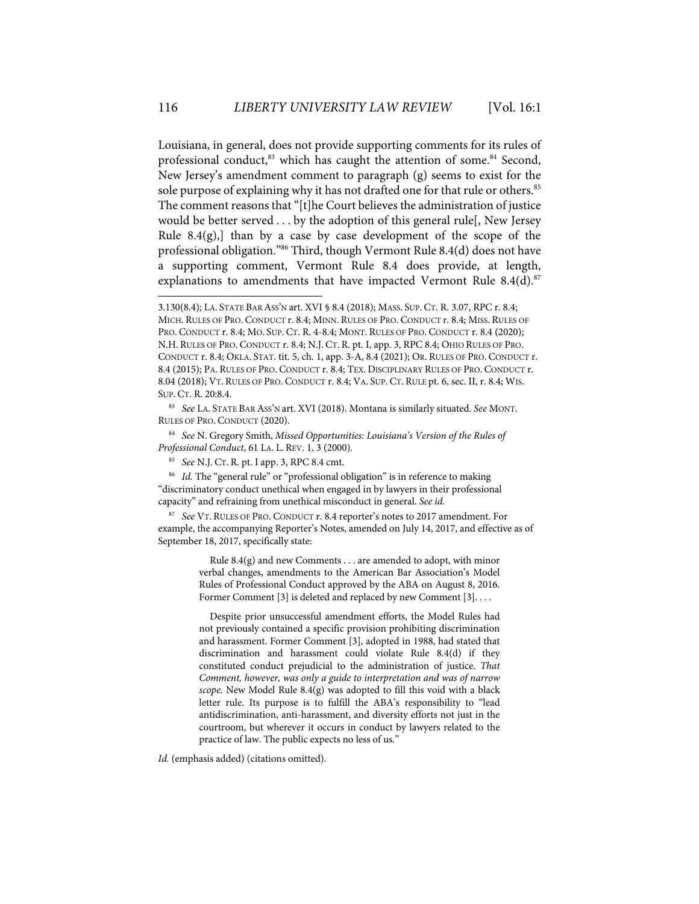Louisiana, in general, does not provide supporting comments for its rules of professional conduct,<sup>83</sup> which has caught the attention of some.<sup>84</sup> Second, New Jersey's amendment comment to paragraph (g) seems to exist for the sole purpose of explaining why it has not drafted one for that rule or others.<sup>85</sup> The comment reasons that "[t]he Court believes the administration of justice would be better served . . . by the adoption of this general rule[, New Jersey Rule  $8.4(g)$ , than by a case by case development of the scope of the professional obligation."86 Third, though Vermont Rule 8.4(d) does not have a supporting comment, Vermont Rule 8.4 does provide, at length, explanations to amendments that have impacted Vermont Rule  $8.4(d).$ <sup>87</sup>

84 *See* N. Gregory Smith, *Missed Opportunities: Louisiana's Version of the Rules of Professional Conduct*, 61 LA. L. REV. 1, 3 (2000).

<sup>86</sup> Id. The "general rule" or "professional obligation" is in reference to making "discriminatory conduct unethical when engaged in by lawyers in their professional capacity" and refraining from unethical misconduct in general. *See id.*

87 *See* VT. RULES OF PRO. CONDUCT r. 8.4 reporter's notes to 2017 amendment. For example, the accompanying Reporter's Notes, amended on July 14, 2017, and effective as of September 18, 2017, specifically state:

> Rule 8.4(g) and new Comments . . . are amended to adopt, with minor verbal changes, amendments to the American Bar Association's Model Rules of Professional Conduct approved by the ABA on August 8, 2016. Former Comment [3] is deleted and replaced by new Comment [3]....

> Despite prior unsuccessful amendment efforts, the Model Rules had not previously contained a specific provision prohibiting discrimination and harassment. Former Comment [3], adopted in 1988, had stated that discrimination and harassment could violate Rule 8.4(d) if they constituted conduct prejudicial to the administration of justice. *That Comment, however, was only a guide to interpretation and was of narrow scope*. New Model Rule 8.4(g) was adopted to fill this void with a black letter rule. Its purpose is to fulfill the ABA's responsibility to "lead antidiscrimination, anti-harassment, and diversity efforts not just in the courtroom, but wherever it occurs in conduct by lawyers related to the practice of law. The public expects no less of us."

*Id.* (emphasis added) (citations omitted).

<sup>3.130(8.4);</sup> LA. STATE BAR ASS'N art. XVI § 8.4 (2018); MASS. SUP. CT. R. 3.07, RPC r. 8.4; MICH. RULES OF PRO. CONDUCT r. 8.4; MINN. RULES OF PRO. CONDUCT r. 8.4; MISS. RULES OF PRO. CONDUCT r. 8.4; MO. SUP. CT. R. 4-8.4; MONT. RULES OF PRO. CONDUCT r. 8.4 (2020); N.H. RULES OF PRO. CONDUCT r. 8.4; N.J. CT. R. pt. I, app. 3, RPC 8.4; OHIO RULES OF PRO. CONDUCT r. 8.4; OKLA. STAT. tit. 5, ch. 1, app. 3-A, 8.4 (2021); OR. RULES OF PRO. CONDUCT r. 8.4 (2015); PA. RULES OF PRO. CONDUCT r. 8.4; TEX. DISCIPLINARY RULES OF PRO. CONDUCT r. 8.04 (2018); VT. RULES OF PRO. CONDUCT r. 8.4; VA. SUP. CT. RULE pt. 6, sec. II, r. 8.4; WIS. SUP. CT. R. 20:8.4.

<sup>83</sup> *See* LA. STATE BAR ASS'N art. XVI (2018). Montana is similarly situated. *See* MONT. RULES OF PRO. CONDUCT (2020).

<sup>85</sup> *See* N.J. CT. R. pt. I app. 3, RPC 8.4 cmt.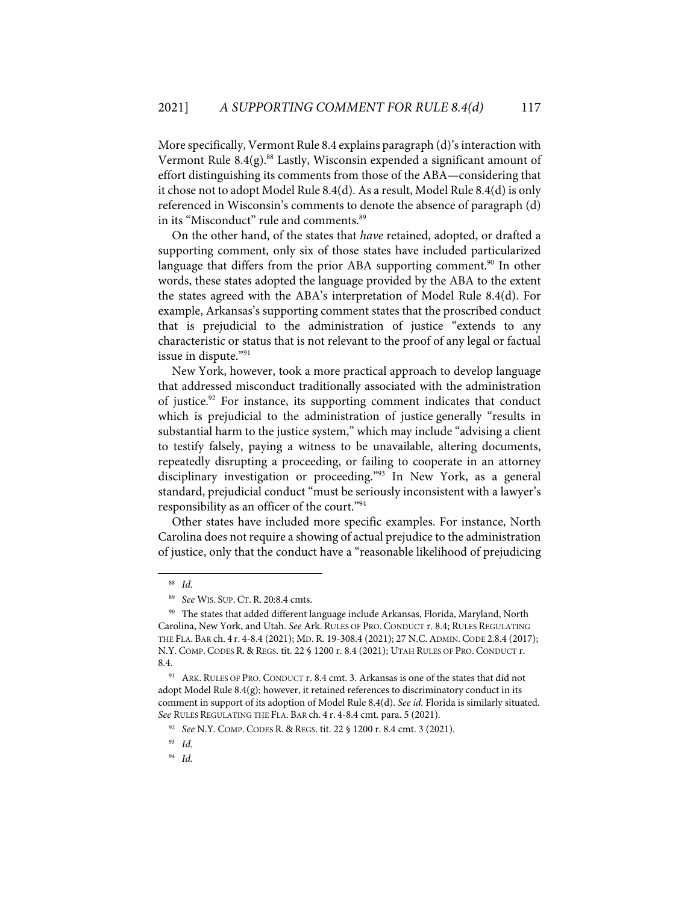More specifically, Vermont Rule 8.4 explains paragraph (d)'s interaction with Vermont Rule 8.4(g).<sup>88</sup> Lastly, Wisconsin expended a significant amount of effort distinguishing its comments from those of the ABA—considering that it chose not to adopt Model Rule 8.4(d). As a result, Model Rule 8.4(d) is only referenced in Wisconsin's comments to denote the absence of paragraph (d) in its "Misconduct" rule and comments. 89

On the other hand, of the states that *have* retained, adopted, or drafted a supporting comment, only six of those states have included particularized language that differs from the prior ABA supporting comment.<sup>90</sup> In other words, these states adopted the language provided by the ABA to the extent the states agreed with the ABA's interpretation of Model Rule 8.4(d). For example, Arkansas's supporting comment states that the proscribed conduct that is prejudicial to the administration of justice "extends to any characteristic or status that is not relevant to the proof of any legal or factual issue in dispute."91

New York, however, took a more practical approach to develop language that addressed misconduct traditionally associated with the administration of justice.<sup>92</sup> For instance, its supporting comment indicates that conduct which is prejudicial to the administration of justice generally "results in substantial harm to the justice system," which may include "advising a client to testify falsely, paying a witness to be unavailable, altering documents, repeatedly disrupting a proceeding, or failing to cooperate in an attorney disciplinary investigation or proceeding."<sup>93</sup> In New York, as a general standard, prejudicial conduct "must be seriously inconsistent with a lawyer's responsibility as an officer of the court."94

Other states have included more specific examples. For instance, North Carolina does not require a showing of actual prejudice to the administration of justice, only that the conduct have a "reasonable likelihood of prejudicing

<sup>88</sup> *Id.*

<sup>89</sup> *See* WIS. SUP. CT. R. 20:8.4 cmts.

<sup>90</sup> The states that added different language include Arkansas, Florida, Maryland, North Carolina, New York, and Utah. *See* Ark. RULES OF PRO. CONDUCT r. 8.4; RULES REGULATING THE FLA. BAR ch. 4 r. 4-8.4 (2021); MD. R. 19-308.4 (2021); 27 N.C.ADMIN. CODE 2.8.4 (2017); N.Y. COMP. CODES R. & REGS. tit. 22 § 1200 r. 8.4 (2021); UTAH RULES OF PRO. CONDUCT r. 8.4.

<sup>&</sup>lt;sup>91</sup> ARK. RULES OF PRO. CONDUCT r. 8.4 cmt. 3. Arkansas is one of the states that did not adopt Model Rule 8.4 $(g)$ ; however, it retained references to discriminatory conduct in its comment in support of its adoption of Model Rule 8.4(d). *See id.* Florida is similarly situated. *See* RULES REGULATING THE FLA. BAR ch. 4 r. 4-8.4 cmt. para. 5 (2021).

<sup>92</sup> *See* N.Y. COMP. CODES R. & REGS. tit. 22 § 1200 r. 8.4 cmt. 3 (2021).

<sup>93</sup> *Id.* 

<sup>94</sup> *Id.*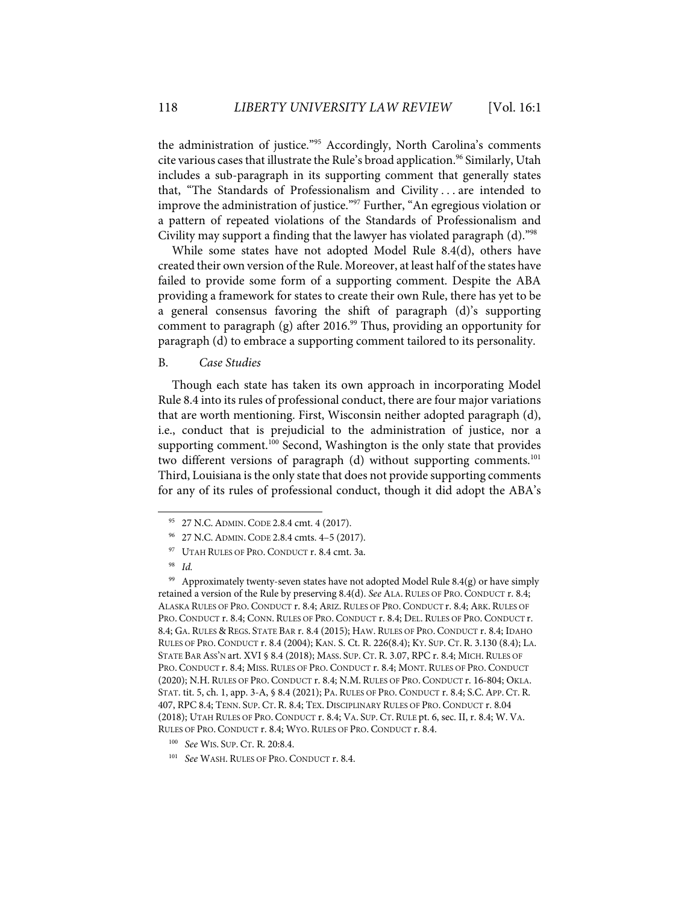the administration of justice."<sup>95</sup> Accordingly, North Carolina's comments cite various cases that illustrate the Rule's broad application.<sup>96</sup> Similarly, Utah includes a sub-paragraph in its supporting comment that generally states that, "The Standards of Professionalism and Civility . . . are intended to improve the administration of justice."<sup>97</sup> Further, "An egregious violation or a pattern of repeated violations of the Standards of Professionalism and Civility may support a finding that the lawyer has violated paragraph (d)."98

While some states have not adopted Model Rule 8.4(d), others have created their own version of the Rule. Moreover, at least half of the states have failed to provide some form of a supporting comment. Despite the ABA providing a framework for states to create their own Rule, there has yet to be a general consensus favoring the shift of paragraph (d)'s supporting comment to paragraph (g) after  $2016<sup>99</sup>$  Thus, providing an opportunity for paragraph (d) to embrace a supporting comment tailored to its personality.

## B. *Case Studies*

Though each state has taken its own approach in incorporating Model Rule 8.4 into its rules of professional conduct, there are four major variations that are worth mentioning. First, Wisconsin neither adopted paragraph (d), i.e., conduct that is prejudicial to the administration of justice, nor a supporting comment.<sup>100</sup> Second, Washington is the only state that provides two different versions of paragraph (d) without supporting comments.<sup>101</sup> Third, Louisiana is the only state that does not provide supporting comments for any of its rules of professional conduct, though it did adopt the ABA's

<sup>95 27</sup> N.C. ADMIN. CODE 2.8.4 cmt. 4 (2017).

<sup>96 27</sup> N.C.ADMIN. CODE 2.8.4 cmts. 4–5 (2017).

<sup>&</sup>lt;sup>97</sup> UTAH RULES OF PRO. CONDUCT r. 8.4 cmt. 3a.

<sup>98</sup> *Id.*

<sup>&</sup>lt;sup>99</sup> Approximately twenty-seven states have not adopted Model Rule 8.4(g) or have simply retained a version of the Rule by preserving 8.4(d). *See* ALA. RULES OF PRO. CONDUCT r. 8.4; ALASKA RULES OF PRO. CONDUCT r. 8.4; ARIZ. RULES OF PRO. CONDUCT r. 8.4; ARK. RULES OF PRO. CONDUCT r. 8.4; CONN. RULES OF PRO. CONDUCT r. 8.4; DEL. RULES OF PRO. CONDUCT r. 8.4; GA. RULES & REGS. STATE BAR r. 8.4 (2015); HAW. RULES OF PRO. CONDUCT r. 8.4; IDAHO RULES OF PRO. CONDUCT r. 8.4 (2004); KAN. S. Ct. R. 226(8.4); KY. SUP. CT. R. 3.130 (8.4); LA. STATE BAR ASS'N art. XVI § 8.4 (2018); MASS. SUP. CT. R. 3.07, RPC r. 8.4; MICH. RULES OF PRO. CONDUCT r. 8.4; MISS. RULES OF PRO. CONDUCT r. 8.4; MONT. RULES OF PRO. CONDUCT (2020); N.H. RULES OF PRO. CONDUCT r. 8.4; N.M. RULES OF PRO. CONDUCT r. 16-804; OKLA. STAT. tit. 5, ch. 1, app. 3-A, § 8.4 (2021); PA. RULES OF PRO. CONDUCT r. 8.4; S.C.APP. CT. R. 407, RPC 8.4; TENN. SUP. CT. R. 8.4; TEX. DISCIPLINARY RULES OF PRO. CONDUCT r. 8.04 (2018); UTAH RULES OF PRO. CONDUCT r. 8.4; VA. SUP. CT. RULE pt. 6, sec. II, r. 8.4; W. VA. RULES OF PRO. CONDUCT r. 8.4; WYO. RULES OF PRO. CONDUCT r. 8.4.

<sup>100</sup> *See* WIS. SUP. CT. R. 20:8.4.

<sup>101</sup> *See* WASH. RULES OF PRO. CONDUCT r. 8.4.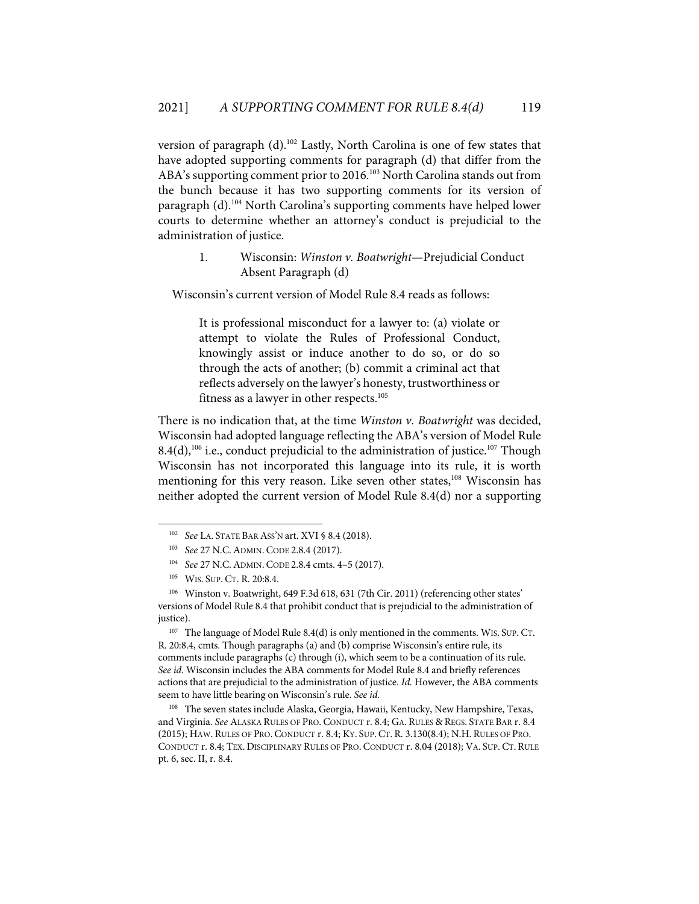version of paragraph (d).102 Lastly, North Carolina is one of few states that have adopted supporting comments for paragraph (d) that differ from the ABA's supporting comment prior to 2016.<sup>103</sup> North Carolina stands out from the bunch because it has two supporting comments for its version of paragraph (d). <sup>104</sup> North Carolina's supporting comments have helped lower courts to determine whether an attorney's conduct is prejudicial to the administration of justice.

# 1. Wisconsin: *Winston v. Boatwright*—Prejudicial Conduct Absent Paragraph (d)

Wisconsin's current version of Model Rule 8.4 reads as follows:

It is professional misconduct for a lawyer to: (a) violate or attempt to violate the Rules of Professional Conduct, knowingly assist or induce another to do so, or do so through the acts of another; (b) commit a criminal act that reflects adversely on the lawyer's honesty, trustworthiness or fitness as a lawyer in other respects. 105

There is no indication that, at the time *Winston v. Boatwright* was decided, Wisconsin had adopted language reflecting the ABA's version of Model Rule  $8.4(d)$ ,<sup>106</sup> i.e., conduct prejudicial to the administration of justice.<sup>107</sup> Though Wisconsin has not incorporated this language into its rule, it is worth mentioning for this very reason. Like seven other states,<sup>108</sup> Wisconsin has neither adopted the current version of Model Rule 8.4(d) nor a supporting

<sup>107</sup> The language of Model Rule 8.4(d) is only mentioned in the comments. WIS. SUP. CT. R. 20:8.4, cmts. Though paragraphs (a) and (b) comprise Wisconsin's entire rule, its comments include paragraphs (c) through (i), which seem to be a continuation of its rule. *See id*. Wisconsin includes the ABA comments for Model Rule 8.4 and briefly references actions that are prejudicial to the administration of justice. *Id.* However, the ABA comments seem to have little bearing on Wisconsin's rule. *See id.* 

108 The seven states include Alaska, Georgia, Hawaii, Kentucky, New Hampshire, Texas, and Virginia. *See* ALASKA RULES OF PRO. CONDUCT r. 8.4; GA. RULES & REGS. STATE BAR r. 8.4 (2015); HAW. RULES OF PRO. CONDUCT r. 8.4; KY. SUP. CT. R. 3.130(8.4); N.H. RULES OF PRO. CONDUCT r. 8.4; TEX. DISCIPLINARY RULES OF PRO. CONDUCT r. 8.04 (2018); VA. SUP. CT. RULE pt. 6, sec. II, r. 8.4.

<sup>102</sup> *See* LA. STATE BAR ASS'N art. XVI § 8.4 (2018).

<sup>103</sup> *See* 27 N.C.ADMIN. CODE 2.8.4 (2017).

<sup>104</sup> *See* 27 N.C.ADMIN. CODE 2.8.4 cmts. 4–5 (2017).

<sup>105</sup> WIS. SUP. CT. R. 20:8.4.

<sup>106</sup> Winston v. Boatwright, 649 F.3d 618, 631 (7th Cir. 2011) (referencing other states' versions of Model Rule 8.4 that prohibit conduct that is prejudicial to the administration of justice).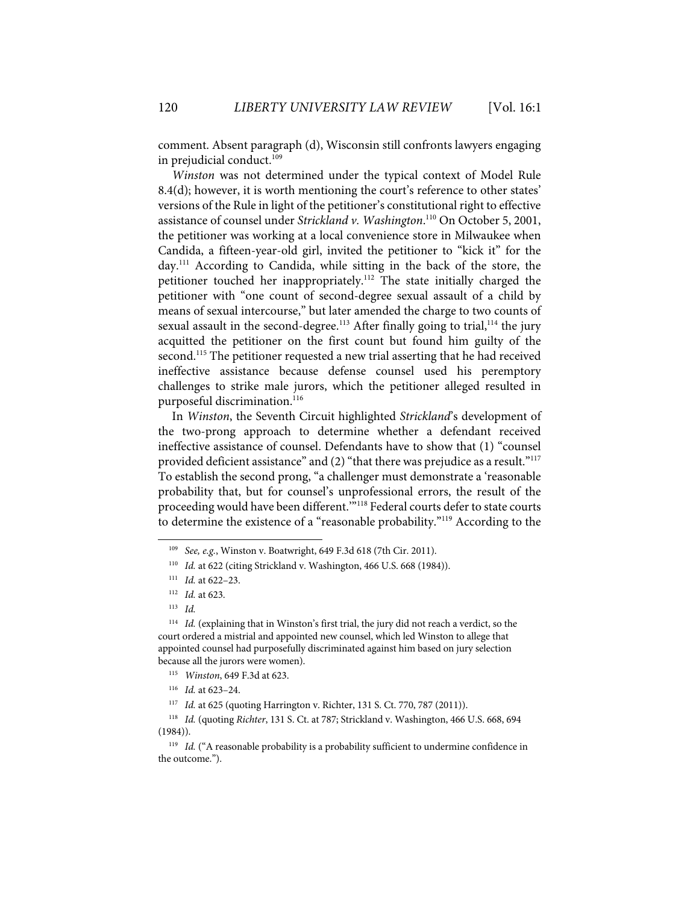comment. Absent paragraph (d), Wisconsin still confronts lawyers engaging in prejudicial conduct. 109

*Winston* was not determined under the typical context of Model Rule 8.4(d); however, it is worth mentioning the court's reference to other states' versions of the Rule in light of the petitioner's constitutional right to effective assistance of counsel under *Strickland v. Washington*. <sup>110</sup> On October 5, 2001, the petitioner was working at a local convenience store in Milwaukee when Candida, a fifteen-year-old girl, invited the petitioner to "kick it" for the day. <sup>111</sup> According to Candida, while sitting in the back of the store, the petitioner touched her inappropriately.<sup>112</sup> The state initially charged the petitioner with "one count of second-degree sexual assault of a child by means of sexual intercourse," but later amended the charge to two counts of sexual assault in the second-degree.<sup>113</sup> After finally going to trial,<sup>114</sup> the jury acquitted the petitioner on the first count but found him guilty of the second.<sup>115</sup> The petitioner requested a new trial asserting that he had received ineffective assistance because defense counsel used his peremptory challenges to strike male jurors, which the petitioner alleged resulted in purposeful discrimination.<sup>116</sup>

In *Winston*, the Seventh Circuit highlighted *Strickland*'s development of the two-prong approach to determine whether a defendant received ineffective assistance of counsel. Defendants have to show that (1) "counsel provided deficient assistance" and (2) "that there was prejudice as a result."<sup>117</sup> To establish the second prong, "a challenger must demonstrate a 'reasonable probability that, but for counsel's unprofessional errors, the result of the proceeding would have been different."<sup>118</sup> Federal courts defer to state courts to determine the existence of a "reasonable probability."119 According to the

<sup>109</sup> *See, e.g.*, Winston v. Boatwright, 649 F.3d 618 (7th Cir. 2011).

<sup>110</sup> *Id.* at 622 (citing Strickland v. Washington, 466 U.S. 668 (1984)).

<sup>111</sup> *Id.* at 622–23.

<sup>112</sup> *Id.* at 623.

<sup>113</sup> *Id.*

<sup>114</sup> *Id.* (explaining that in Winston's first trial, the jury did not reach a verdict, so the court ordered a mistrial and appointed new counsel, which led Winston to allege that appointed counsel had purposefully discriminated against him based on jury selection because all the jurors were women).

<sup>115</sup> *Winston*, 649 F.3d at 623.

<sup>116</sup> *Id.* at 623–24.

<sup>117</sup> *Id.* at 625 (quoting Harrington v. Richter, 131 S. Ct. 770, 787 (2011)).

<sup>118</sup> *Id.* (quoting *Richter*, 131 S. Ct. at 787; Strickland v. Washington, 466 U.S. 668, 694 (1984)).

<sup>&</sup>lt;sup>119</sup> *Id.* ("A reasonable probability is a probability sufficient to undermine confidence in the outcome.").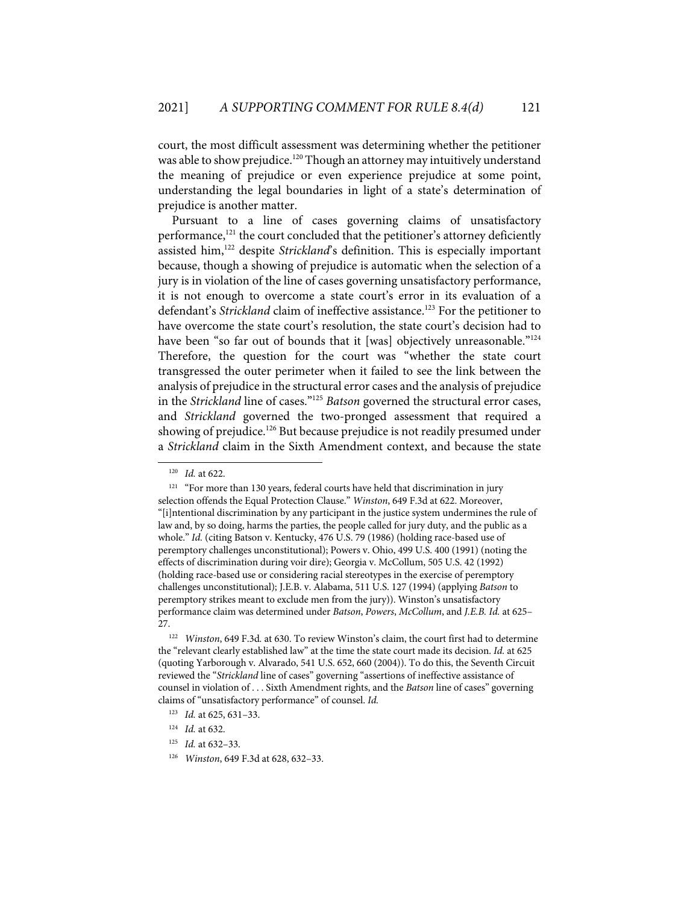court, the most difficult assessment was determining whether the petitioner was able to show prejudice.<sup>120</sup> Though an attorney may intuitively understand the meaning of prejudice or even experience prejudice at some point, understanding the legal boundaries in light of a state's determination of prejudice is another matter.

Pursuant to a line of cases governing claims of unsatisfactory performance, <sup>121</sup> the court concluded that the petitioner's attorney deficiently assisted him, <sup>122</sup> despite *Strickland*'s definition. This is especially important because, though a showing of prejudice is automatic when the selection of a jury is in violation of the line of cases governing unsatisfactory performance, it is not enough to overcome a state court's error in its evaluation of a defendant's *Strickland* claim of ineffective assistance. <sup>123</sup> For the petitioner to have overcome the state court's resolution, the state court's decision had to have been "so far out of bounds that it [was] objectively unreasonable."<sup>124</sup> Therefore, the question for the court was "whether the state court transgressed the outer perimeter when it failed to see the link between the analysis of prejudice in the structural error cases and the analysis of prejudice in the *Strickland* line of cases."125 *Batson* governed the structural error cases, and *Strickland* governed the two-pronged assessment that required a showing of prejudice.<sup>126</sup> But because prejudice is not readily presumed under a *Strickland* claim in the Sixth Amendment context, and because the state

126 *Winston*, 649 F.3d at 628, 632–33.

<sup>120</sup> *Id.* at 622.

 $121$  "For more than 130 years, federal courts have held that discrimination in jury selection offends the Equal Protection Clause." *Winston*, 649 F.3d at 622. Moreover, "[i]ntentional discrimination by any participant in the justice system undermines the rule of law and, by so doing, harms the parties, the people called for jury duty, and the public as a whole." *Id.* (citing Batson v. Kentucky, 476 U.S. 79 (1986) (holding race-based use of peremptory challenges unconstitutional); Powers v. Ohio, 499 U.S. 400 (1991) (noting the effects of discrimination during voir dire); Georgia v. McCollum, 505 U.S. 42 (1992) (holding race-based use or considering racial stereotypes in the exercise of peremptory challenges unconstitutional); J.E.B. v. Alabama, 511 U.S. 127 (1994) (applying *Batson* to peremptory strikes meant to exclude men from the jury)). Winston's unsatisfactory performance claim was determined under *Batson*, *Powers*, *McCollum*, and *J.E.B. Id.* at 625– 27.

<sup>122</sup> *Winston*, 649 F.3d*.* at 630. To review Winston's claim, the court first had to determine the "relevant clearly established law" at the time the state court made its decision. *Id.* at 625 (quoting Yarborough v. Alvarado, 541 U.S. 652, 660 (2004)). To do this, the Seventh Circuit reviewed the "*Strickland* line of cases" governing "assertions of ineffective assistance of counsel in violation of . . . Sixth Amendment rights, and the *Batson* line of cases" governing claims of "unsatisfactory performance" of counsel. *Id.*

<sup>123</sup> *Id.* at 625, 631–33.

<sup>124</sup> *Id.* at 632.

<sup>125</sup> *Id.* at 632–33.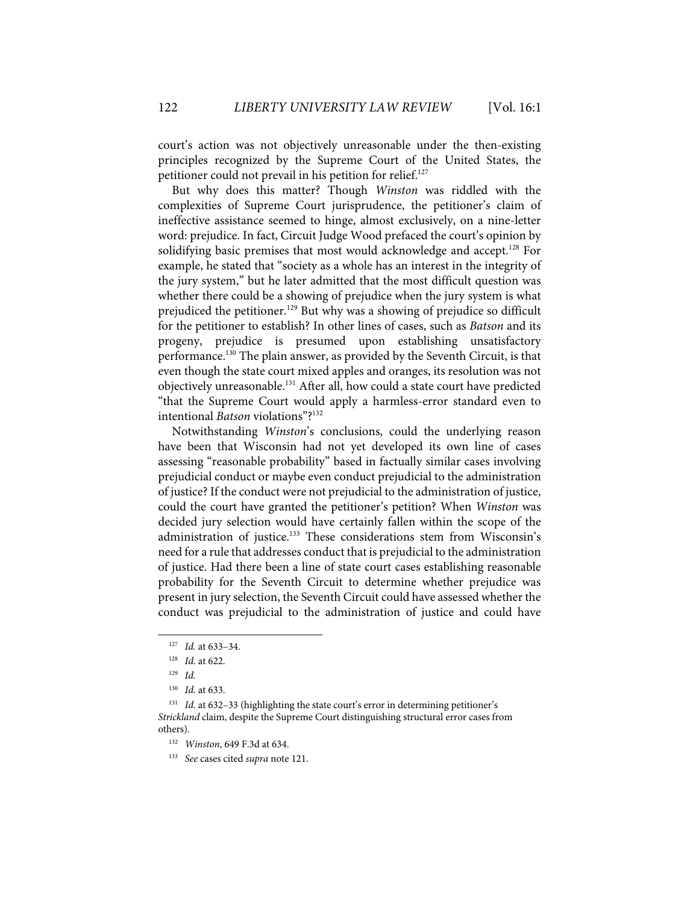court's action was not objectively unreasonable under the then-existing principles recognized by the Supreme Court of the United States, the petitioner could not prevail in his petition for relief.<sup>127</sup>

But why does this matter? Though *Winston* was riddled with the complexities of Supreme Court jurisprudence, the petitioner's claim of ineffective assistance seemed to hinge, almost exclusively, on a nine-letter word: prejudice. In fact, Circuit Judge Wood prefaced the court's opinion by solidifying basic premises that most would acknowledge and accept. <sup>128</sup> For example, he stated that "society as a whole has an interest in the integrity of the jury system," but he later admitted that the most difficult question was whether there could be a showing of prejudice when the jury system is what prejudiced the petitioner. <sup>129</sup> But why was a showing of prejudice so difficult for the petitioner to establish? In other lines of cases, such as *Batson* and its progeny, prejudice is presumed upon establishing unsatisfactory performance. <sup>130</sup> The plain answer, as provided by the Seventh Circuit, is that even though the state court mixed apples and oranges, its resolution was not objectively unreasonable. <sup>131</sup> After all, how could a state court have predicted "that the Supreme Court would apply a harmless-error standard even to intentional *Batson* violations"? 132

Notwithstanding *Winston*'s conclusions, could the underlying reason have been that Wisconsin had not yet developed its own line of cases assessing "reasonable probability" based in factually similar cases involving prejudicial conduct or maybe even conduct prejudicial to the administration of justice? If the conduct were not prejudicial to the administration of justice, could the court have granted the petitioner's petition? When *Winston* was decided jury selection would have certainly fallen within the scope of the administration of justice. <sup>133</sup> These considerations stem from Wisconsin's need for a rule that addresses conduct that is prejudicial to the administration of justice. Had there been a line of state court cases establishing reasonable probability for the Seventh Circuit to determine whether prejudice was present in jury selection, the Seventh Circuit could have assessed whether the conduct was prejudicial to the administration of justice and could have

<sup>127</sup> *Id.* at 633–34.

<sup>128</sup> *Id.* at 622.

<sup>129</sup> *Id.*

<sup>130</sup> *Id.* at 633.

<sup>131</sup> *Id.* at 632–33 (highlighting the state court's error in determining petitioner's *Strickland* claim, despite the Supreme Court distinguishing structural error cases from others).

<sup>132</sup> *Winston*, 649 F.3d at 634.

<sup>133</sup> *See* cases cited *supra* note 121.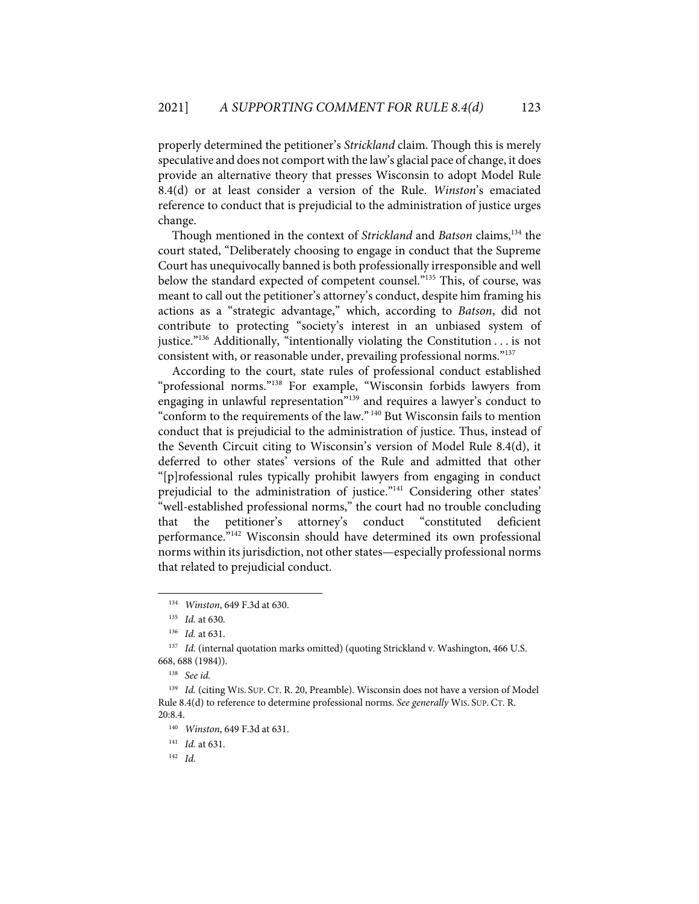properly determined the petitioner's *Strickland* claim. Though this is merely speculative and does not comport with the law's glacial pace of change, it does provide an alternative theory that presses Wisconsin to adopt Model Rule 8.4(d) or at least consider a version of the Rule. *Winston*'s emaciated reference to conduct that is prejudicial to the administration of justice urges change.

Though mentioned in the context of *Strickland* and *Batson* claims,134 the court stated, "Deliberately choosing to engage in conduct that the Supreme Court has unequivocally banned is both professionally irresponsible and well below the standard expected of competent counsel."<sup>135</sup> This, of course, was meant to call out the petitioner's attorney's conduct, despite him framing his actions as a "strategic advantage," which, according to *Batson*, did not contribute to protecting "society's interest in an unbiased system of justice."136 Additionally, "intentionally violating the Constitution . . . is not consistent with, or reasonable under, prevailing professional norms."137

According to the court, state rules of professional conduct established "professional norms."138 For example, "Wisconsin forbids lawyers from engaging in unlawful representation"139 and requires a lawyer's conduct to "conform to the requirements of the law." <sup>140</sup> But Wisconsin fails to mention conduct that is prejudicial to the administration of justice. Thus, instead of the Seventh Circuit citing to Wisconsin's version of Model Rule 8.4(d), it deferred to other states' versions of the Rule and admitted that other "[p]rofessional rules typically prohibit lawyers from engaging in conduct prejudicial to the administration of justice."<sup>141</sup> Considering other states' "well-established professional norms," the court had no trouble concluding that the petitioner's attorney's conduct "constituted deficient performance."142 Wisconsin should have determined its own professional norms within its jurisdiction, not other states—especially professional norms that related to prejudicial conduct.

141 *Id.* at 631.

142 *Id.*

<sup>134</sup> *Winston*, 649 F.3d at 630.

<sup>135</sup> *Id.* at 630.

<sup>136</sup> *Id.* at 631.

<sup>&</sup>lt;sup>137</sup> *Id.* (internal quotation marks omitted) (quoting Strickland v. Washington, 466 U.S. 668, 688 (1984)).

<sup>138</sup> *See id.*

<sup>139</sup> *Id.* (citing WIS. SUP. CT. R. 20, Preamble). Wisconsin does not have a version of Model Rule 8.4(d) to reference to determine professional norms. *See generally* WIS. SUP. CT. R. 20:8.4.

<sup>140</sup> *Winston*, 649 F.3d at 631.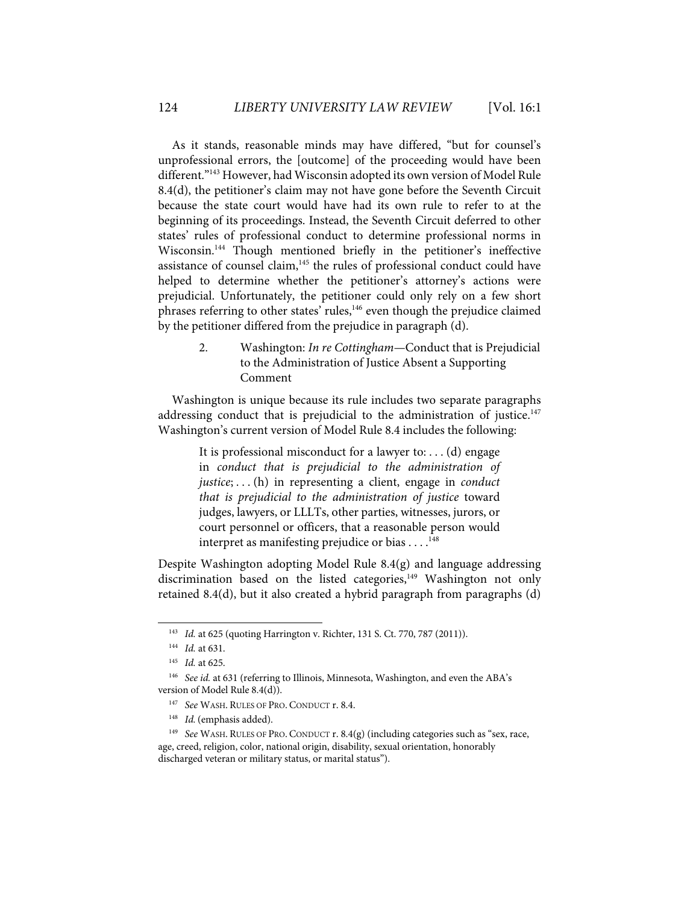As it stands, reasonable minds may have differed, "but for counsel's unprofessional errors, the [outcome] of the proceeding would have been different."143 However, had Wisconsin adopted its own version of Model Rule 8.4(d), the petitioner's claim may not have gone before the Seventh Circuit because the state court would have had its own rule to refer to at the beginning of its proceedings. Instead, the Seventh Circuit deferred to other states' rules of professional conduct to determine professional norms in Wisconsin. <sup>144</sup> Though mentioned briefly in the petitioner's ineffective assistance of counsel claim, $145$  the rules of professional conduct could have helped to determine whether the petitioner's attorney's actions were prejudicial. Unfortunately, the petitioner could only rely on a few short phrases referring to other states' rules,<sup>146</sup> even though the prejudice claimed by the petitioner differed from the prejudice in paragraph (d).

> 2. Washington: *In re Cottingham*—Conduct that is Prejudicial to the Administration of Justice Absent a Supporting Comment

Washington is unique because its rule includes two separate paragraphs addressing conduct that is prejudicial to the administration of justice. $147$ Washington's current version of Model Rule 8.4 includes the following:

> It is professional misconduct for a lawyer to: . . . (d) engage in *conduct that is prejudicial to the administration of justice*; . . . (h) in representing a client, engage in *conduct that is prejudicial to the administration of justice* toward judges, lawyers, or LLLTs, other parties, witnesses, jurors, or court personnel or officers, that a reasonable person would interpret as manifesting prejudice or bias . . . . 148

Despite Washington adopting Model Rule 8.4(g) and language addressing discrimination based on the listed categories,<sup>149</sup> Washington not only retained 8.4(d), but it also created a hybrid paragraph from paragraphs (d)

<sup>143</sup> *Id.* at 625 (quoting Harrington v. Richter, 131 S. Ct. 770, 787 (2011)).

<sup>144</sup> *Id.* at 631.

<sup>145</sup> *Id.* at 625.

<sup>&</sup>lt;sup>146</sup> *See id.* at 631 (referring to Illinois, Minnesota, Washington, and even the ABA's version of Model Rule 8.4(d)).

<sup>147</sup> *See* WASH. RULES OF PRO. CONDUCT r. 8.4.

<sup>148</sup> *Id.*(emphasis added).

<sup>&</sup>lt;sup>149</sup> *See* WASH. RULES OF PRO. CONDUCT r. 8.4(g) (including categories such as "sex, race, age, creed, religion, color, national origin, disability, sexual orientation, honorably discharged veteran or military status, or marital status").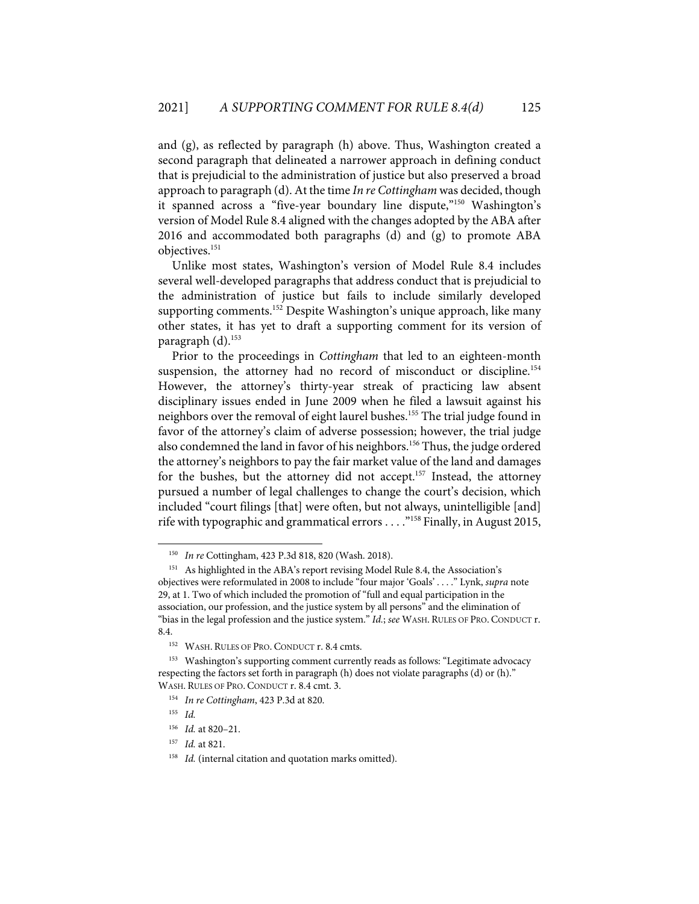and (g), as reflected by paragraph (h) above. Thus, Washington created a second paragraph that delineated a narrower approach in defining conduct that is prejudicial to the administration of justice but also preserved a broad approach to paragraph (d). At the time *In re Cottingham* was decided, though it spanned across a "five-year boundary line dispute,"<sup>150</sup> Washington's version of Model Rule 8.4 aligned with the changes adopted by the ABA after 2016 and accommodated both paragraphs (d) and (g) to promote ABA objectives. 151

Unlike most states, Washington's version of Model Rule 8.4 includes several well-developed paragraphs that address conduct that is prejudicial to the administration of justice but fails to include similarly developed supporting comments.<sup>152</sup> Despite Washington's unique approach, like many other states, it has yet to draft a supporting comment for its version of paragraph (d).153

Prior to the proceedings in *Cottingham* that led to an eighteen-month suspension, the attorney had no record of misconduct or discipline.<sup>154</sup> However, the attorney's thirty-year streak of practicing law absent disciplinary issues ended in June 2009 when he filed a lawsuit against his neighbors over the removal of eight laurel bushes.155 The trial judge found in favor of the attorney's claim of adverse possession; however, the trial judge also condemned the land in favor of his neighbors.<sup>156</sup> Thus, the judge ordered the attorney's neighbors to pay the fair market value of the land and damages for the bushes, but the attorney did not accept.<sup>157</sup> Instead, the attorney pursued a number of legal challenges to change the court's decision, which included "court filings [that] were often, but not always, unintelligible [and] rife with typographic and grammatical errors . . . ."158 Finally, in August 2015,

<sup>150</sup> *In re* Cottingham, 423 P.3d 818, 820 (Wash. 2018).

<sup>151</sup> As highlighted in the ABA's report revising Model Rule 8.4, the Association's objectives were reformulated in 2008 to include "four major 'Goals' . . . ." Lynk, *supra* note 29, at 1. Two of which included the promotion of "full and equal participation in the association, our profession, and the justice system by all persons" and the elimination of "bias in the legal profession and the justice system." *Id.*; *see* WASH. RULES OF PRO. CONDUCT r. 8.4.

<sup>&</sup>lt;sup>152</sup> WASH. RULES OF PRO. CONDUCT r. 8.4 cmts.

<sup>&</sup>lt;sup>153</sup> Washington's supporting comment currently reads as follows: "Legitimate advocacy respecting the factors set forth in paragraph (h) does not violate paragraphs (d) or (h)." WASH. RULES OF PRO. CONDUCT r. 8.4 cmt. 3.

<sup>154</sup> *In re Cottingham*, 423 P.3d at 820.

<sup>155</sup> *Id.* 

<sup>156</sup> *Id.* at 820–21.

<sup>157</sup> *Id.* at 821.

<sup>&</sup>lt;sup>158</sup> *Id.* (internal citation and quotation marks omitted).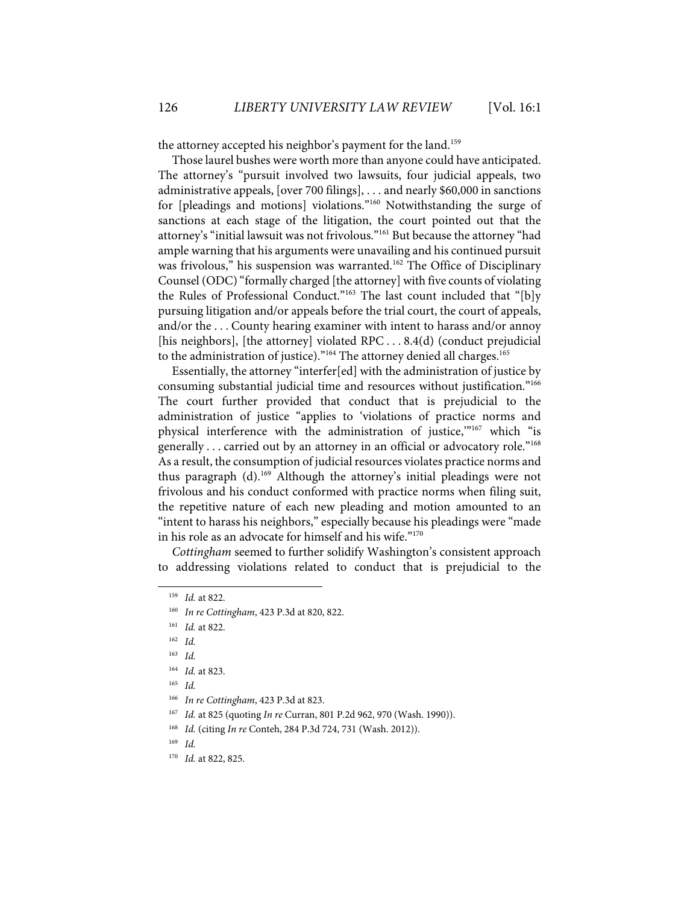the attorney accepted his neighbor's payment for the land.<sup>159</sup>

Those laurel bushes were worth more than anyone could have anticipated. The attorney's "pursuit involved two lawsuits, four judicial appeals, two administrative appeals, [over 700 filings], . . . and nearly \$60,000 in sanctions for [pleadings and motions] violations."<sup>160</sup> Notwithstanding the surge of sanctions at each stage of the litigation, the court pointed out that the attorney's "initial lawsuit was not frivolous."<sup>161</sup> But because the attorney "had ample warning that his arguments were unavailing and his continued pursuit was frivolous," his suspension was warranted.<sup>162</sup> The Office of Disciplinary Counsel (ODC) "formally charged [the attorney] with five counts of violating the Rules of Professional Conduct."<sup>163</sup> The last count included that "[b]y pursuing litigation and/or appeals before the trial court, the court of appeals, and/or the . . . County hearing examiner with intent to harass and/or annoy [his neighbors], [the attorney] violated RPC  $\dots$  8.4(d) (conduct prejudicial to the administration of justice). $"164$  The attorney denied all charges. $165$ 

Essentially, the attorney "interfer[ed] with the administration of justice by consuming substantial judicial time and resources without justification."166 The court further provided that conduct that is prejudicial to the administration of justice "applies to 'violations of practice norms and physical interference with the administration of justice,"<sup>167</sup> which "is generally . . . carried out by an attorney in an official or advocatory role."168 As a result, the consumption of judicial resources violates practice norms and thus paragraph (d).<sup>169</sup> Although the attorney's initial pleadings were not frivolous and his conduct conformed with practice norms when filing suit, the repetitive nature of each new pleading and motion amounted to an "intent to harass his neighbors," especially because his pleadings were "made in his role as an advocate for himself and his wife."170

*Cottingham* seemed to further solidify Washington's consistent approach to addressing violations related to conduct that is prejudicial to the

<sup>159</sup> *Id.* at 822.

<sup>160</sup> *In re Cottingham*, 423 P.3d at 820, 822.

<sup>161</sup> *Id.* at 822.

<sup>162</sup> *Id.* 

<sup>163</sup> *Id.* 

<sup>164</sup> *Id.* at 823.

<sup>165</sup> *Id.*

<sup>166</sup> *In re Cottingham*, 423 P.3d at 823.

<sup>167</sup> *Id.* at 825 (quoting *In re* Curran, 801 P.2d 962, 970 (Wash. 1990)).

<sup>168</sup> *Id.* (citing *In re* Conteh, 284 P.3d 724, 731 (Wash. 2012)).

<sup>169</sup> *Id.*

<sup>170</sup> *Id.* at 822, 825.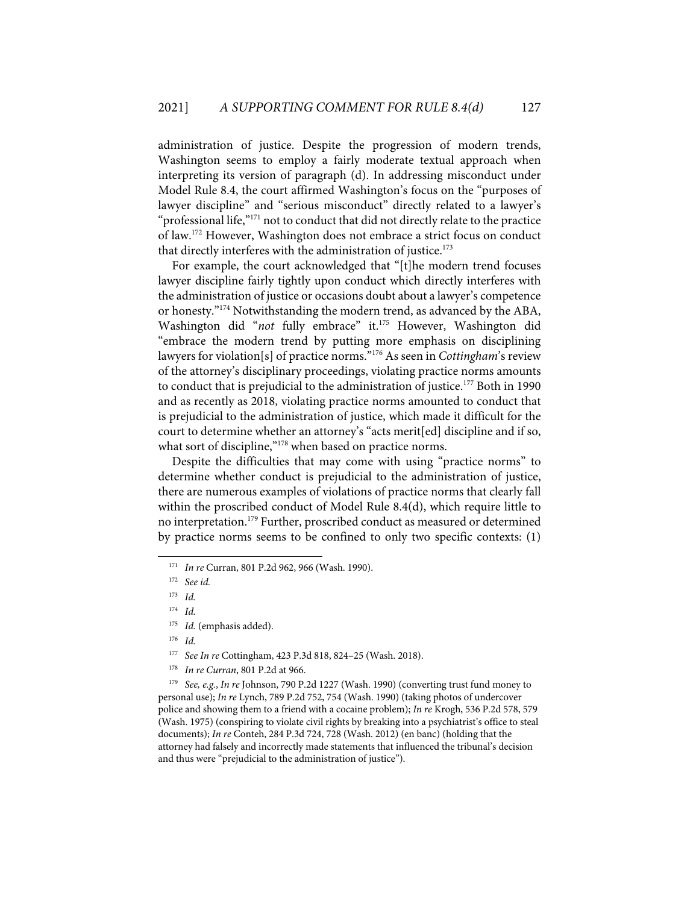administration of justice. Despite the progression of modern trends, Washington seems to employ a fairly moderate textual approach when interpreting its version of paragraph (d). In addressing misconduct under Model Rule 8.4, the court affirmed Washington's focus on the "purposes of lawyer discipline" and "serious misconduct" directly related to a lawyer's "professional life,"<sup>171</sup> not to conduct that did not directly relate to the practice of law.172 However, Washington does not embrace a strict focus on conduct that directly interferes with the administration of justice.<sup>173</sup>

For example, the court acknowledged that "[t]he modern trend focuses lawyer discipline fairly tightly upon conduct which directly interferes with the administration of justice or occasions doubt about a lawyer's competence or honesty."174 Notwithstanding the modern trend, as advanced by the ABA, Washington did "not fully embrace" it.<sup>175</sup> However, Washington did "embrace the modern trend by putting more emphasis on disciplining lawyers for violation[s] of practice norms."176 As seen in *Cottingham*'s review of the attorney's disciplinary proceedings, violating practice norms amounts to conduct that is prejudicial to the administration of justice.<sup>177</sup> Both in 1990 and as recently as 2018, violating practice norms amounted to conduct that is prejudicial to the administration of justice, which made it difficult for the court to determine whether an attorney's "acts merit[ed] discipline and if so, what sort of discipline,"<sup>178</sup> when based on practice norms.

Despite the difficulties that may come with using "practice norms" to determine whether conduct is prejudicial to the administration of justice, there are numerous examples of violations of practice norms that clearly fall within the proscribed conduct of Model Rule 8.4(d), which require little to no interpretation.<sup>179</sup> Further, proscribed conduct as measured or determined by practice norms seems to be confined to only two specific contexts: (1)

<sup>171</sup> *In re* Curran, 801 P.2d 962, 966 (Wash. 1990).

<sup>172</sup> *See id.*

<sup>173</sup> *Id.*

<sup>174</sup> *Id.*

<sup>175</sup> *Id.* (emphasis added).

<sup>176</sup> *Id.*

<sup>177</sup> *See In re* Cottingham, 423 P.3d 818, 824–25 (Wash. 2018).

<sup>178</sup> *In re Curran*, 801 P.2d at 966.

<sup>179</sup> *See, e.g.*, *In re* Johnson, 790 P.2d 1227 (Wash. 1990) (converting trust fund money to personal use); *In re* Lynch, 789 P.2d 752, 754 (Wash. 1990) (taking photos of undercover police and showing them to a friend with a cocaine problem); *In re* Krogh, 536 P.2d 578, 579 (Wash. 1975) (conspiring to violate civil rights by breaking into a psychiatrist's office to steal documents); *In re* Conteh, 284 P.3d 724, 728 (Wash. 2012) (en banc) (holding that the attorney had falsely and incorrectly made statements that influenced the tribunal's decision and thus were "prejudicial to the administration of justice").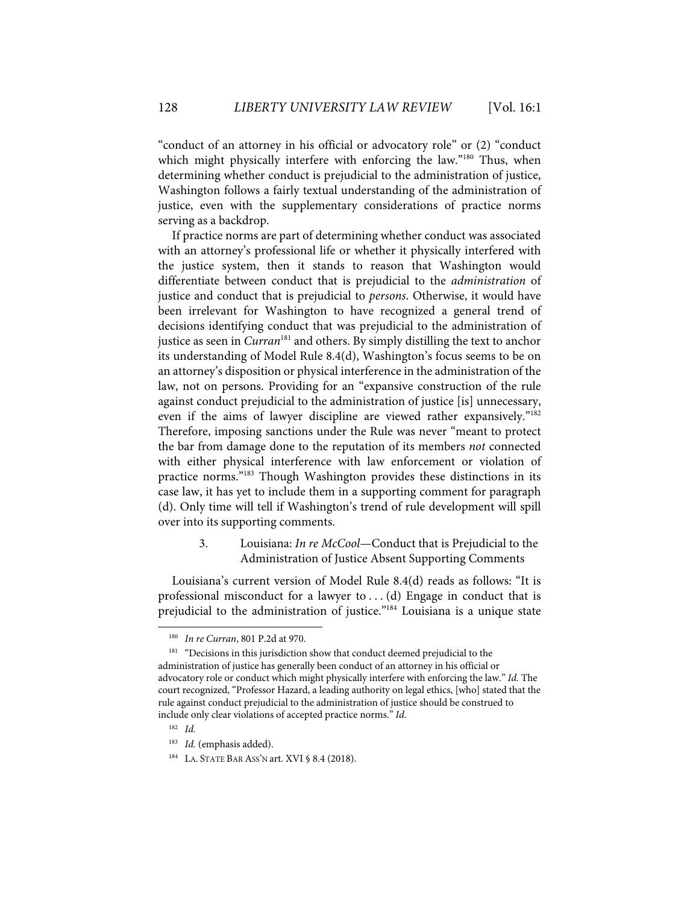"conduct of an attorney in his official or advocatory role" or (2) "conduct which might physically interfere with enforcing the law."<sup>180</sup> Thus, when determining whether conduct is prejudicial to the administration of justice, Washington follows a fairly textual understanding of the administration of justice, even with the supplementary considerations of practice norms serving as a backdrop.

If practice norms are part of determining whether conduct was associated with an attorney's professional life or whether it physically interfered with the justice system, then it stands to reason that Washington would differentiate between conduct that is prejudicial to the *administration* of justice and conduct that is prejudicial to *persons*. Otherwise, it would have been irrelevant for Washington to have recognized a general trend of decisions identifying conduct that was prejudicial to the administration of justice as seen in *Curran*<sup>181</sup> and others. By simply distilling the text to anchor its understanding of Model Rule 8.4(d), Washington's focus seems to be on an attorney's disposition or physical interference in the administration of the law, not on persons. Providing for an "expansive construction of the rule against conduct prejudicial to the administration of justice [is] unnecessary, even if the aims of lawyer discipline are viewed rather expansively."182 Therefore, imposing sanctions under the Rule was never "meant to protect the bar from damage done to the reputation of its members *not* connected with either physical interference with law enforcement or violation of practice norms."183 Though Washington provides these distinctions in its case law, it has yet to include them in a supporting comment for paragraph (d). Only time will tell if Washington's trend of rule development will spill over into its supporting comments.

> 3. Louisiana: *In re McCool*—Conduct that is Prejudicial to the Administration of Justice Absent Supporting Comments

Louisiana's current version of Model Rule 8.4(d) reads as follows: "It is professional misconduct for a lawyer to . . . (d) Engage in conduct that is prejudicial to the administration of justice."184 Louisiana is a unique state

<sup>180</sup> *In re Curran*, 801 P.2d at 970.

<sup>&</sup>lt;sup>181</sup> "Decisions in this jurisdiction show that conduct deemed prejudicial to the administration of justice has generally been conduct of an attorney in his official or advocatory role or conduct which might physically interfere with enforcing the law." *Id.* The court recognized, "Professor Hazard, a leading authority on legal ethics, [who] stated that the rule against conduct prejudicial to the administration of justice should be construed to include only clear violations of accepted practice norms." *Id.*

<sup>182</sup> *Id.*

<sup>183</sup> *Id.* (emphasis added).

<sup>&</sup>lt;sup>184</sup> LA. STATE BAR ASS'N art. XVI § 8.4 (2018).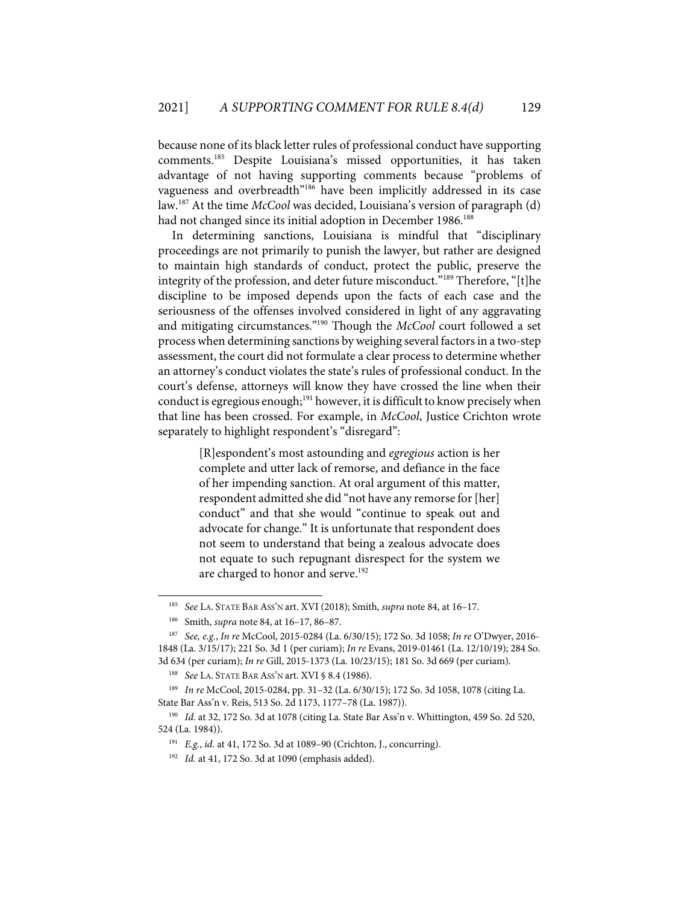because none of its black letter rules of professional conduct have supporting comments.185 Despite Louisiana's missed opportunities, it has taken advantage of not having supporting comments because "problems of vagueness and overbreadth"186 have been implicitly addressed in its case law.187 At the time *McCool* was decided, Louisiana's version of paragraph (d) had not changed since its initial adoption in December 1986.<sup>188</sup>

In determining sanctions, Louisiana is mindful that "disciplinary proceedings are not primarily to punish the lawyer, but rather are designed to maintain high standards of conduct, protect the public, preserve the integrity of the profession, and deter future misconduct."189 Therefore, "[t]he discipline to be imposed depends upon the facts of each case and the seriousness of the offenses involved considered in light of any aggravating and mitigating circumstances."190 Though the *McCool* court followed a set process when determining sanctions by weighing several factors in a two-step assessment, the court did not formulate a clear process to determine whether an attorney's conduct violates the state's rules of professional conduct. In the court's defense, attorneys will know they have crossed the line when their conduct is egregious enough;<sup>191</sup> however, it is difficult to know precisely when that line has been crossed. For example, in *McCool*, Justice Crichton wrote separately to highlight respondent's "disregard":

> [R]espondent's most astounding and *egregious* action is her complete and utter lack of remorse, and defiance in the face of her impending sanction. At oral argument of this matter, respondent admitted she did "not have any remorse for [her] conduct" and that she would "continue to speak out and advocate for change." It is unfortunate that respondent does not seem to understand that being a zealous advocate does not equate to such repugnant disrespect for the system we are charged to honor and serve.<sup>192</sup>

<sup>185</sup> *See* LA. STATE BAR ASS'N art. XVI (2018); Smith, *supra* note 84, at 16–17.

<sup>186</sup> Smith, *supra* note 84, at 16–17, 86–87.

<sup>187</sup> *See, e.g.*, *In re* McCool, 2015-0284 (La. 6/30/15); 172 So. 3d 1058; *In re* O'Dwyer, 2016- 1848 (La. 3/15/17); 221 So. 3d 1 (per curiam); *In re* Evans, 2019-01461 (La. 12/10/19); 284 So. 3d 634 (per curiam); *In re* Gill, 2015-1373 (La. 10/23/15); 181 So. 3d 669 (per curiam).

<sup>188</sup> *See* LA. STATE BAR ASS'N art. XVI § 8.4 (1986).

<sup>189</sup> *In re* McCool, 2015-0284, pp. 31–32 (La. 6/30/15); 172 So. 3d 1058, 1078 (citing La. State Bar Ass'n v. Reis, 513 So. 2d 1173, 1177–78 (La. 1987)).

<sup>190</sup> *Id.* at 32, 172 So. 3d at 1078 (citing La. State Bar Ass'n v. Whittington, 459 So. 2d 520, 524 (La. 1984)).

<sup>191</sup> *E.g.*, *id.* at 41, 172 So. 3d at 1089–90 (Crichton, J., concurring).

<sup>192</sup> *Id.* at 41, 172 So. 3d at 1090 (emphasis added).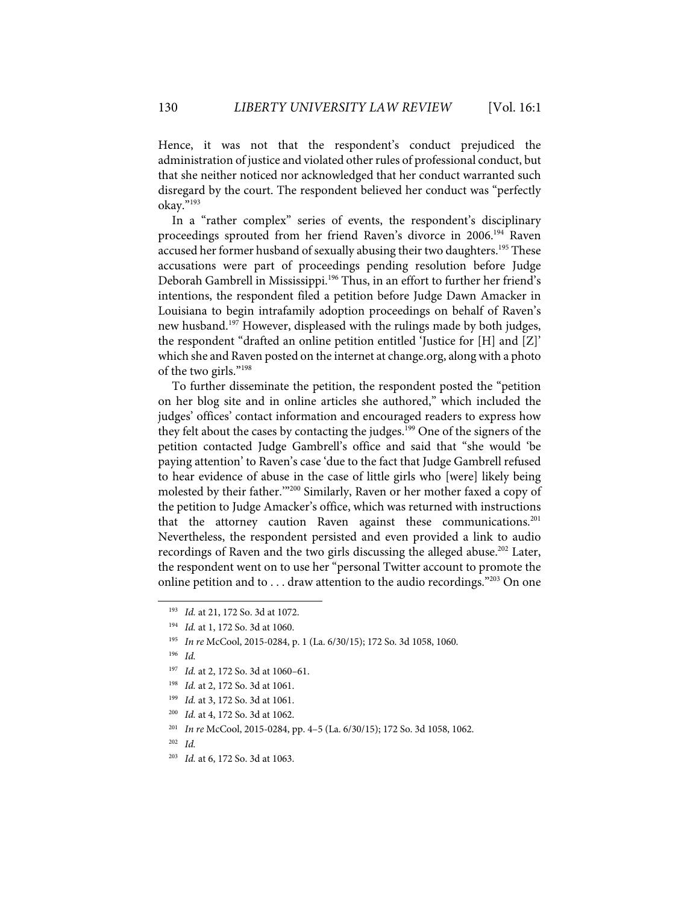Hence, it was not that the respondent's conduct prejudiced the administration of justice and violated other rules of professional conduct, but that she neither noticed nor acknowledged that her conduct warranted such disregard by the court. The respondent believed her conduct was "perfectly okay."193

In a "rather complex" series of events, the respondent's disciplinary proceedings sprouted from her friend Raven's divorce in 2006.194 Raven accused her former husband of sexually abusing their two daughters.<sup>195</sup> These accusations were part of proceedings pending resolution before Judge Deborah Gambrell in Mississippi.<sup>196</sup> Thus, in an effort to further her friend's intentions, the respondent filed a petition before Judge Dawn Amacker in Louisiana to begin intrafamily adoption proceedings on behalf of Raven's new husband.<sup>197</sup> However, displeased with the rulings made by both judges, the respondent "drafted an online petition entitled 'Justice for [H] and [Z]' which she and Raven posted on the internet at change.org, along with a photo of the two girls."198

To further disseminate the petition, the respondent posted the "petition on her blog site and in online articles she authored," which included the judges' offices' contact information and encouraged readers to express how they felt about the cases by contacting the judges.<sup>199</sup> One of the signers of the petition contacted Judge Gambrell's office and said that "she would 'be paying attention' to Raven's case 'due to the fact that Judge Gambrell refused to hear evidence of abuse in the case of little girls who [were] likely being molested by their father.'"200 Similarly, Raven or her mother faxed a copy of the petition to Judge Amacker's office, which was returned with instructions that the attorney caution Raven against these communications.<sup>201</sup> Nevertheless, the respondent persisted and even provided a link to audio recordings of Raven and the two girls discussing the alleged abuse.<sup>202</sup> Later, the respondent went on to use her "personal Twitter account to promote the online petition and to . . . draw attention to the audio recordings."<sup>203</sup> On one

- 198 *Id.* at 2, 172 So. 3d at 1061.
- 199 *Id.* at 3, 172 So. 3d at 1061.
- 200 *Id.* at 4, 172 So. 3d at 1062.
- 201 *In re* McCool, 2015-0284, pp. 4–5 (La. 6/30/15); 172 So. 3d 1058, 1062.
- 202 *Id.*
- 203 *Id.* at 6, 172 So. 3d at 1063.

<sup>193</sup> *Id.* at 21, 172 So. 3d at 1072.

<sup>194</sup> *Id.* at 1, 172 So. 3d at 1060.

<sup>195</sup> *In re* McCool, 2015-0284, p. 1 (La. 6/30/15); 172 So. 3d 1058, 1060.

<sup>196</sup> *Id.*

<sup>197</sup> *Id.* at 2, 172 So. 3d at 1060–61.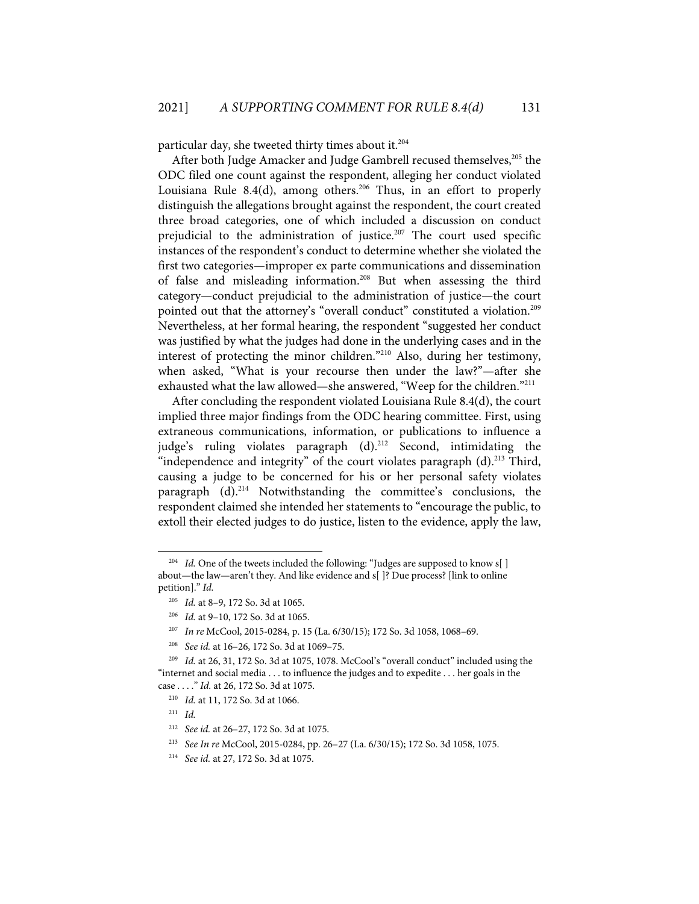particular day, she tweeted thirty times about it.<sup>204</sup>

After both Judge Amacker and Judge Gambrell recused themselves,<sup>205</sup> the ODC filed one count against the respondent, alleging her conduct violated Louisiana Rule 8.4(d), among others.<sup>206</sup> Thus, in an effort to properly distinguish the allegations brought against the respondent, the court created three broad categories, one of which included a discussion on conduct prejudicial to the administration of justice.<sup>207</sup> The court used specific instances of the respondent's conduct to determine whether she violated the first two categories—improper ex parte communications and dissemination of false and misleading information. <sup>208</sup> But when assessing the third category—conduct prejudicial to the administration of justice—the court pointed out that the attorney's "overall conduct" constituted a violation. 209 Nevertheless, at her formal hearing, the respondent "suggested her conduct was justified by what the judges had done in the underlying cases and in the interest of protecting the minor children."210 Also, during her testimony, when asked, "What is your recourse then under the law?"—after she exhausted what the law allowed—she answered, "Weep for the children."<sup>211</sup>

After concluding the respondent violated Louisiana Rule 8.4(d), the court implied three major findings from the ODC hearing committee. First, using extraneous communications, information, or publications to influence a judge's ruling violates paragraph (d).<sup>212</sup> Second, intimidating the "independence and integrity" of the court violates paragraph  $(d)$ .<sup>213</sup> Third, causing a judge to be concerned for his or her personal safety violates  $\alpha$  paragraph  $(d)$ .<sup>214</sup> Notwithstanding the committee's conclusions, the respondent claimed she intended her statements to "encourage the public, to extoll their elected judges to do justice, listen to the evidence, apply the law,

<sup>&</sup>lt;sup>204</sup> *Id.* One of the tweets included the following: "Judges are supposed to know s[] about—the law—aren't they. And like evidence and s[ ]? Due process? [link to online petition]." *Id.*

<sup>205</sup> *Id.* at 8–9, 172 So. 3d at 1065.

<sup>206</sup> *Id.* at 9–10, 172 So. 3d at 1065.

<sup>207</sup> *In re* McCool, 2015-0284, p. 15 (La. 6/30/15); 172 So. 3d 1058, 1068–69.

<sup>208</sup> *See id.* at 16–26, 172 So. 3d at 1069–75.

<sup>209</sup> *Id.* at 26, 31, 172 So. 3d at 1075, 1078. McCool's "overall conduct" included using the "internet and social media . . . to influence the judges and to expedite . . . her goals in the case . . . ." *Id.* at 26, 172 So. 3d at 1075.

<sup>210</sup> *Id.* at 11, 172 So. 3d at 1066.

<sup>211</sup> *Id.*

<sup>212</sup> *See id.* at 26–27, 172 So. 3d at 1075.

<sup>213</sup> *See In re* McCool, 2015-0284, pp. 26–27 (La. 6/30/15); 172 So. 3d 1058, 1075.

<sup>214</sup> *See id.* at 27, 172 So. 3d at 1075.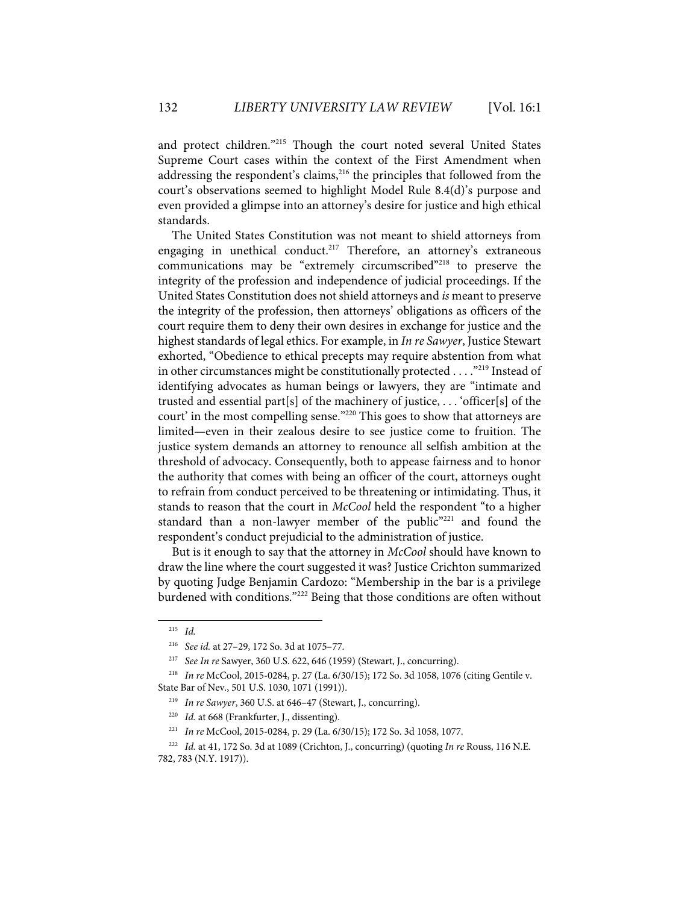and protect children."215 Though the court noted several United States Supreme Court cases within the context of the First Amendment when addressing the respondent's claims,<sup>216</sup> the principles that followed from the court's observations seemed to highlight Model Rule 8.4(d)'s purpose and even provided a glimpse into an attorney's desire for justice and high ethical standards.

The United States Constitution was not meant to shield attorneys from engaging in unethical conduct.<sup>217</sup> Therefore, an attorney's extraneous communications may be "extremely circumscribed"218 to preserve the integrity of the profession and independence of judicial proceedings. If the United States Constitution does not shield attorneys and *is* meant to preserve the integrity of the profession, then attorneys' obligations as officers of the court require them to deny their own desires in exchange for justice and the highest standards of legal ethics. For example, in *In re Sawyer*, Justice Stewart exhorted, "Obedience to ethical precepts may require abstention from what in other circumstances might be constitutionally protected . . . . "<sup>219</sup> Instead of identifying advocates as human beings or lawyers, they are "intimate and trusted and essential part[s] of the machinery of justice, . . . 'officer[s] of the court' in the most compelling sense."220 This goes to show that attorneys are limited—even in their zealous desire to see justice come to fruition. The justice system demands an attorney to renounce all selfish ambition at the threshold of advocacy. Consequently, both to appease fairness and to honor the authority that comes with being an officer of the court, attorneys ought to refrain from conduct perceived to be threatening or intimidating. Thus, it stands to reason that the court in *McCool* held the respondent "to a higher standard than a non-lawyer member of the public"<sup>221</sup> and found the respondent's conduct prejudicial to the administration of justice.

But is it enough to say that the attorney in *McCool* should have known to draw the line where the court suggested it was? Justice Crichton summarized by quoting Judge Benjamin Cardozo: "Membership in the bar is a privilege burdened with conditions."<sup>222</sup> Being that those conditions are often without

<sup>215</sup> *Id.*

<sup>216</sup> *See id.* at 27–29, 172 So. 3d at 1075–77.

<sup>217</sup> *See In re* Sawyer, 360 U.S. 622, 646 (1959) (Stewart, J., concurring).

<sup>218</sup> *In re* McCool, 2015-0284, p. 27 (La. 6/30/15); 172 So. 3d 1058, 1076 (citing Gentile v. State Bar of Nev., 501 U.S. 1030, 1071 (1991)).

<sup>219</sup> *In re Sawyer*, 360 U.S. at 646–47 (Stewart, J., concurring).

<sup>&</sup>lt;sup>220</sup> *Id.* at 668 (Frankfurter, J., dissenting).

<sup>221</sup> *In re* McCool, 2015-0284, p. 29 (La. 6/30/15); 172 So. 3d 1058, 1077.

<sup>222</sup> *Id.* at 41, 172 So. 3d at 1089 (Crichton, J., concurring) (quoting *In re* Rouss, 116 N.E. 782, 783 (N.Y. 1917)).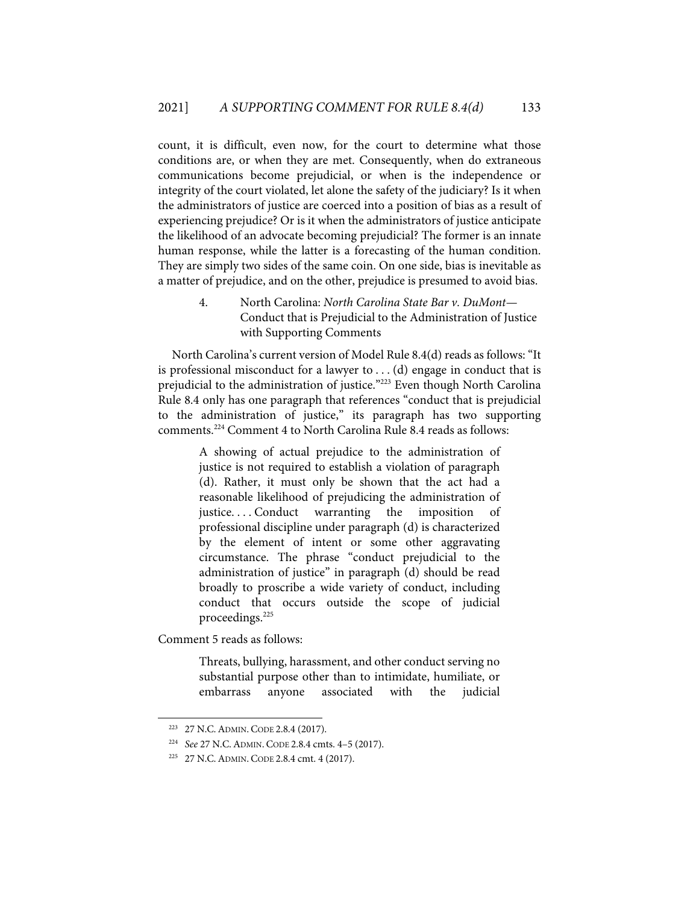count, it is difficult, even now, for the court to determine what those conditions are, or when they are met. Consequently, when do extraneous communications become prejudicial, or when is the independence or integrity of the court violated, let alone the safety of the judiciary? Is it when the administrators of justice are coerced into a position of bias as a result of experiencing prejudice? Or is it when the administrators of justice anticipate the likelihood of an advocate becoming prejudicial? The former is an innate human response, while the latter is a forecasting of the human condition. They are simply two sides of the same coin. On one side, bias is inevitable as a matter of prejudice, and on the other, prejudice is presumed to avoid bias.

> 4. North Carolina: *North Carolina State Bar v. DuMont*— Conduct that is Prejudicial to the Administration of Justice with Supporting Comments

North Carolina's current version of Model Rule 8.4(d) reads as follows: "It is professional misconduct for a lawyer to  $\dots$  (d) engage in conduct that is prejudicial to the administration of justice."223 Even though North Carolina Rule 8.4 only has one paragraph that references "conduct that is prejudicial to the administration of justice," its paragraph has two supporting comments.224 Comment 4 to North Carolina Rule 8.4 reads as follows:

> A showing of actual prejudice to the administration of justice is not required to establish a violation of paragraph (d). Rather, it must only be shown that the act had a reasonable likelihood of prejudicing the administration of justice....Conduct warranting the imposition of professional discipline under paragraph (d) is characterized by the element of intent or some other aggravating circumstance. The phrase "conduct prejudicial to the administration of justice" in paragraph (d) should be read broadly to proscribe a wide variety of conduct, including conduct that occurs outside the scope of judicial proceedings.<sup>225</sup>

Comment 5 reads as follows:

Threats, bullying, harassment, and other conduct serving no substantial purpose other than to intimidate, humiliate, or embarrass anyone associated with the judicial

<sup>223 27</sup> N.C.ADMIN. CODE 2.8.4 (2017).

<sup>224</sup> *See* 27 N.C.ADMIN. CODE 2.8.4 cmts. 4–5 (2017).

<sup>225 27</sup> N.C.ADMIN. CODE 2.8.4 cmt. 4 (2017).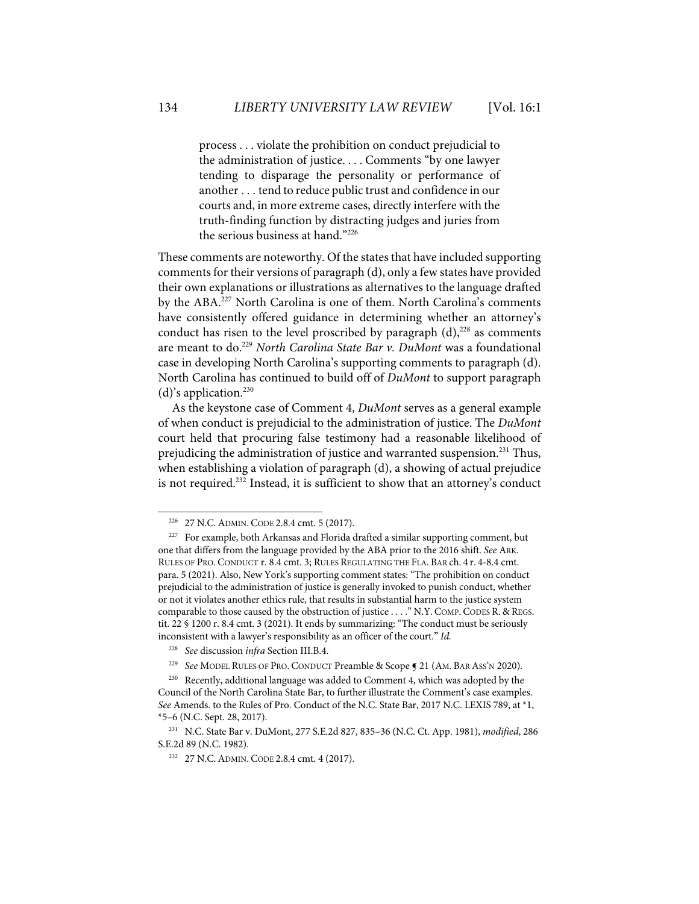process . . . violate the prohibition on conduct prejudicial to the administration of justice. . . . Comments "by one lawyer tending to disparage the personality or performance of another . . . tend to reduce public trust and confidence in our courts and, in more extreme cases, directly interfere with the truth-finding function by distracting judges and juries from the serious business at hand."226

These comments are noteworthy. Of the states that have included supporting comments for their versions of paragraph (d), only a few states have provided their own explanations or illustrations as alternatives to the language drafted by the ABA. <sup>227</sup> North Carolina is one of them. North Carolina's comments have consistently offered guidance in determining whether an attorney's conduct has risen to the level proscribed by paragraph  $(d)$ ,<sup>228</sup> as comments are meant to do.229 *North Carolina State Bar v. DuMont* was a foundational case in developing North Carolina's supporting comments to paragraph (d). North Carolina has continued to build off of *DuMont* to support paragraph (d)'s application. 230

As the keystone case of Comment 4, *DuMont* serves as a general example of when conduct is prejudicial to the administration of justice. The *DuMont* court held that procuring false testimony had a reasonable likelihood of prejudicing the administration of justice and warranted suspension.<sup>231</sup> Thus, when establishing a violation of paragraph (d), a showing of actual prejudice is not required. <sup>232</sup> Instead, it is sufficient to show that an attorney's conduct

229 *See* MODEL RULES OF PRO. CONDUCT Preamble & Scope ¶ 21 (AM. BAR ASS'N 2020).

<sup>226 27</sup> N.C.ADMIN. CODE 2.8.4 cmt. 5 (2017).

<sup>&</sup>lt;sup>227</sup> For example, both Arkansas and Florida drafted a similar supporting comment, but one that differs from the language provided by the ABA prior to the 2016 shift. *See* ARK. RULES OF PRO. CONDUCT r. 8.4 cmt. 3; RULES REGULATING THE FLA. BAR ch. 4 r. 4-8.4 cmt. para. 5 (2021). Also, New York's supporting comment states: "The prohibition on conduct prejudicial to the administration of justice is generally invoked to punish conduct, whether or not it violates another ethics rule, that results in substantial harm to the justice system comparable to those caused by the obstruction of justice . . . ." N.Y. COMP. CODES R. & REGS. tit. 22 § 1200 r. 8.4 cmt. 3 (2021). It ends by summarizing: "The conduct must be seriously inconsistent with a lawyer's responsibility as an officer of the court." *Id.*

<sup>228</sup> *See* discussion *infra* Section III.B.4.

<sup>230</sup> Recently, additional language was added to Comment 4, which was adopted by the Council of the North Carolina State Bar, to further illustrate the Comment's case examples. *See* Amends. to the Rules of Pro. Conduct of the N.C. State Bar, 2017 N.C. LEXIS 789, at \*1, \*5–6 (N.C. Sept. 28, 2017).

<sup>231</sup> N.C. State Bar v. DuMont, 277 S.E.2d 827, 835–36 (N.C. Ct. App. 1981), *modified*, 286 S.E.2d 89 (N.C. 1982).

<sup>232 27</sup> N.C.ADMIN. CODE 2.8.4 cmt. 4 (2017).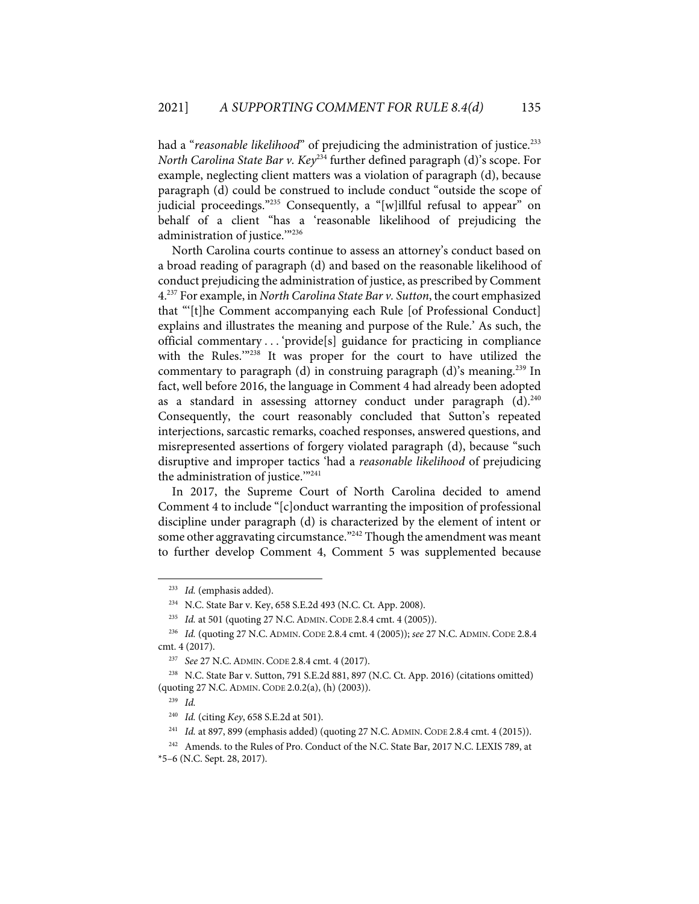had a "*reasonable likelihood*" of prejudicing the administration of justice. 233 *North Carolina State Bar v. Key*<sup>234</sup> further defined paragraph (d)'s scope. For example, neglecting client matters was a violation of paragraph (d), because paragraph (d) could be construed to include conduct "outside the scope of judicial proceedings."235 Consequently, a "[w]illful refusal to appear" on behalf of a client "has a 'reasonable likelihood of prejudicing the administration of justice.'"236

North Carolina courts continue to assess an attorney's conduct based on a broad reading of paragraph (d) and based on the reasonable likelihood of conduct prejudicing the administration of justice, as prescribed by Comment 4.237 For example, in *North Carolina State Bar v. Sutton*, the court emphasized that "'[t]he Comment accompanying each Rule [of Professional Conduct] explains and illustrates the meaning and purpose of the Rule.' As such, the official commentary . . . 'provide[s] guidance for practicing in compliance with the Rules.'"238 It was proper for the court to have utilized the commentary to paragraph (d) in construing paragraph (d)'s meaning.<sup>239</sup> In fact, well before 2016, the language in Comment 4 had already been adopted as a standard in assessing attorney conduct under paragraph  $(d).^{240}$ Consequently, the court reasonably concluded that Sutton's repeated interjections, sarcastic remarks, coached responses, answered questions, and misrepresented assertions of forgery violated paragraph (d), because "such disruptive and improper tactics 'had a *reasonable likelihood* of prejudicing the administration of justice."<sup>241</sup>

In 2017, the Supreme Court of North Carolina decided to amend Comment 4 to include "[c]onduct warranting the imposition of professional discipline under paragraph (d) is characterized by the element of intent or some other aggravating circumstance."<sup>242</sup> Though the amendment was meant to further develop Comment 4, Comment 5 was supplemented because

<sup>233</sup> *Id.* (emphasis added).

<sup>234</sup> N.C. State Bar v. Key, 658 S.E.2d 493 (N.C. Ct. App. 2008).

<sup>235</sup> *Id.* at 501 (quoting 27 N.C.ADMIN. CODE 2.8.4 cmt. 4 (2005)).

<sup>236</sup> *Id.* (quoting 27 N.C.ADMIN. CODE 2.8.4 cmt. 4 (2005)); *see* 27 N.C.ADMIN. CODE 2.8.4 cmt. 4 (2017).

<sup>237</sup> *See* 27 N.C.ADMIN. CODE 2.8.4 cmt. 4 (2017).

<sup>238</sup> N.C. State Bar v. Sutton, 791 S.E.2d 881, 897 (N.C. Ct. App. 2016) (citations omitted) (quoting 27 N.C.ADMIN. CODE 2.0.2(a), (h) (2003)).

<sup>239</sup> *Id.* 

<sup>240</sup> *Id.* (citing *Key*, 658 S.E.2d at 501).

<sup>241</sup> *Id.* at 897, 899 (emphasis added) (quoting 27 N.C.ADMIN. CODE 2.8.4 cmt. 4 (2015)).

<sup>&</sup>lt;sup>242</sup> Amends. to the Rules of Pro. Conduct of the N.C. State Bar, 2017 N.C. LEXIS 789, at \*5–6 (N.C. Sept. 28, 2017).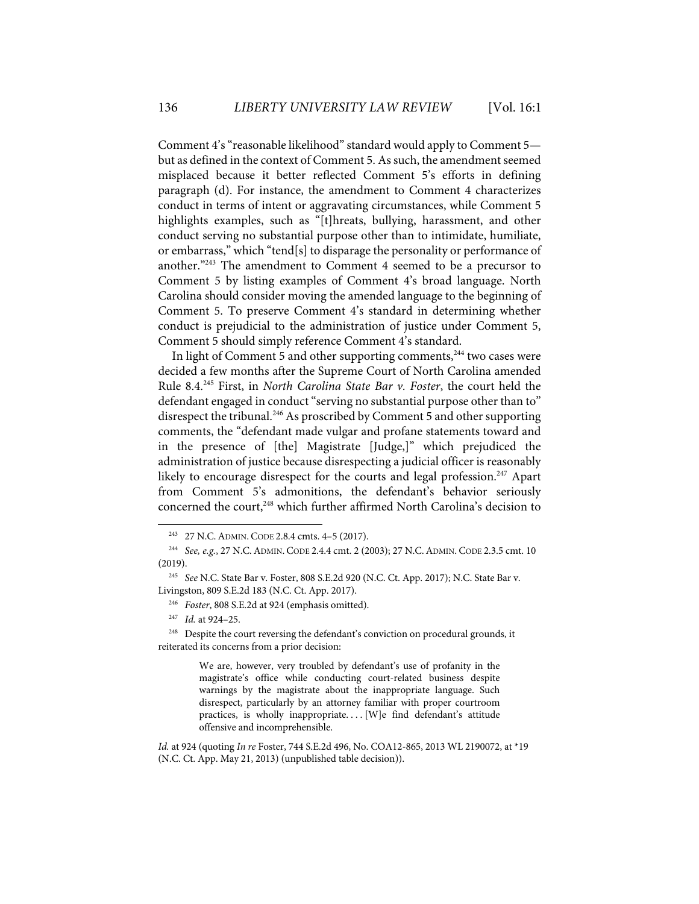Comment 4's "reasonable likelihood" standard would apply to Comment 5 but as defined in the context of Comment 5. As such, the amendment seemed misplaced because it better reflected Comment 5's efforts in defining paragraph (d). For instance, the amendment to Comment 4 characterizes conduct in terms of intent or aggravating circumstances, while Comment 5 highlights examples, such as "[t]hreats, bullying, harassment, and other conduct serving no substantial purpose other than to intimidate, humiliate, or embarrass," which "tend[s] to disparage the personality or performance of another."243 The amendment to Comment 4 seemed to be a precursor to Comment 5 by listing examples of Comment 4's broad language. North Carolina should consider moving the amended language to the beginning of Comment 5. To preserve Comment 4's standard in determining whether conduct is prejudicial to the administration of justice under Comment 5, Comment 5 should simply reference Comment 4's standard.

In light of Comment 5 and other supporting comments, $^{244}$  two cases were decided a few months after the Supreme Court of North Carolina amended Rule 8.4. <sup>245</sup> First, in *North Carolina State Bar v. Foster*, the court held the defendant engaged in conduct "serving no substantial purpose other than to" disrespect the tribunal.<sup>246</sup> As proscribed by Comment 5 and other supporting comments, the "defendant made vulgar and profane statements toward and in the presence of [the] Magistrate [Judge,]" which prejudiced the administration of justice because disrespecting a judicial officer is reasonably likely to encourage disrespect for the courts and legal profession.<sup>247</sup> Apart from Comment 5's admonitions, the defendant's behavior seriously concerned the court, <sup>248</sup> which further affirmed North Carolina's decision to

247 *Id.* at 924–25.

We are, however, very troubled by defendant's use of profanity in the magistrate's office while conducting court-related business despite warnings by the magistrate about the inappropriate language. Such disrespect, particularly by an attorney familiar with proper courtroom practices, is wholly inappropriate.... [W]e find defendant's attitude offensive and incomprehensible.

<sup>243 27</sup> N.C.ADMIN. CODE 2.8.4 cmts. 4–5 (2017).

<sup>244</sup> *See, e.g.*, 27 N.C.ADMIN. CODE 2.4.4 cmt. 2 (2003); 27 N.C.ADMIN. CODE 2.3.5 cmt. 10 (2019).

<sup>245</sup> *See* N.C. State Bar v. Foster, 808 S.E.2d 920 (N.C. Ct. App. 2017); N.C. State Bar v. Livingston, 809 S.E.2d 183 (N.C. Ct. App. 2017).

<sup>246</sup> *Foster*, 808 S.E.2d at 924 (emphasis omitted).

<sup>&</sup>lt;sup>248</sup> Despite the court reversing the defendant's conviction on procedural grounds, it reiterated its concerns from a prior decision:

*Id.* at 924 (quoting *In re* Foster, 744 S.E.2d 496, No. COA12-865, 2013 WL 2190072, at \*19 (N.C. Ct. App. May 21, 2013) (unpublished table decision)).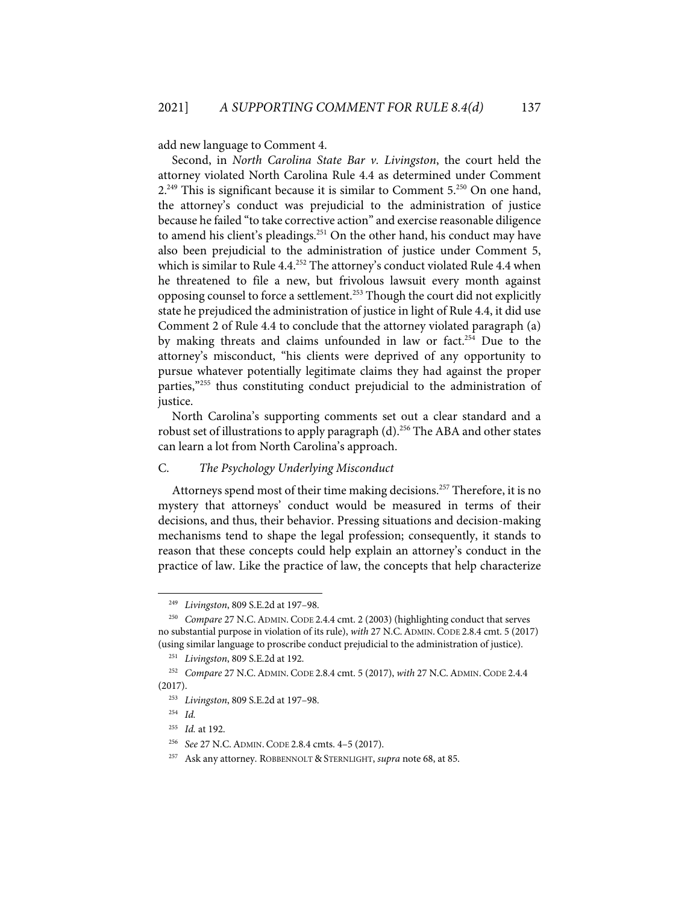add new language to Comment 4.

Second, in *North Carolina State Bar v. Livingston*, the court held the attorney violated North Carolina Rule 4.4 as determined under Comment 2.<sup>249</sup> This is significant because it is similar to Comment 5.<sup>250</sup> On one hand, the attorney's conduct was prejudicial to the administration of justice because he failed "to take corrective action" and exercise reasonable diligence to amend his client's pleadings. <sup>251</sup> On the other hand, his conduct may have also been prejudicial to the administration of justice under Comment 5, which is similar to Rule 4.4. <sup>252</sup> The attorney's conduct violated Rule 4.4 when he threatened to file a new, but frivolous lawsuit every month against opposing counsel to force a settlement.<sup>253</sup> Though the court did not explicitly state he prejudiced the administration of justice in light of Rule 4.4, it did use Comment 2 of Rule 4.4 to conclude that the attorney violated paragraph (a) by making threats and claims unfounded in law or fact.<sup>254</sup> Due to the attorney's misconduct, "his clients were deprived of any opportunity to pursue whatever potentially legitimate claims they had against the proper parties,"255 thus constituting conduct prejudicial to the administration of justice.

North Carolina's supporting comments set out a clear standard and a robust set of illustrations to apply paragraph (d).<sup>256</sup> The ABA and other states can learn a lot from North Carolina's approach.

## C. *The Psychology Underlying Misconduct*

Attorneys spend most of their time making decisions.<sup>257</sup> Therefore, it is no mystery that attorneys' conduct would be measured in terms of their decisions, and thus, their behavior. Pressing situations and decision-making mechanisms tend to shape the legal profession; consequently, it stands to reason that these concepts could help explain an attorney's conduct in the practice of law. Like the practice of law, the concepts that help characterize

<sup>249</sup> *Livingston*, 809 S.E.2d at 197–98.

<sup>250</sup> *Compare* 27 N.C.ADMIN. CODE 2.4.4 cmt. 2 (2003) (highlighting conduct that serves no substantial purpose in violation of its rule), *with* 27 N.C.ADMIN. CODE 2.8.4 cmt. 5 (2017) (using similar language to proscribe conduct prejudicial to the administration of justice).

<sup>251</sup> *Livingston*, 809 S.E.2d at 192.

<sup>252</sup> *Compare* 27 N.C.ADMIN. CODE 2.8.4 cmt. 5 (2017), *with* 27 N.C.ADMIN. CODE 2.4.4 (2017).

<sup>253</sup> *Livingston*, 809 S.E.2d at 197–98.

<sup>254</sup> *Id.*

<sup>255</sup> *Id.* at 192.

<sup>256</sup> *See* 27 N.C.ADMIN. CODE 2.8.4 cmts. 4–5 (2017).

<sup>257</sup> Ask any attorney. ROBBENNOLT & STERNLIGHT, *supra* note 68, at 85.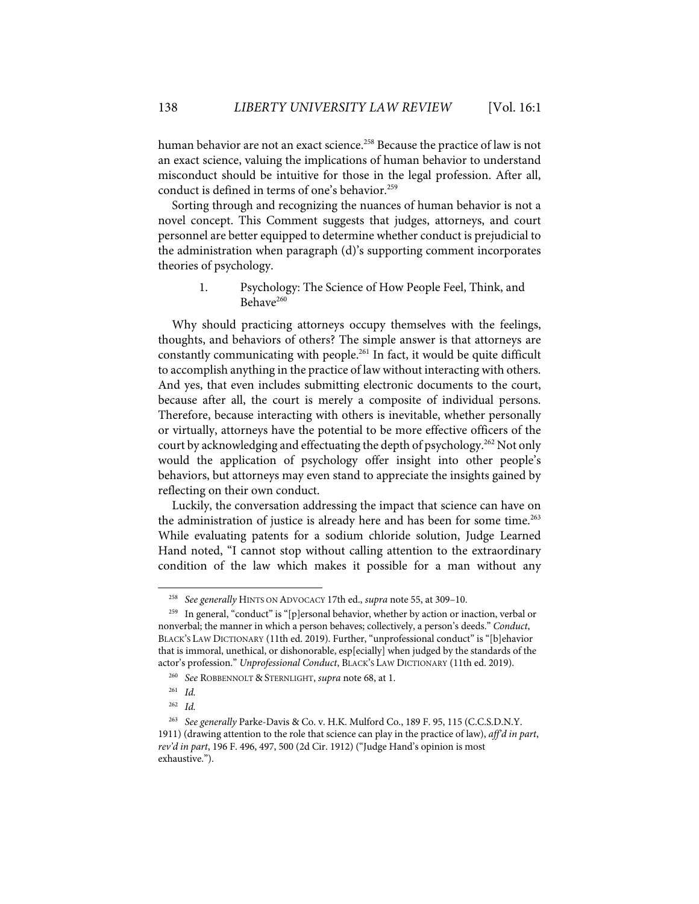human behavior are not an exact science.<sup>258</sup> Because the practice of law is not an exact science, valuing the implications of human behavior to understand misconduct should be intuitive for those in the legal profession. After all, conduct is defined in terms of one's behavior.<sup>259</sup>

Sorting through and recognizing the nuances of human behavior is not a novel concept. This Comment suggests that judges, attorneys, and court personnel are better equipped to determine whether conduct is prejudicial to the administration when paragraph (d)'s supporting comment incorporates theories of psychology.

> 1. Psychology: The Science of How People Feel, Think, and Behave<sup>260</sup>

Why should practicing attorneys occupy themselves with the feelings, thoughts, and behaviors of others? The simple answer is that attorneys are constantly communicating with people.261 In fact, it would be quite difficult to accomplish anything in the practice of law without interacting with others. And yes, that even includes submitting electronic documents to the court, because after all, the court is merely a composite of individual persons. Therefore, because interacting with others is inevitable, whether personally or virtually, attorneys have the potential to be more effective officers of the court by acknowledging and effectuating the depth of psychology.262 Not only would the application of psychology offer insight into other people's behaviors, but attorneys may even stand to appreciate the insights gained by reflecting on their own conduct.

Luckily, the conversation addressing the impact that science can have on the administration of justice is already here and has been for some time. 263 While evaluating patents for a sodium chloride solution, Judge Learned Hand noted, "I cannot stop without calling attention to the extraordinary condition of the law which makes it possible for a man without any

<sup>258</sup> *See generally* HINTS ON ADVOCACY 17th ed., *supra* note 55, at 309–10.

<sup>&</sup>lt;sup>259</sup> In general, "conduct" is "[p]ersonal behavior, whether by action or inaction, verbal or nonverbal; the manner in which a person behaves; collectively, a person's deeds." *Conduct*, BLACK'S LAW DICTIONARY (11th ed. 2019). Further, "unprofessional conduct" is "[b]ehavior that is immoral, unethical, or dishonorable, esp[ecially] when judged by the standards of the actor's profession." *Unprofessional Conduct*, BLACK'S LAW DICTIONARY (11th ed. 2019).

<sup>260</sup> *See* ROBBENNOLT & STERNLIGHT, *supra* note 68, at 1.

<sup>261</sup> *Id.* 

<sup>262</sup> *Id.*

<sup>263</sup> *See generally* Parke-Davis & Co. v. H.K. Mulford Co., 189 F. 95, 115 (C.C.S.D.N.Y. 1911) (drawing attention to the role that science can play in the practice of law), *aff'd in part*, *rev'd in part*, 196 F. 496, 497, 500 (2d Cir. 1912) ("Judge Hand's opinion is most exhaustive.").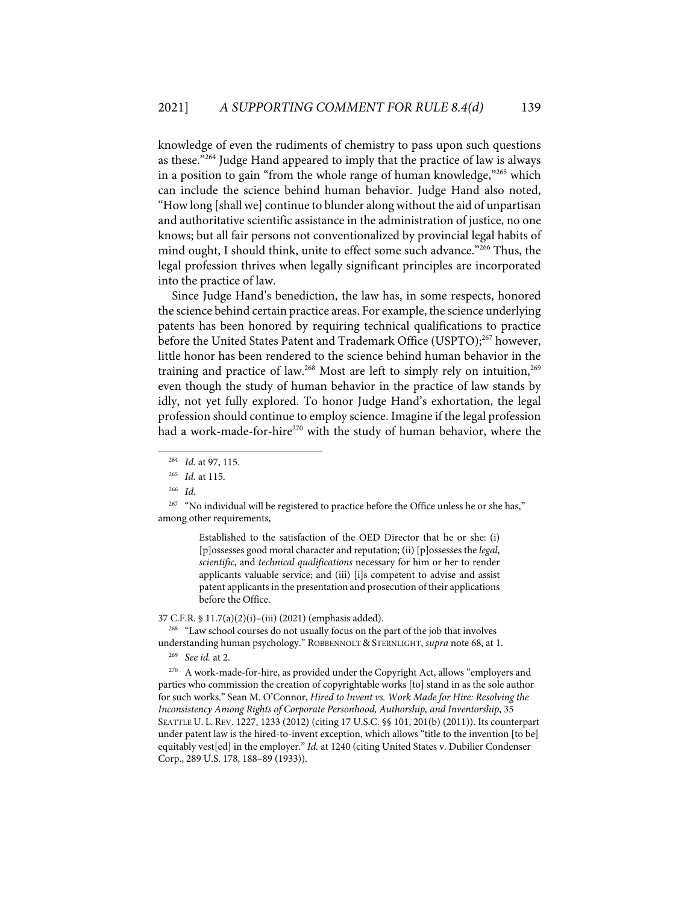knowledge of even the rudiments of chemistry to pass upon such questions as these."264 Judge Hand appeared to imply that the practice of law is always in a position to gain "from the whole range of human knowledge,"265 which can include the science behind human behavior. Judge Hand also noted, "How long [shall we] continue to blunder along without the aid of unpartisan and authoritative scientific assistance in the administration of justice, no one knows; but all fair persons not conventionalized by provincial legal habits of mind ought, I should think, unite to effect some such advance."<sup>266</sup> Thus, the legal profession thrives when legally significant principles are incorporated into the practice of law.

Since Judge Hand's benediction, the law has, in some respects, honored the science behind certain practice areas. For example, the science underlying patents has been honored by requiring technical qualifications to practice before the United States Patent and Trademark Office (USPTO); <sup>267</sup> however, little honor has been rendered to the science behind human behavior in the training and practice of law.268 Most are left to simply rely on intuition, 269 even though the study of human behavior in the practice of law stands by idly, not yet fully explored. To honor Judge Hand's exhortation, the legal profession should continue to employ science. Imagine if the legal profession had a work-made-for-hire<sup>270</sup> with the study of human behavior, where the

Established to the satisfaction of the OED Director that he or she: (i) [p]ossesses good moral character and reputation; (ii) [p]ossesses the *legal*, *scientific*, and *technical qualifications* necessary for him or her to render applicants valuable service; and (iii) [i]s competent to advise and assist patent applicants in the presentation and prosecution of their applications before the Office.

#### 37 C.F.R. § 11.7(a)(2)(i)–(iii) (2021) (emphasis added).

<sup>268</sup> "Law school courses do not usually focus on the part of the job that involves understanding human psychology." ROBBENNOLT & STERNLIGHT, *supra* note 68, at 1.

269 *See id.* at 2.

270 A work-made-for-hire, as provided under the Copyright Act, allows "employers and parties who commission the creation of copyrightable works [to] stand in as the sole author for such works." Sean M. O'Connor, *Hired to Invent vs. Work Made for Hire: Resolving the Inconsistency Among Rights of Corporate Personhood, Authorship, and Inventorship*, 35 SEATTLE U. L. REV. 1227, 1233 (2012) (citing 17 U.S.C. §§ 101, 201(b) (2011)). Its counterpart under patent law is the hired-to-invent exception, which allows "title to the invention [to be] equitably vest[ed] in the employer." *Id.* at 1240 (citing United States v. Dubilier Condenser Corp., 289 U.S. 178, 188–89 (1933)).

<sup>264</sup> *Id.* at 97, 115.

<sup>265</sup> *Id.* at 115.

<sup>266</sup> *Id.*

<sup>&</sup>lt;sup>267</sup> "No individual will be registered to practice before the Office unless he or she has," among other requirements,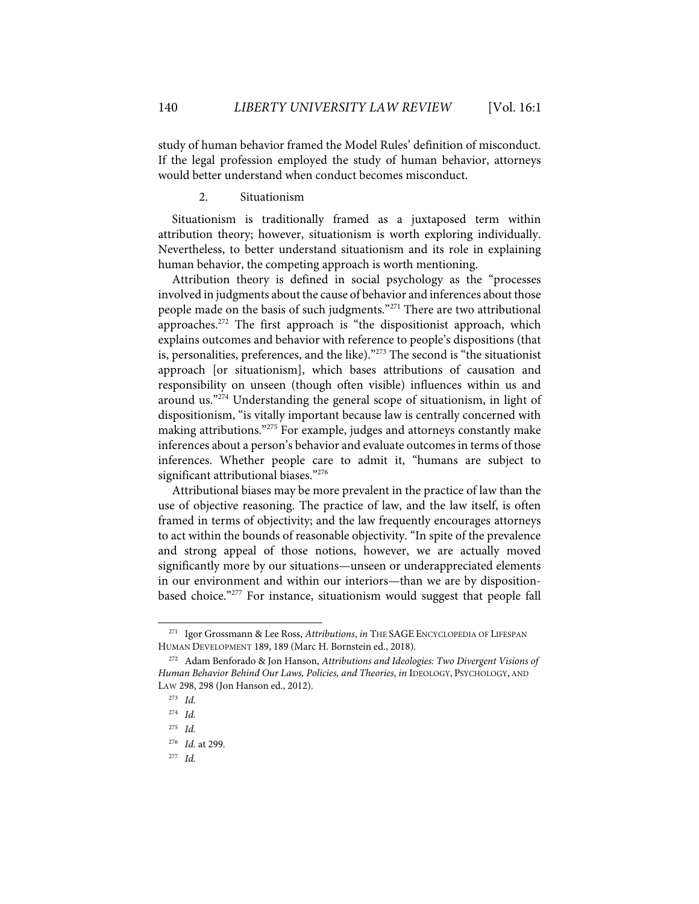study of human behavior framed the Model Rules' definition of misconduct. If the legal profession employed the study of human behavior, attorneys would better understand when conduct becomes misconduct.

2. Situationism

Situationism is traditionally framed as a juxtaposed term within attribution theory; however, situationism is worth exploring individually. Nevertheless, to better understand situationism and its role in explaining human behavior, the competing approach is worth mentioning.

Attribution theory is defined in social psychology as the "processes involved in judgments about the cause of behavior and inferences about those people made on the basis of such judgments."271 There are two attributional approaches.<sup>272</sup> The first approach is "the dispositionist approach, which explains outcomes and behavior with reference to people's dispositions (that is, personalities, preferences, and the like)."273 The second is "the situationist approach [or situationism], which bases attributions of causation and responsibility on unseen (though often visible) influences within us and around us."274 Understanding the general scope of situationism, in light of dispositionism, "is vitally important because law is centrally concerned with making attributions."<sup>275</sup> For example, judges and attorneys constantly make inferences about a person's behavior and evaluate outcomes in terms of those inferences. Whether people care to admit it, "humans are subject to significant attributional biases."<sup>276</sup>

Attributional biases may be more prevalent in the practice of law than the use of objective reasoning. The practice of law, and the law itself, is often framed in terms of objectivity; and the law frequently encourages attorneys to act within the bounds of reasonable objectivity. "In spite of the prevalence and strong appeal of those notions, however, we are actually moved significantly more by our situations—unseen or underappreciated elements in our environment and within our interiors—than we are by dispositionbased choice."277 For instance, situationism would suggest that people fall

<sup>271</sup> Igor Grossmann & Lee Ross, *Attributions*, *in* THE SAGE ENCYCLOPEDIA OF LIFESPAN HUMAN DEVELOPMENT 189, 189 (Marc H. Bornstein ed., 2018).

<sup>272</sup> Adam Benforado & Jon Hanson, *Attributions and Ideologies: Two Divergent Visions of Human Behavior Behind Our Laws, Policies, and Theories*, *in* IDEOLOGY, PSYCHOLOGY, AND LAW 298, 298 (Jon Hanson ed., 2012).

<sup>273</sup> *Id.*

<sup>274</sup> *Id.*

<sup>275</sup> *Id.*

<sup>276</sup> *Id.* at 299.

<sup>277</sup> *Id.*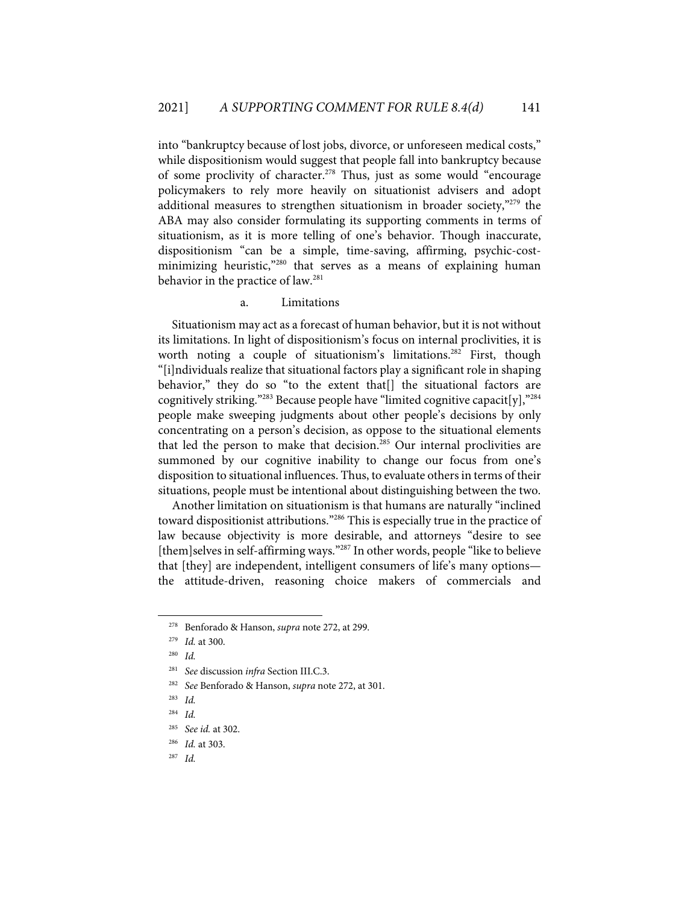into "bankruptcy because of lost jobs, divorce, or unforeseen medical costs," while dispositionism would suggest that people fall into bankruptcy because of some proclivity of character.<sup>278</sup> Thus, just as some would "encourage policymakers to rely more heavily on situationist advisers and adopt additional measures to strengthen situationism in broader society,"<sup>279</sup> the ABA may also consider formulating its supporting comments in terms of situationism, as it is more telling of one's behavior. Though inaccurate, dispositionism "can be a simple, time-saving, affirming, psychic-costminimizing heuristic,"<sup>280</sup> that serves as a means of explaining human behavior in the practice of law.<sup>281</sup>

## a. Limitations

Situationism may act as a forecast of human behavior, but it is not without its limitations. In light of dispositionism's focus on internal proclivities, it is worth noting a couple of situationism's limitations.<sup>282</sup> First, though "[i]ndividuals realize that situational factors play a significant role in shaping behavior," they do so "to the extent that<sup>[]</sup> the situational factors are cognitively striking."<sup>283</sup> Because people have "limited cognitive capacit[y],"<sup>284</sup> people make sweeping judgments about other people's decisions by only concentrating on a person's decision, as oppose to the situational elements that led the person to make that decision.<sup>285</sup> Our internal proclivities are summoned by our cognitive inability to change our focus from one's disposition to situational influences. Thus, to evaluate others in terms of their situations, people must be intentional about distinguishing between the two.

Another limitation on situationism is that humans are naturally "inclined toward dispositionist attributions."286 This is especially true in the practice of law because objectivity is more desirable, and attorneys "desire to see [them]selves in self-affirming ways."<sup>287</sup> In other words, people "like to believe that [they] are independent, intelligent consumers of life's many options the attitude-driven, reasoning choice makers of commercials and

<sup>278</sup> Benforado & Hanson, *supra* note 272, at 299.

<sup>279</sup> *Id.* at 300.

<sup>280</sup> *Id.*

<sup>281</sup> *See* discussion *infra* Section III.C.3.

<sup>282</sup> *See* Benforado & Hanson, *supra* note 272, at 301.

<sup>283</sup> *Id.*

<sup>284</sup> *Id.*

<sup>285</sup> *See id.* at 302.

<sup>286</sup> *Id.* at 303.

<sup>287</sup> *Id.*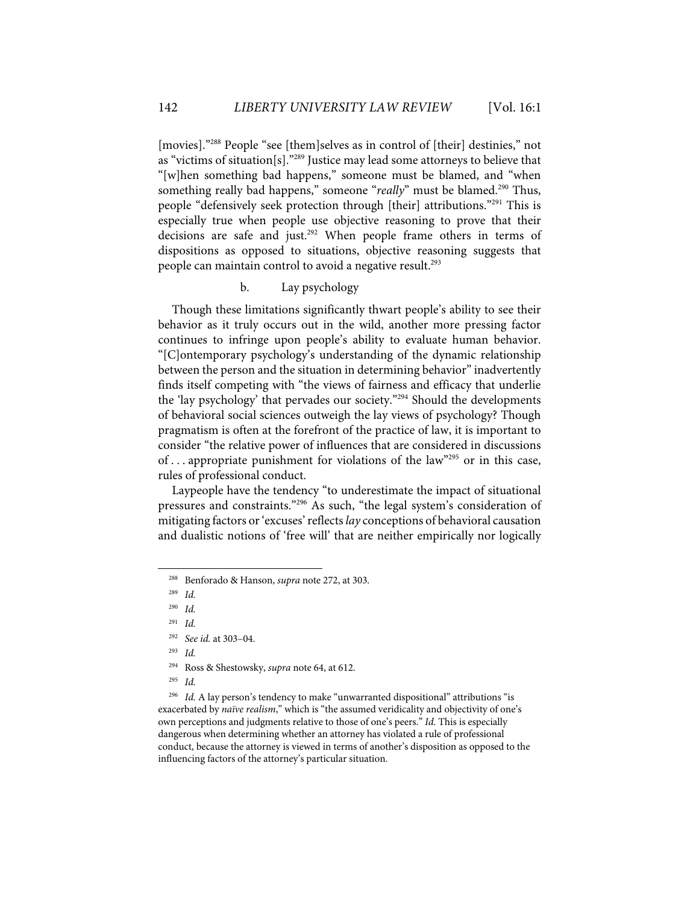[movies]."288 People "see [them]selves as in control of [their] destinies," not as "victims of situation[s]."289 Justice may lead some attorneys to believe that "[w]hen something bad happens," someone must be blamed, and "when something really bad happens," someone "*really*" must be blamed.<sup>290</sup> Thus, people "defensively seek protection through [their] attributions."291 This is especially true when people use objective reasoning to prove that their decisions are safe and just.292 When people frame others in terms of dispositions as opposed to situations, objective reasoning suggests that people can maintain control to avoid a negative result. 293

## b. Lay psychology

Though these limitations significantly thwart people's ability to see their behavior as it truly occurs out in the wild, another more pressing factor continues to infringe upon people's ability to evaluate human behavior. "[C]ontemporary psychology's understanding of the dynamic relationship between the person and the situation in determining behavior" inadvertently finds itself competing with "the views of fairness and efficacy that underlie the 'lay psychology' that pervades our society."294 Should the developments of behavioral social sciences outweigh the lay views of psychology? Though pragmatism is often at the forefront of the practice of law, it is important to consider "the relative power of influences that are considered in discussions of ... appropriate punishment for violations of the law<sup>"295</sup> or in this case, rules of professional conduct.

Laypeople have the tendency "to underestimate the impact of situational pressures and constraints."296 As such, "the legal system's consideration of mitigating factors or 'excuses' reflects *lay* conceptions of behavioral causation and dualistic notions of 'free will' that are neither empirically nor logically

292 *See id.* at 303–04.

295 *Id.*

<sup>296</sup> *Id.* A lay person's tendency to make "unwarranted dispositional" attributions "is exacerbated by *naïve realism*," which is "the assumed veridicality and objectivity of one's own perceptions and judgments relative to those of one's peers." *Id.* This is especially dangerous when determining whether an attorney has violated a rule of professional conduct, because the attorney is viewed in terms of another's disposition as opposed to the influencing factors of the attorney's particular situation.

<sup>288</sup> Benforado & Hanson, *supra* note 272, at 303.

<sup>289</sup> *Id.*

<sup>290</sup> *Id.*

<sup>291</sup> *Id.*

<sup>293</sup> *Id.*

<sup>294</sup> Ross & Shestowsky, *supra* note 64, at 612.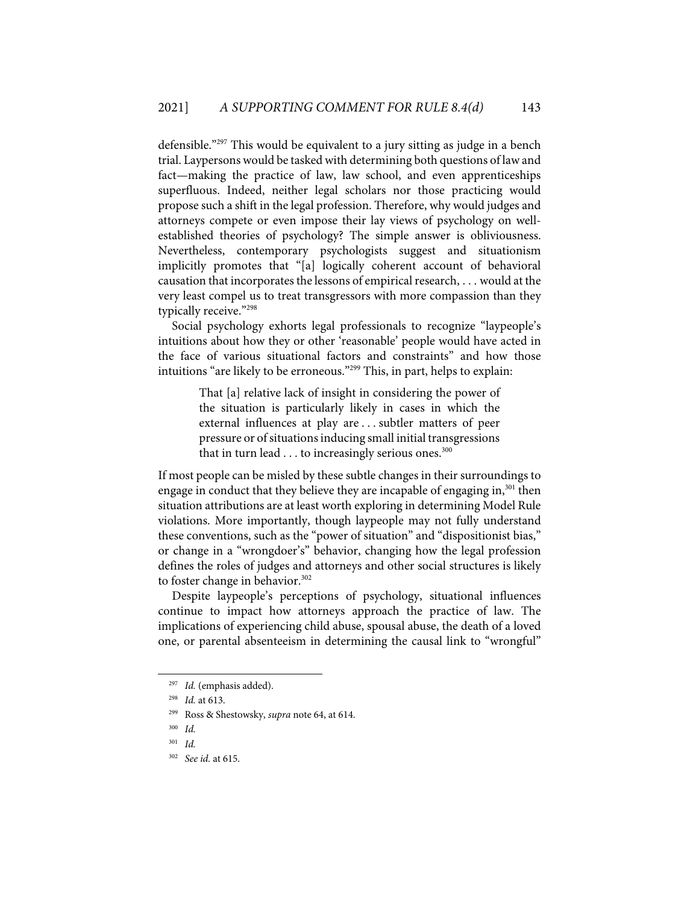defensible."297 This would be equivalent to a jury sitting as judge in a bench trial. Laypersons would be tasked with determining both questions of law and fact—making the practice of law, law school, and even apprenticeships superfluous. Indeed, neither legal scholars nor those practicing would propose such a shift in the legal profession. Therefore, why would judges and attorneys compete or even impose their lay views of psychology on wellestablished theories of psychology? The simple answer is obliviousness. Nevertheless, contemporary psychologists suggest and situationism implicitly promotes that "[a] logically coherent account of behavioral causation that incorporates the lessons of empirical research, . . . would at the very least compel us to treat transgressors with more compassion than they typically receive."298

Social psychology exhorts legal professionals to recognize "laypeople's intuitions about how they or other 'reasonable' people would have acted in the face of various situational factors and constraints" and how those intuitions "are likely to be erroneous."299 This, in part, helps to explain:

> That [a] relative lack of insight in considering the power of the situation is particularly likely in cases in which the external influences at play are . . . subtler matters of peer pressure or of situations inducing small initial transgressions that in turn lead  $\dots$  to increasingly serious ones.<sup>300</sup>

If most people can be misled by these subtle changes in their surroundings to engage in conduct that they believe they are incapable of engaging in,<sup>301</sup> then situation attributions are at least worth exploring in determining Model Rule violations. More importantly, though laypeople may not fully understand these conventions, such as the "power of situation" and "dispositionist bias," or change in a "wrongdoer's" behavior, changing how the legal profession defines the roles of judges and attorneys and other social structures is likely to foster change in behavior.<sup>302</sup>

Despite laypeople's perceptions of psychology, situational influences continue to impact how attorneys approach the practice of law. The implications of experiencing child abuse, spousal abuse, the death of a loved one, or parental absenteeism in determining the causal link to "wrongful"

<sup>297</sup> *Id.* (emphasis added).

<sup>298</sup> *Id.* at 613.

<sup>299</sup> Ross & Shestowsky, *supra* note 64, at 614.

<sup>300</sup> *Id.*

<sup>301</sup> *Id.*

<sup>302</sup> *See id.* at 615.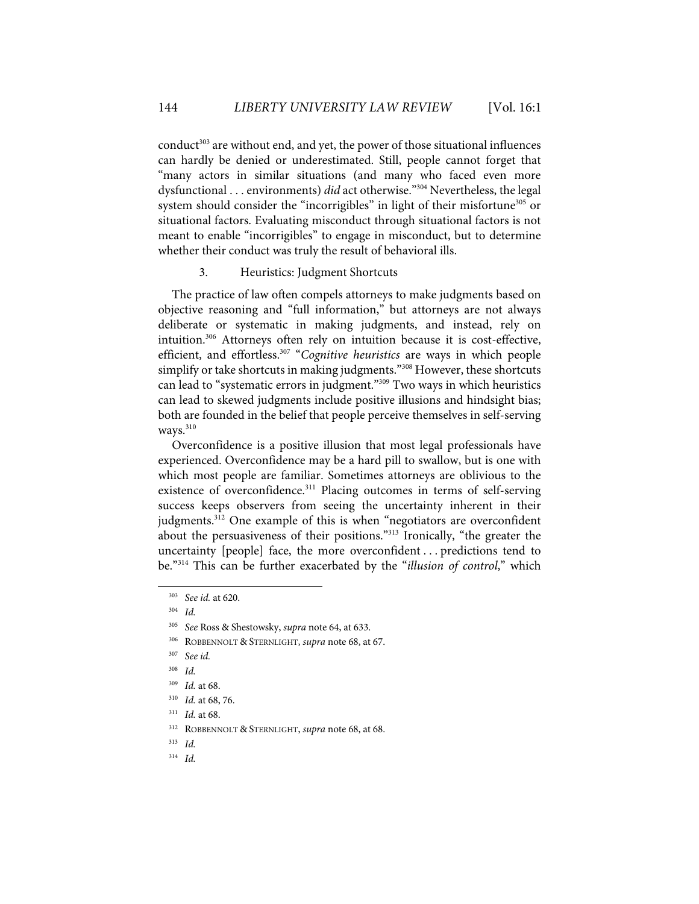$\text{conduct}^{303}$  are without end, and yet, the power of those situational influences can hardly be denied or underestimated. Still, people cannot forget that "many actors in similar situations (and many who faced even more dysfunctional . . . environments) *did* act otherwise."304 Nevertheless, the legal system should consider the "incorrigibles" in light of their misfortune<sup>305</sup> or situational factors. Evaluating misconduct through situational factors is not meant to enable "incorrigibles" to engage in misconduct, but to determine whether their conduct was truly the result of behavioral ills.

## 3. Heuristics: Judgment Shortcuts

The practice of law often compels attorneys to make judgments based on objective reasoning and "full information," but attorneys are not always deliberate or systematic in making judgments, and instead, rely on intuition.306 Attorneys often rely on intuition because it is cost-effective, efficient, and effortless.307 "*Cognitive heuristics* are ways in which people simplify or take shortcuts in making judgments."<sup>308</sup> However, these shortcuts can lead to "systematic errors in judgment."<sup>309</sup> Two ways in which heuristics can lead to skewed judgments include positive illusions and hindsight bias; both are founded in the belief that people perceive themselves in self-serving  $w$ avs. $310$ 

Overconfidence is a positive illusion that most legal professionals have experienced. Overconfidence may be a hard pill to swallow, but is one with which most people are familiar. Sometimes attorneys are oblivious to the existence of overconfidence.<sup>311</sup> Placing outcomes in terms of self-serving success keeps observers from seeing the uncertainty inherent in their judgments.<sup>312</sup> One example of this is when "negotiators are overconfident about the persuasiveness of their positions."313 Ironically, "the greater the uncertainty [people] face, the more overconfident . . . predictions tend to be."314 This can be further exacerbated by the "*illusion of control*," which

313 *Id.* 

<sup>303</sup> *See id.* at 620.

<sup>304</sup> *Id.*

<sup>305</sup> *See* Ross & Shestowsky, *supra* note 64, at 633.

<sup>306</sup> ROBBENNOLT & STERNLIGHT, *supra* note 68, at 67.

<sup>307</sup> *See id.*

<sup>308</sup> *Id.*

<sup>309</sup> *Id.* at 68.

<sup>310</sup> *Id.* at 68, 76.

<sup>311</sup> *Id.* at 68.

<sup>312</sup> ROBBENNOLT & STERNLIGHT, *supra* note 68, at 68.

<sup>314</sup> *Id.*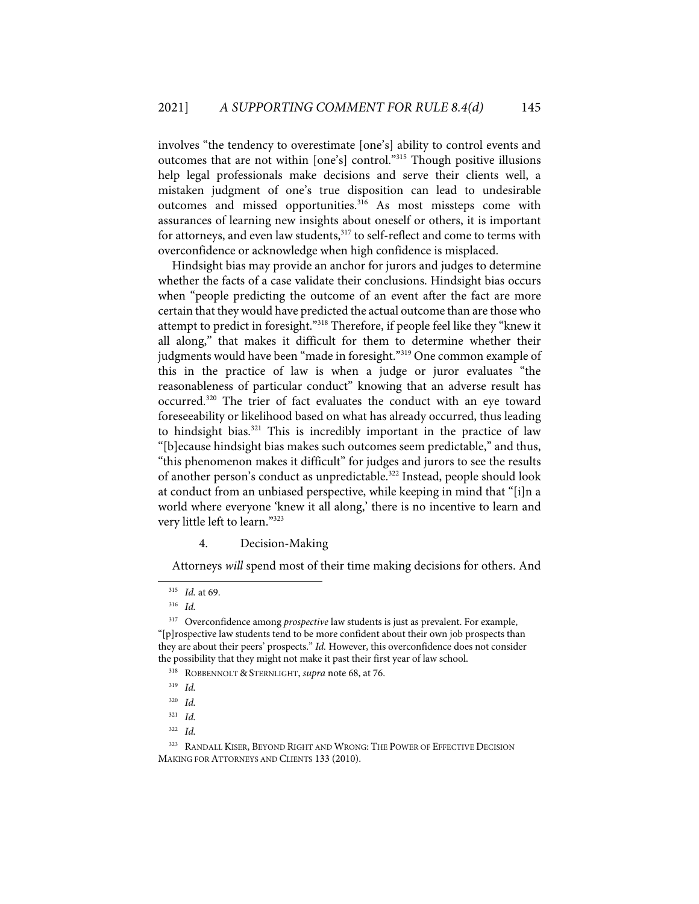involves "the tendency to overestimate [one's] ability to control events and outcomes that are not within [one's] control."315 Though positive illusions help legal professionals make decisions and serve their clients well, a mistaken judgment of one's true disposition can lead to undesirable outcomes and missed opportunities.<sup>316</sup> As most missteps come with assurances of learning new insights about oneself or others, it is important for attorneys, and even law students,<sup>317</sup> to self-reflect and come to terms with overconfidence or acknowledge when high confidence is misplaced.

Hindsight bias may provide an anchor for jurors and judges to determine whether the facts of a case validate their conclusions. Hindsight bias occurs when "people predicting the outcome of an event after the fact are more certain that they would have predicted the actual outcome than are those who attempt to predict in foresight."318 Therefore, if people feel like they "knew it all along," that makes it difficult for them to determine whether their judgments would have been "made in foresight."<sup>319</sup> One common example of this in the practice of law is when a judge or juror evaluates "the reasonableness of particular conduct" knowing that an adverse result has occurred.320 The trier of fact evaluates the conduct with an eye toward foreseeability or likelihood based on what has already occurred, thus leading to hindsight bias.321 This is incredibly important in the practice of law "[b]ecause hindsight bias makes such outcomes seem predictable," and thus, "this phenomenon makes it difficult" for judges and jurors to see the results of another person's conduct as unpredictable.<sup>322</sup> Instead, people should look at conduct from an unbiased perspective, while keeping in mind that "[i]n a world where everyone 'knew it all along,' there is no incentive to learn and very little left to learn."323

## 4. Decision-Making

Attorneys *will* spend most of their time making decisions for others. And

<sup>315</sup> *Id.* at 69.

<sup>316</sup> *Id.*

<sup>&</sup>lt;sup>317</sup> Overconfidence among *prospective* law students is just as prevalent. For example, "[p]rospective law students tend to be more confident about their own job prospects than they are about their peers' prospects." *Id.* However, this overconfidence does not consider the possibility that they might not make it past their first year of law school.

<sup>318</sup> ROBBENNOLT & STERNLIGHT, *supra* note 68, at 76.

<sup>319</sup> *Id.*

<sup>320</sup> *Id.*

<sup>321</sup> *Id.*

<sup>322</sup> *Id.*

<sup>&</sup>lt;sup>323</sup> RANDALL KISER, BEYOND RIGHT AND WRONG: THE POWER OF EFFECTIVE DECISION MAKING FOR ATTORNEYS AND CLIENTS 133 (2010).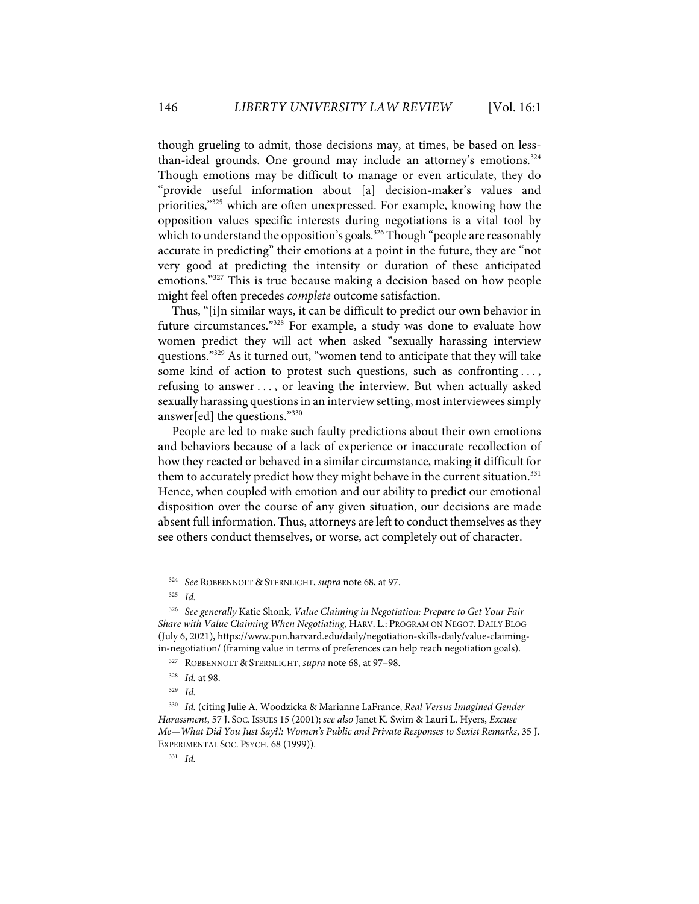though grueling to admit, those decisions may, at times, be based on lessthan-ideal grounds. One ground may include an attorney's emotions. $324$ Though emotions may be difficult to manage or even articulate, they do "provide useful information about [a] decision-maker's values and priorities,"325 which are often unexpressed. For example, knowing how the opposition values specific interests during negotiations is a vital tool by which to understand the opposition's goals.<sup>326</sup> Though "people are reasonably accurate in predicting" their emotions at a point in the future, they are "not very good at predicting the intensity or duration of these anticipated emotions."327 This is true because making a decision based on how people might feel often precedes *complete* outcome satisfaction.

Thus, "[i]n similar ways, it can be difficult to predict our own behavior in future circumstances."328 For example, a study was done to evaluate how women predict they will act when asked "sexually harassing interview questions."329 As it turned out, "women tend to anticipate that they will take some kind of action to protest such questions, such as confronting ..., refusing to answer . . . , or leaving the interview. But when actually asked sexually harassing questions in an interview setting, most interviewees simply answer[ed] the questions."330

People are led to make such faulty predictions about their own emotions and behaviors because of a lack of experience or inaccurate recollection of how they reacted or behaved in a similar circumstance, making it difficult for them to accurately predict how they might behave in the current situation.<sup>331</sup> Hence, when coupled with emotion and our ability to predict our emotional disposition over the course of any given situation, our decisions are made absent full information. Thus, attorneys are left to conduct themselves as they see others conduct themselves, or worse, act completely out of character.

<sup>324</sup> *See* ROBBENNOLT & STERNLIGHT, *supra* note 68, at 97.

<sup>325</sup> *Id.*

<sup>326</sup> *See generally* Katie Shonk, *Value Claiming in Negotiation: Prepare to Get Your Fair Share with Value Claiming When Negotiating*, HARV. L.: PROGRAM ON NEGOT. DAILY BLOG (July 6, 2021), https://www.pon.harvard.edu/daily/negotiation-skills-daily/value-claimingin-negotiation/ (framing value in terms of preferences can help reach negotiation goals).

<sup>327</sup> ROBBENNOLT & STERNLIGHT, *supra* note 68, at 97–98.

<sup>328</sup> *Id.* at 98.

<sup>329</sup> *Id.* 

<sup>330</sup> *Id.* (citing Julie A. Woodzicka & Marianne LaFrance, *Real Versus Imagined Gender Harassment*, 57 J. SOC. ISSUES 15 (2001); *see also* Janet K. Swim & Lauri L. Hyers, *Excuse Me—What Did You Just Say?!: Women's Public and Private Responses to Sexist Remarks*, 35 J. EXPERIMENTAL SOC. PSYCH. 68 (1999)).

<sup>331</sup> *Id.*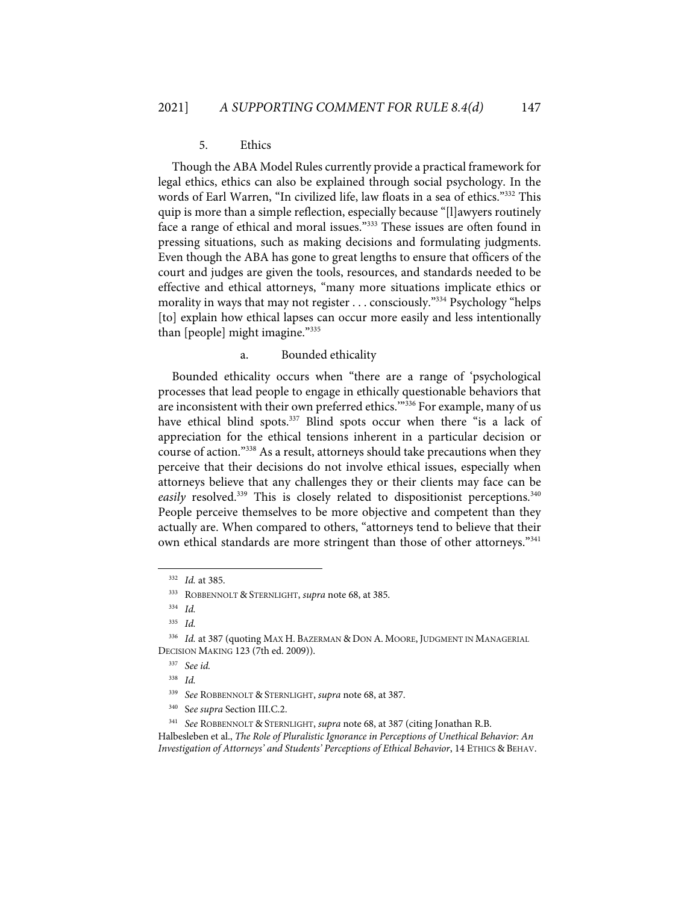## 5. Ethics

Though the ABA Model Rules currently provide a practical framework for legal ethics, ethics can also be explained through social psychology. In the words of Earl Warren, "In civilized life, law floats in a sea of ethics."332 This quip is more than a simple reflection, especially because "[l]awyers routinely face a range of ethical and moral issues."333 These issues are often found in pressing situations, such as making decisions and formulating judgments. Even though the ABA has gone to great lengths to ensure that officers of the court and judges are given the tools, resources, and standards needed to be effective and ethical attorneys, "many more situations implicate ethics or morality in ways that may not register . . . consciously.<sup>"334</sup> Psychology "helps" [to] explain how ethical lapses can occur more easily and less intentionally than [people] might imagine."335

#### a. Bounded ethicality

Bounded ethicality occurs when "there are a range of 'psychological processes that lead people to engage in ethically questionable behaviors that are inconsistent with their own preferred ethics."<sup>336</sup> For example, many of us have ethical blind spots.<sup>337</sup> Blind spots occur when there "is a lack of appreciation for the ethical tensions inherent in a particular decision or course of action."338 As a result, attorneys should take precautions when they perceive that their decisions do not involve ethical issues, especially when attorneys believe that any challenges they or their clients may face can be easily resolved.<sup>339</sup> This is closely related to dispositionist perceptions.<sup>340</sup> People perceive themselves to be more objective and competent than they actually are. When compared to others, "attorneys tend to believe that their own ethical standards are more stringent than those of other attorneys."<sup>341</sup>

Halbesleben et al., *The Role of Pluralistic Ignorance in Perceptions of Unethical Behavior: An Investigation of Attorneys' and Students' Perceptions of Ethical Behavior*, 14 ETHICS & BEHAV.

<sup>332</sup> *Id.* at 385.

<sup>333</sup> ROBBENNOLT & STERNLIGHT, *supra* note 68, at 385.

<sup>334</sup> *Id.*

<sup>335</sup> *Id.*

<sup>336</sup> *Id.* at 387 (quoting MAX H. BAZERMAN & DON A. MOORE, JUDGMENT IN MANAGERIAL DECISION MAKING 123 (7th ed. 2009)).

<sup>337</sup> *See id.*

<sup>338</sup> *Id.*

<sup>339</sup> *See* ROBBENNOLT & STERNLIGHT, *supra* note 68, at 387.

<sup>340</sup> S*ee supra* Section III.C.2.

<sup>341</sup> *See* ROBBENNOLT & STERNLIGHT, *supra* note 68, at 387 (citing Jonathan R.B.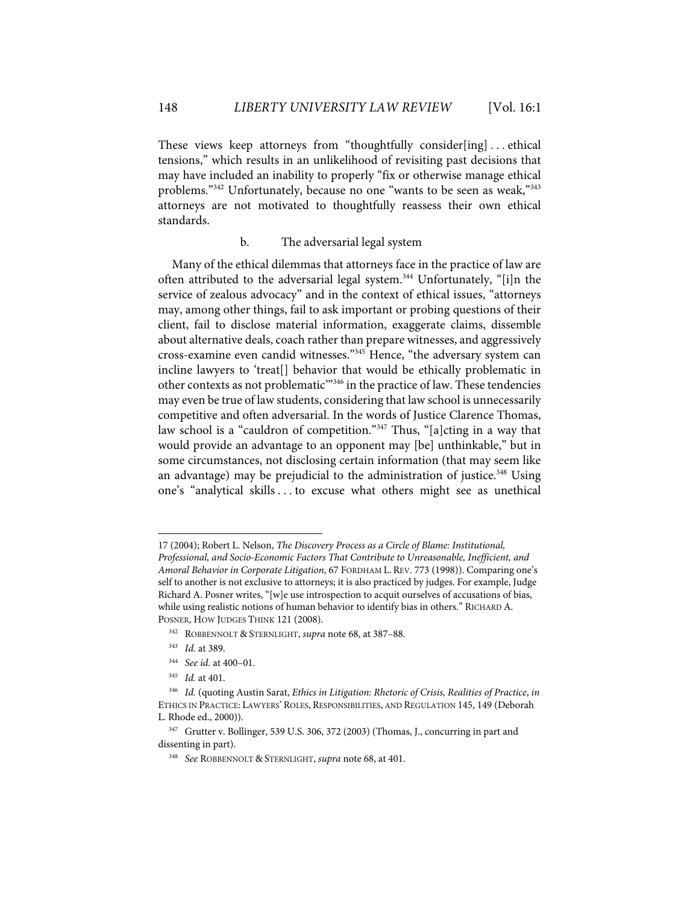These views keep attorneys from "thoughtfully consider[ing] ... ethical tensions," which results in an unlikelihood of revisiting past decisions that may have included an inability to properly "fix or otherwise manage ethical problems."342 Unfortunately, because no one "wants to be seen as weak,"343 attorneys are not motivated to thoughtfully reassess their own ethical standards.

## b. The adversarial legal system

Many of the ethical dilemmas that attorneys face in the practice of law are often attributed to the adversarial legal system.<sup>344</sup> Unfortunately, "[i]n the service of zealous advocacy" and in the context of ethical issues, "attorneys may, among other things, fail to ask important or probing questions of their client, fail to disclose material information, exaggerate claims, dissemble about alternative deals, coach rather than prepare witnesses, and aggressively cross-examine even candid witnesses."345 Hence, "the adversary system can incline lawyers to 'treat[] behavior that would be ethically problematic in other contexts as not problematic'"346 in the practice of law. These tendencies may even be true of law students, considering that law school is unnecessarily competitive and often adversarial. In the words of Justice Clarence Thomas, law school is a "cauldron of competition."347 Thus, "[a]cting in a way that would provide an advantage to an opponent may [be] unthinkable," but in some circumstances, not disclosing certain information (that may seem like an advantage) may be prejudicial to the administration of justice.<sup>348</sup> Using one's "analytical skills . . . to excuse what others might see as unethical

<sup>17 (2004);</sup> Robert L. Nelson, *The Discovery Process as a Circle of Blame: Institutional, Professional, and Socio-Economic Factors That Contribute to Unreasonable, Inefficient, and Amoral Behavior in Corporate Litigation*, 67 FORDHAM L. REV. 773 (1998)). Comparing one's self to another is not exclusive to attorneys; it is also practiced by judges. For example, Judge Richard A. Posner writes, "[w]e use introspection to acquit ourselves of accusations of bias, while using realistic notions of human behavior to identify bias in others." RICHARD A. POSNER, HOW JUDGES THINK 121 (2008).

<sup>342</sup> ROBBENNOLT & STERNLIGHT, *supra* note 68, at 387–88.

<sup>343</sup> *Id.* at 389.

<sup>344</sup> *See id.* at 400–01.

<sup>345</sup> *Id.* at 401.

<sup>346</sup> *Id.* (quoting Austin Sarat, *Ethics in Litigation: Rhetoric of Crisis, Realities of Practice*, *in* ETHICS IN PRACTICE: LAWYERS' ROLES, RESPONSIBILITIES, AND REGULATION 145, 149 (Deborah L. Rhode ed., 2000)).

<sup>347</sup> Grutter v. Bollinger, 539 U.S. 306, 372 (2003) (Thomas, J., concurring in part and dissenting in part).

<sup>348</sup> *See* ROBBENNOLT & STERNLIGHT, *supra* note 68, at 401.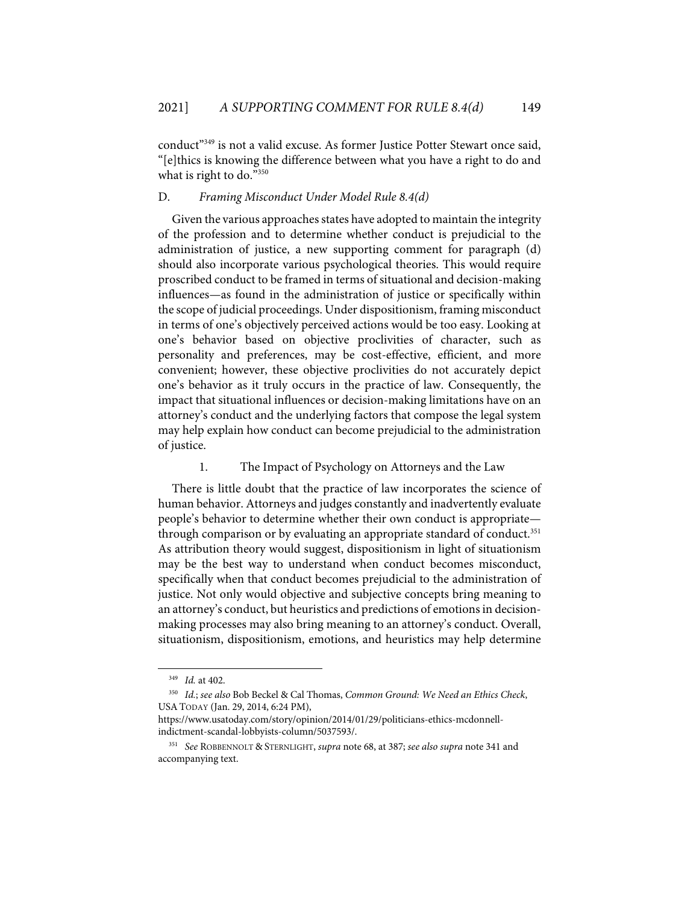conduct<sup>"349</sup> is not a valid excuse. As former Justice Potter Stewart once said, "[e]thics is knowing the difference between what you have a right to do and what is right to do."350

## D. *Framing Misconduct Under Model Rule 8.4(d)*

Given the various approaches states have adopted to maintain the integrity of the profession and to determine whether conduct is prejudicial to the administration of justice, a new supporting comment for paragraph (d) should also incorporate various psychological theories. This would require proscribed conduct to be framed in terms of situational and decision-making influences—as found in the administration of justice or specifically within the scope of judicial proceedings. Under dispositionism, framing misconduct in terms of one's objectively perceived actions would be too easy. Looking at one's behavior based on objective proclivities of character, such as personality and preferences, may be cost-effective, efficient, and more convenient; however, these objective proclivities do not accurately depict one's behavior as it truly occurs in the practice of law. Consequently, the impact that situational influences or decision-making limitations have on an attorney's conduct and the underlying factors that compose the legal system may help explain how conduct can become prejudicial to the administration of justice.

## 1. The Impact of Psychology on Attorneys and the Law

There is little doubt that the practice of law incorporates the science of human behavior. Attorneys and judges constantly and inadvertently evaluate people's behavior to determine whether their own conduct is appropriate through comparison or by evaluating an appropriate standard of conduct.<sup>351</sup> As attribution theory would suggest, dispositionism in light of situationism may be the best way to understand when conduct becomes misconduct, specifically when that conduct becomes prejudicial to the administration of justice. Not only would objective and subjective concepts bring meaning to an attorney's conduct, but heuristics and predictions of emotions in decisionmaking processes may also bring meaning to an attorney's conduct. Overall, situationism, dispositionism, emotions, and heuristics may help determine

<sup>349</sup> *Id.* at 402.

<sup>350</sup> *Id.*; *see also* Bob Beckel & Cal Thomas, *Common Ground: We Need an Ethics Check*, USATODAY (Jan. 29, 2014, 6:24 PM),

https://www.usatoday.com/story/opinion/2014/01/29/politicians-ethics-mcdonnellindictment-scandal-lobbyists-column/5037593/.

<sup>351</sup> *See* ROBBENNOLT & STERNLIGHT, *supra* note 68, at 387; *see also supra* note 341 and accompanying text.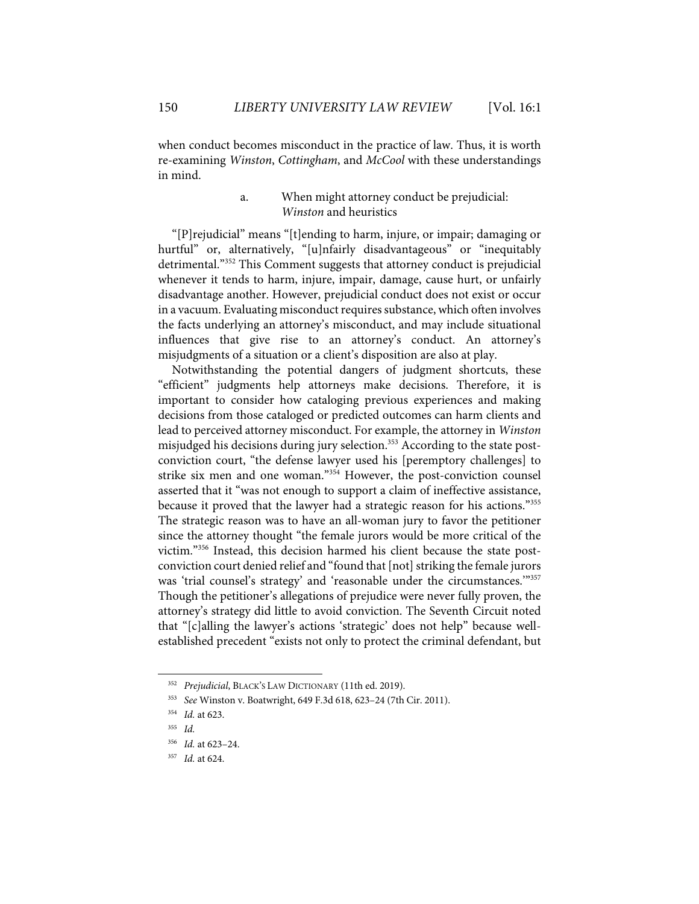when conduct becomes misconduct in the practice of law. Thus, it is worth re-examining *Winston*, *Cottingham*, and *McCool* with these understandings in mind.

# a. When might attorney conduct be prejudicial: *Winston* and heuristics

"[P]rejudicial" means "[t]ending to harm, injure, or impair; damaging or hurtful" or, alternatively, "[u]nfairly disadvantageous" or "inequitably detrimental."352 This Comment suggests that attorney conduct is prejudicial whenever it tends to harm, injure, impair, damage, cause hurt, or unfairly disadvantage another. However, prejudicial conduct does not exist or occur in a vacuum. Evaluating misconduct requires substance, which often involves the facts underlying an attorney's misconduct, and may include situational influences that give rise to an attorney's conduct. An attorney's misjudgments of a situation or a client's disposition are also at play.

Notwithstanding the potential dangers of judgment shortcuts, these "efficient" judgments help attorneys make decisions. Therefore, it is important to consider how cataloging previous experiences and making decisions from those cataloged or predicted outcomes can harm clients and lead to perceived attorney misconduct. For example, the attorney in *Winston* misjudged his decisions during jury selection.<sup>353</sup> According to the state postconviction court, "the defense lawyer used his [peremptory challenges] to strike six men and one woman."354 However, the post-conviction counsel asserted that it "was not enough to support a claim of ineffective assistance, because it proved that the lawyer had a strategic reason for his actions."355 The strategic reason was to have an all-woman jury to favor the petitioner since the attorney thought "the female jurors would be more critical of the victim."356 Instead, this decision harmed his client because the state postconviction court denied relief and "found that [not] striking the female jurors was 'trial counsel's strategy' and 'reasonable under the circumstances."<sup>357</sup> Though the petitioner's allegations of prejudice were never fully proven, the attorney's strategy did little to avoid conviction. The Seventh Circuit noted that "[c]alling the lawyer's actions 'strategic' does not help" because wellestablished precedent "exists not only to protect the criminal defendant, but

<sup>352</sup> *Prejudicial*, BLACK'S LAW DICTIONARY (11th ed. 2019).

<sup>353</sup> *See* Winston v. Boatwright, 649 F.3d 618, 623–24 (7th Cir. 2011).

<sup>354</sup> *Id.* at 623.

<sup>355</sup> *Id.*

<sup>356</sup> *Id.* at 623–24.

<sup>357</sup> *Id.* at 624.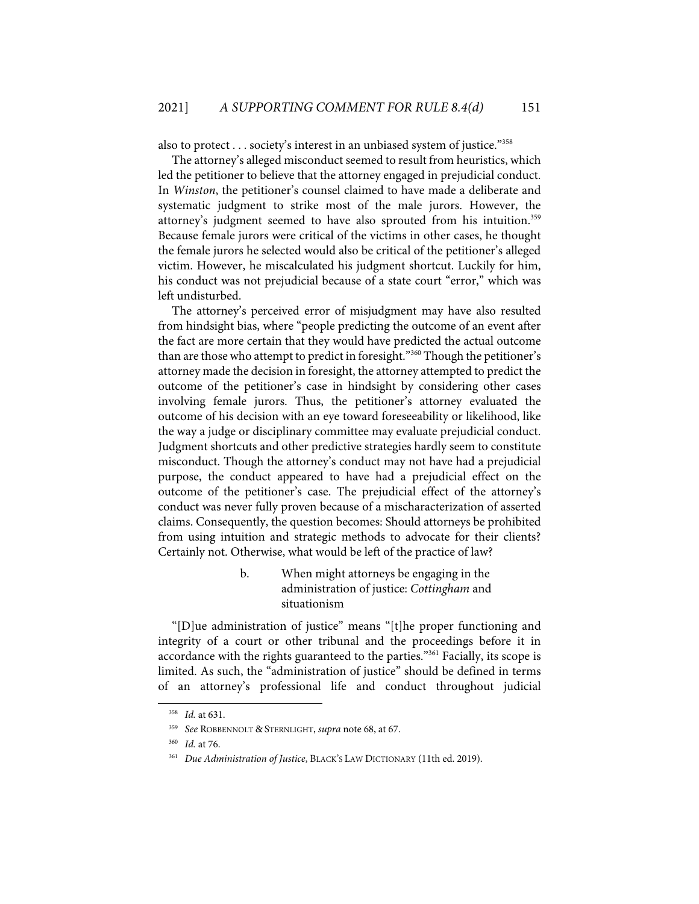also to protect . . . society's interest in an unbiased system of justice."358

The attorney's alleged misconduct seemed to result from heuristics, which led the petitioner to believe that the attorney engaged in prejudicial conduct. In *Winston*, the petitioner's counsel claimed to have made a deliberate and systematic judgment to strike most of the male jurors. However, the attorney's judgment seemed to have also sprouted from his intuition.<sup>359</sup> Because female jurors were critical of the victims in other cases, he thought the female jurors he selected would also be critical of the petitioner's alleged victim. However, he miscalculated his judgment shortcut. Luckily for him, his conduct was not prejudicial because of a state court "error," which was left undisturbed.

The attorney's perceived error of misjudgment may have also resulted from hindsight bias, where "people predicting the outcome of an event after the fact are more certain that they would have predicted the actual outcome than are those who attempt to predict in foresight."<sup>360</sup> Though the petitioner's attorney made the decision in foresight, the attorney attempted to predict the outcome of the petitioner's case in hindsight by considering other cases involving female jurors. Thus, the petitioner's attorney evaluated the outcome of his decision with an eye toward foreseeability or likelihood, like the way a judge or disciplinary committee may evaluate prejudicial conduct. Judgment shortcuts and other predictive strategies hardly seem to constitute misconduct. Though the attorney's conduct may not have had a prejudicial purpose, the conduct appeared to have had a prejudicial effect on the outcome of the petitioner's case. The prejudicial effect of the attorney's conduct was never fully proven because of a mischaracterization of asserted claims. Consequently, the question becomes: Should attorneys be prohibited from using intuition and strategic methods to advocate for their clients? Certainly not. Otherwise, what would be left of the practice of law?

# b. When might attorneys be engaging in the administration of justice: *Cottingham* and situationism

"[D]ue administration of justice" means "[t]he proper functioning and integrity of a court or other tribunal and the proceedings before it in accordance with the rights guaranteed to the parties."<sup>361</sup> Facially, its scope is limited. As such, the "administration of justice" should be defined in terms of an attorney's professional life and conduct throughout judicial

<sup>358</sup> *Id.* at 631.

<sup>359</sup> *See* ROBBENNOLT & STERNLIGHT, *supra* note 68, at 67.

<sup>360</sup> *Id.* at 76.

<sup>361</sup> *Due Administration of Justice*, BLACK'S LAW DICTIONARY (11th ed. 2019).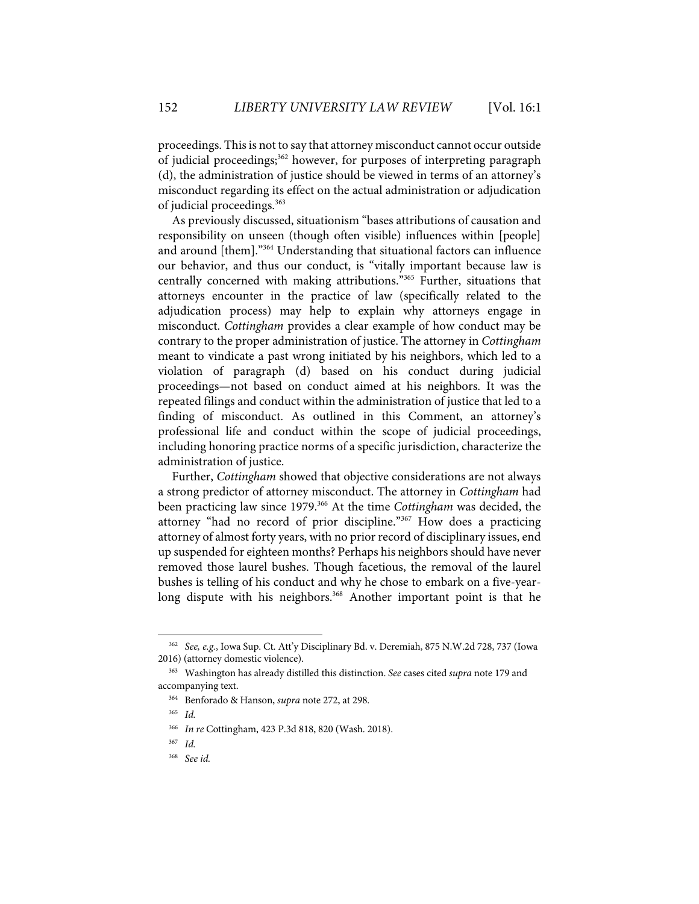proceedings. This is not to say that attorney misconduct cannot occur outside of judicial proceedings; <sup>362</sup> however, for purposes of interpreting paragraph (d), the administration of justice should be viewed in terms of an attorney's misconduct regarding its effect on the actual administration or adjudication of judicial proceedings.<sup>363</sup>

As previously discussed, situationism "bases attributions of causation and responsibility on unseen (though often visible) influences within [people] and around [them]."<sup>364</sup> Understanding that situational factors can influence our behavior, and thus our conduct, is "vitally important because law is centrally concerned with making attributions."365 Further, situations that attorneys encounter in the practice of law (specifically related to the adjudication process) may help to explain why attorneys engage in misconduct. *Cottingham* provides a clear example of how conduct may be contrary to the proper administration of justice. The attorney in *Cottingham* meant to vindicate a past wrong initiated by his neighbors, which led to a violation of paragraph (d) based on his conduct during judicial proceedings—not based on conduct aimed at his neighbors. It was the repeated filings and conduct within the administration of justice that led to a finding of misconduct. As outlined in this Comment, an attorney's professional life and conduct within the scope of judicial proceedings, including honoring practice norms of a specific jurisdiction, characterize the administration of justice.

Further, *Cottingham* showed that objective considerations are not always a strong predictor of attorney misconduct. The attorney in *Cottingham* had been practicing law since 1979.366 At the time *Cottingham* was decided, the attorney "had no record of prior discipline."367 How does a practicing attorney of almost forty years, with no prior record of disciplinary issues, end up suspended for eighteen months? Perhaps his neighbors should have never removed those laurel bushes. Though facetious, the removal of the laurel bushes is telling of his conduct and why he chose to embark on a five-yearlong dispute with his neighbors.<sup>368</sup> Another important point is that he

<sup>362</sup> *See, e.g.*, Iowa Sup. Ct. Att'y Disciplinary Bd. v. Deremiah, 875 N.W.2d 728, 737 (Iowa 2016) (attorney domestic violence).

<sup>363</sup> Washington has already distilled this distinction. *See* cases cited *supra* note 179 and accompanying text.

<sup>364</sup> Benforado & Hanson, *supra* note 272, at 298.

<sup>365</sup> *Id.* 366 *In re* Cottingham, 423 P.3d 818, 820 (Wash. 2018).

<sup>367</sup> *Id.*

<sup>368</sup> *See id.*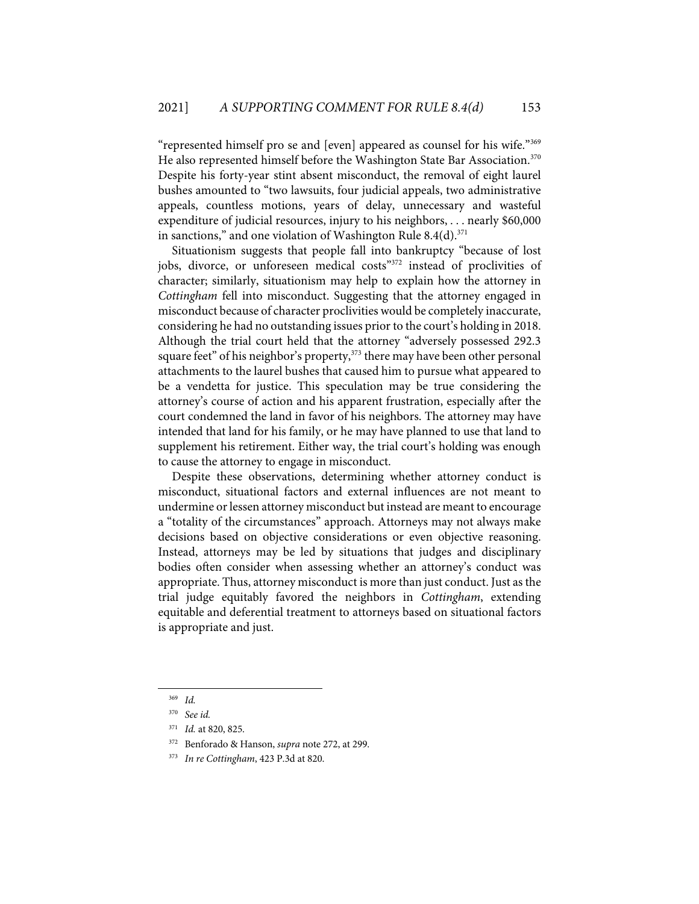"represented himself pro se and [even] appeared as counsel for his wife."369 He also represented himself before the Washington State Bar Association.<sup>370</sup> Despite his forty-year stint absent misconduct, the removal of eight laurel bushes amounted to "two lawsuits, four judicial appeals, two administrative appeals, countless motions, years of delay, unnecessary and wasteful expenditure of judicial resources, injury to his neighbors, . . . nearly \$60,000 in sanctions," and one violation of Washington Rule  $8.4(d).$ <sup>371</sup>

Situationism suggests that people fall into bankruptcy "because of lost jobs, divorce, or unforeseen medical costs"<sup>372</sup> instead of proclivities of character; similarly, situationism may help to explain how the attorney in *Cottingham* fell into misconduct. Suggesting that the attorney engaged in misconduct because of character proclivities would be completely inaccurate, considering he had no outstanding issues prior to the court's holding in 2018. Although the trial court held that the attorney "adversely possessed 292.3 square feet" of his neighbor's property,<sup>373</sup> there may have been other personal attachments to the laurel bushes that caused him to pursue what appeared to be a vendetta for justice. This speculation may be true considering the attorney's course of action and his apparent frustration, especially after the court condemned the land in favor of his neighbors. The attorney may have intended that land for his family, or he may have planned to use that land to supplement his retirement. Either way, the trial court's holding was enough to cause the attorney to engage in misconduct.

Despite these observations, determining whether attorney conduct is misconduct, situational factors and external influences are not meant to undermine or lessen attorney misconduct but instead are meant to encourage a "totality of the circumstances" approach. Attorneys may not always make decisions based on objective considerations or even objective reasoning. Instead, attorneys may be led by situations that judges and disciplinary bodies often consider when assessing whether an attorney's conduct was appropriate. Thus, attorney misconduct is more than just conduct. Just as the trial judge equitably favored the neighbors in *Cottingham*, extending equitable and deferential treatment to attorneys based on situational factors is appropriate and just.

<sup>369</sup> *Id.*

<sup>370</sup> *See id.*

<sup>371</sup> *Id.* at 820, 825.

<sup>372</sup> Benforado & Hanson, *supra* note 272, at 299.

<sup>373</sup> *In re Cottingham*, 423 P.3d at 820.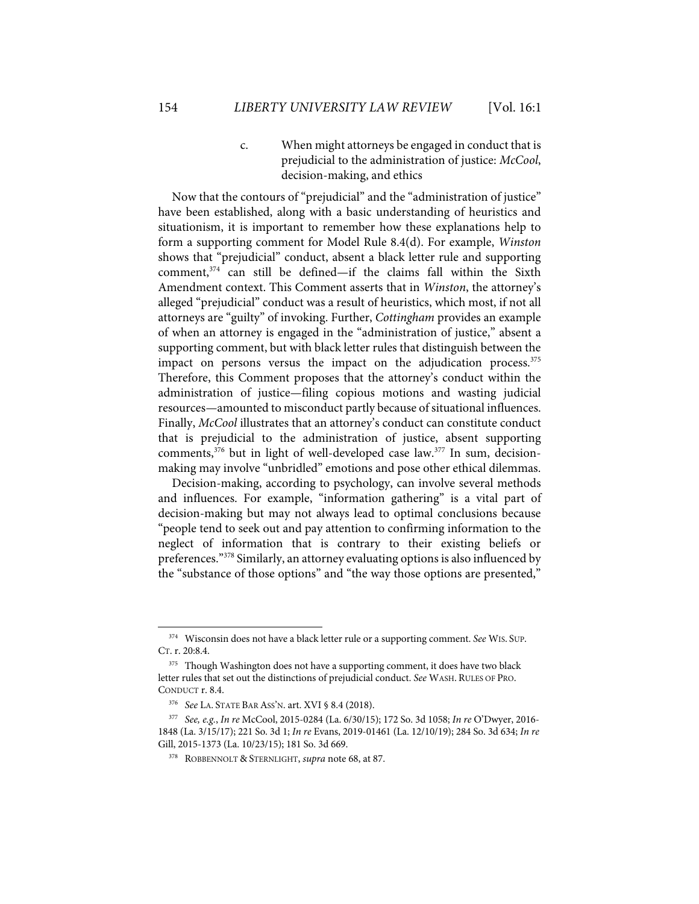c. When might attorneys be engaged in conduct that is prejudicial to the administration of justice: *McCool*, decision-making, and ethics

Now that the contours of "prejudicial" and the "administration of justice" have been established, along with a basic understanding of heuristics and situationism, it is important to remember how these explanations help to form a supporting comment for Model Rule 8.4(d). For example, *Winston* shows that "prejudicial" conduct, absent a black letter rule and supporting comment, $374$  can still be defined—if the claims fall within the Sixth Amendment context. This Comment asserts that in *Winston*, the attorney's alleged "prejudicial" conduct was a result of heuristics, which most, if not all attorneys are "guilty" of invoking. Further, *Cottingham* provides an example of when an attorney is engaged in the "administration of justice," absent a supporting comment, but with black letter rules that distinguish between the impact on persons versus the impact on the adjudication process. $375$ Therefore, this Comment proposes that the attorney's conduct within the administration of justice—filing copious motions and wasting judicial resources—amounted to misconduct partly because of situational influences. Finally, *McCool* illustrates that an attorney's conduct can constitute conduct that is prejudicial to the administration of justice, absent supporting comments, $376$  but in light of well-developed case law. $377$  In sum, decisionmaking may involve "unbridled" emotions and pose other ethical dilemmas.

Decision-making, according to psychology, can involve several methods and influences. For example, "information gathering" is a vital part of decision-making but may not always lead to optimal conclusions because "people tend to seek out and pay attention to confirming information to the neglect of information that is contrary to their existing beliefs or preferences."378 Similarly, an attorney evaluating options is also influenced by the "substance of those options" and "the way those options are presented,"

<sup>374</sup> Wisconsin does not have a black letter rule or a supporting comment. *See* WIS. SUP. CT. r. 20:8.4.

<sup>&</sup>lt;sup>375</sup> Though Washington does not have a supporting comment, it does have two black letter rules that set out the distinctions of prejudicial conduct. *See* WASH. RULES OF PRO. CONDUCT r. 8.4.

<sup>376</sup> *See* LA. STATE BAR ASS'N. art. XVI § 8.4 (2018).

<sup>377</sup> *See, e.g.*, *In re* McCool, 2015-0284 (La. 6/30/15); 172 So. 3d 1058; *In re* O'Dwyer, 2016- 1848 (La. 3/15/17); 221 So. 3d 1; *In re* Evans, 2019-01461 (La. 12/10/19); 284 So. 3d 634; *In re* Gill, 2015-1373 (La. 10/23/15); 181 So. 3d 669.

<sup>378</sup> ROBBENNOLT & STERNLIGHT, *supra* note 68, at 87.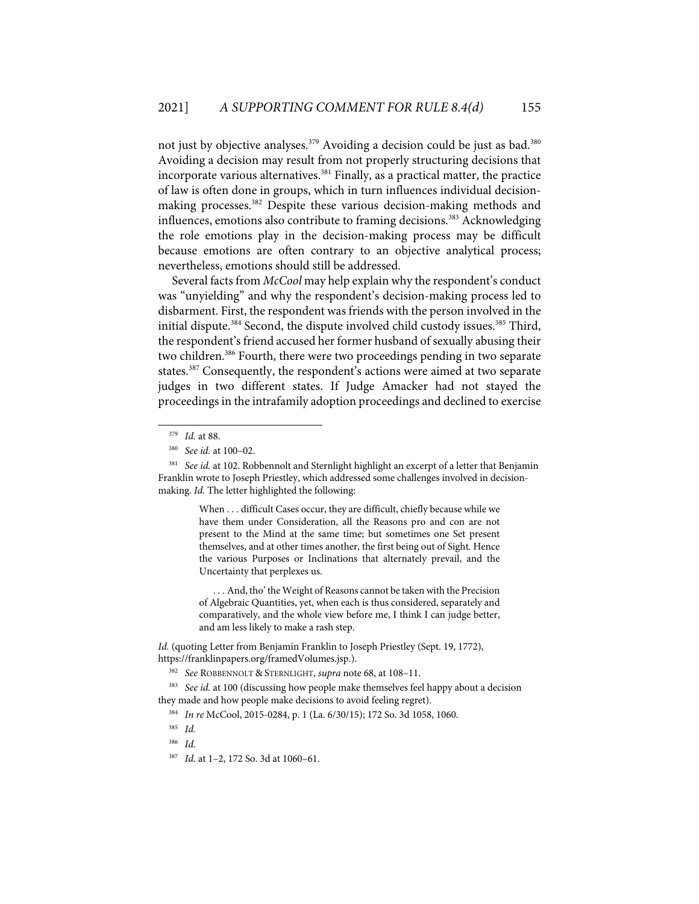not just by objective analyses.<sup>379</sup> Avoiding a decision could be just as bad.<sup>380</sup> Avoiding a decision may result from not properly structuring decisions that incorporate various alternatives.<sup>381</sup> Finally, as a practical matter, the practice of law is often done in groups, which in turn influences individual decisionmaking processes.<sup>382</sup> Despite these various decision-making methods and influences, emotions also contribute to framing decisions.<sup>383</sup> Acknowledging the role emotions play in the decision-making process may be difficult because emotions are often contrary to an objective analytical process; nevertheless, emotions should still be addressed.

Several facts from *McCool* may help explain why the respondent's conduct was "unyielding" and why the respondent's decision-making process led to disbarment. First, the respondent was friends with the person involved in the initial dispute.<sup>384</sup> Second, the dispute involved child custody issues.<sup>385</sup> Third, the respondent's friend accused her former husband of sexually abusing their two children.<sup>386</sup> Fourth, there were two proceedings pending in two separate states.<sup>387</sup> Consequently, the respondent's actions were aimed at two separate judges in two different states. If Judge Amacker had not stayed the proceedings in the intrafamily adoption proceedings and declined to exercise

When . . . difficult Cases occur, they are difficult, chiefly because while we have them under Consideration, all the Reasons pro and con are not present to the Mind at the same time; but sometimes one Set present themselves, and at other times another, the first being out of Sight. Hence the various Purposes or Inclinations that alternately prevail, and the Uncertainty that perplexes us.

. . . And, tho' the Weight of Reasons cannot be taken with the Precision of Algebraic Quantities, yet, when each is thus considered, separately and comparatively, and the whole view before me, I think I can judge better, and am less likely to make a rash step.

*Id.* (quoting Letter from Benjamin Franklin to Joseph Priestley (Sept. 19, 1772), https://franklinpapers.org/framedVolumes.jsp.).

<sup>379</sup> *Id.* at 88.

<sup>380</sup> *See id.* at 100–02.

<sup>&</sup>lt;sup>381</sup> See id. at 102. Robbennolt and Sternlight highlight an excerpt of a letter that Benjamin Franklin wrote to Joseph Priestley, which addressed some challenges involved in decisionmaking. *Id.* The letter highlighted the following:

<sup>382</sup> *See* ROBBENNOLT & STERNLIGHT, *supra* note 68, at 108–11.

<sup>&</sup>lt;sup>383</sup> *See id.* at 100 (discussing how people make themselves feel happy about a decision they made and how people make decisions to avoid feeling regret).

<sup>384</sup> *In re* McCool, 2015-0284, p. 1 (La. 6/30/15); 172 So. 3d 1058, 1060.

<sup>385</sup> *Id.*

<sup>386</sup> *Id.*

<sup>387</sup> *Id.* at 1–2, 172 So. 3d at 1060–61.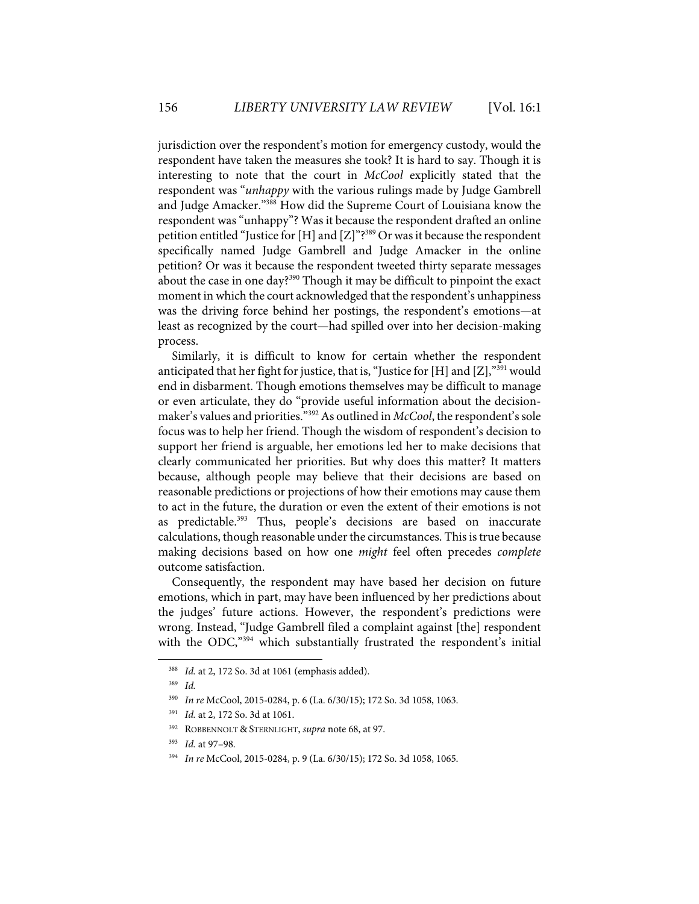jurisdiction over the respondent's motion for emergency custody, would the respondent have taken the measures she took? It is hard to say. Though it is interesting to note that the court in *McCool* explicitly stated that the respondent was "*unhappy* with the various rulings made by Judge Gambrell and Judge Amacker."<sup>388</sup> How did the Supreme Court of Louisiana know the respondent was "unhappy"? Was it because the respondent drafted an online petition entitled "Justice for [H] and [Z]"?<sup>389</sup> Or was it because the respondent specifically named Judge Gambrell and Judge Amacker in the online petition? Or was it because the respondent tweeted thirty separate messages about the case in one day?<sup>390</sup> Though it may be difficult to pinpoint the exact moment in which the court acknowledged that the respondent's unhappiness was the driving force behind her postings, the respondent's emotions—at least as recognized by the court—had spilled over into her decision-making process.

Similarly, it is difficult to know for certain whether the respondent anticipated that her fight for justice, that is, "Justice for [H] and  $[Z]$ ,"<sup>391</sup> would end in disbarment. Though emotions themselves may be difficult to manage or even articulate, they do "provide useful information about the decisionmaker's values and priorities."392As outlined in *McCool*, the respondent's sole focus was to help her friend. Though the wisdom of respondent's decision to support her friend is arguable, her emotions led her to make decisions that clearly communicated her priorities. But why does this matter? It matters because, although people may believe that their decisions are based on reasonable predictions or projections of how their emotions may cause them to act in the future, the duration or even the extent of their emotions is not as predictable.<sup>393</sup> Thus, people's decisions are based on inaccurate calculations, though reasonable under the circumstances. This is true because making decisions based on how one *might* feel often precedes *complete* outcome satisfaction.

Consequently, the respondent may have based her decision on future emotions, which in part, may have been influenced by her predictions about the judges' future actions. However, the respondent's predictions were wrong. Instead, "Judge Gambrell filed a complaint against [the] respondent with the ODC,<sup>"394</sup> which substantially frustrated the respondent's initial

<sup>388</sup> *Id.* at 2, 172 So. 3d at 1061 (emphasis added).

<sup>389</sup> *Id.*

<sup>390</sup> *In re* McCool, 2015-0284, p. 6 (La. 6/30/15); 172 So. 3d 1058, 1063.

<sup>391</sup> *Id.* at 2, 172 So. 3d at 1061.

<sup>392</sup> ROBBENNOLT & STERNLIGHT, *supra* note 68, at 97.

<sup>393</sup> *Id.* at 97–98.

<sup>394</sup> *In re* McCool, 2015-0284, p. 9 (La. 6/30/15); 172 So. 3d 1058, 1065.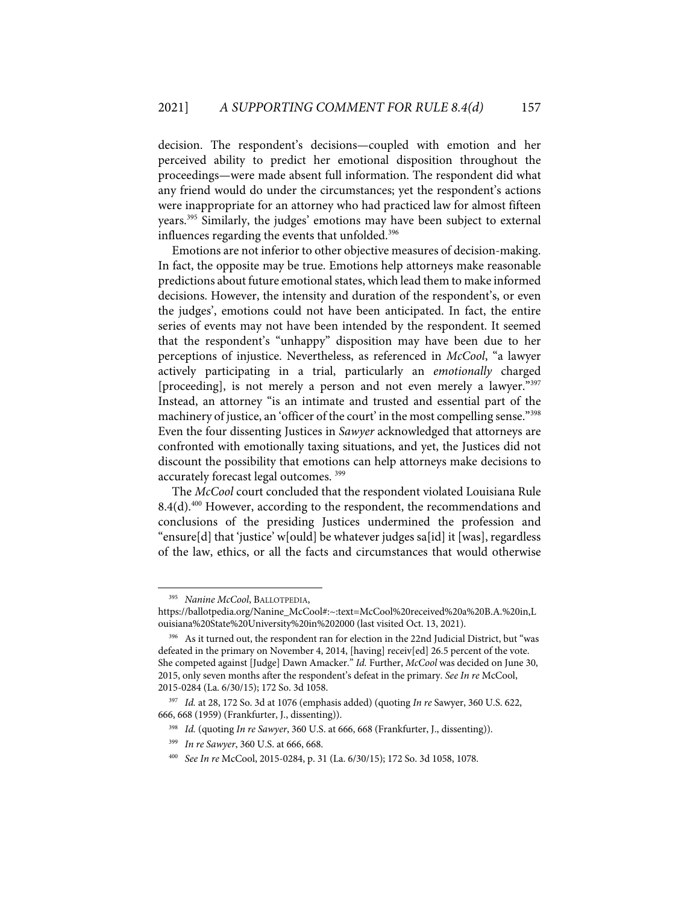decision. The respondent's decisions—coupled with emotion and her perceived ability to predict her emotional disposition throughout the proceedings—were made absent full information. The respondent did what any friend would do under the circumstances; yet the respondent's actions were inappropriate for an attorney who had practiced law for almost fifteen years.395 Similarly, the judges' emotions may have been subject to external influences regarding the events that unfolded.<sup>396</sup>

Emotions are not inferior to other objective measures of decision-making. In fact, the opposite may be true. Emotions help attorneys make reasonable predictions about future emotional states, which lead them to make informed decisions. However, the intensity and duration of the respondent's, or even the judges', emotions could not have been anticipated. In fact, the entire series of events may not have been intended by the respondent. It seemed that the respondent's "unhappy" disposition may have been due to her perceptions of injustice. Nevertheless, as referenced in *McCool*, "a lawyer actively participating in a trial, particularly an *emotionally* charged [proceeding], is not merely a person and not even merely a lawyer."397 Instead, an attorney "is an intimate and trusted and essential part of the machinery of justice, an 'officer of the court' in the most compelling sense."<sup>398</sup> Even the four dissenting Justices in *Sawyer* acknowledged that attorneys are confronted with emotionally taxing situations, and yet, the Justices did not discount the possibility that emotions can help attorneys make decisions to accurately forecast legal outcomes.<sup>399</sup>

The *McCool* court concluded that the respondent violated Louisiana Rule  $8.4(d)$ <sup>400</sup> However, according to the respondent, the recommendations and conclusions of the presiding Justices undermined the profession and "ensure[d] that 'justice' w[ould] be whatever judges sa[id] it [was], regardless of the law, ethics, or all the facts and circumstances that would otherwise

400 *See In re* McCool, 2015-0284, p. 31 (La. 6/30/15); 172 So. 3d 1058, 1078.

<sup>395</sup> *Nanine McCool*, BALLOTPEDIA,

https://ballotpedia.org/Nanine\_McCool#:~:text=McCool%20received%20a%20B.A.%20in,L ouisiana%20State%20University%20in%202000 (last visited Oct. 13, 2021).

<sup>396</sup> As it turned out, the respondent ran for election in the 22nd Judicial District, but "was defeated in the primary on November 4, 2014, [having] receiv[ed] 26.5 percent of the vote. She competed against [Judge] Dawn Amacker." *Id.* Further, *McCool* was decided on June 30, 2015, only seven months after the respondent's defeat in the primary. *See In re* McCool, 2015-0284 (La. 6/30/15); 172 So. 3d 1058.

<sup>397</sup> *Id.* at 28, 172 So. 3d at 1076 (emphasis added) (quoting *In re* Sawyer, 360 U.S. 622, 666, 668 (1959) (Frankfurter, J., dissenting)).

<sup>398</sup> *Id.* (quoting *In re Sawyer*, 360 U.S. at 666, 668 (Frankfurter, J., dissenting)).

<sup>399</sup> *In re Sawyer*, 360 U.S. at 666, 668.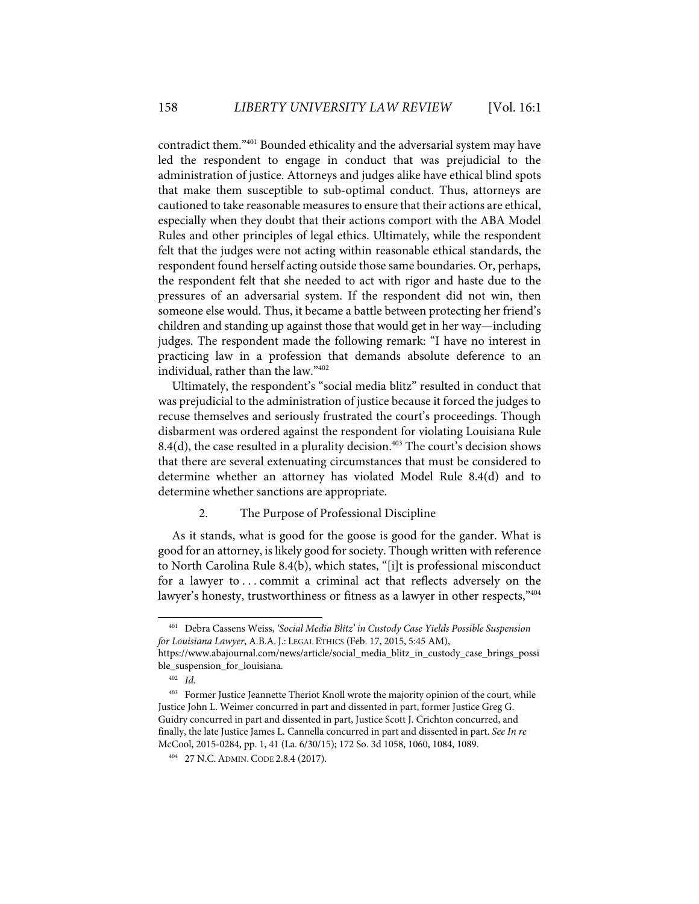contradict them."401 Bounded ethicality and the adversarial system may have led the respondent to engage in conduct that was prejudicial to the administration of justice. Attorneys and judges alike have ethical blind spots that make them susceptible to sub-optimal conduct. Thus, attorneys are cautioned to take reasonable measures to ensure that their actions are ethical, especially when they doubt that their actions comport with the ABA Model Rules and other principles of legal ethics. Ultimately, while the respondent felt that the judges were not acting within reasonable ethical standards, the respondent found herself acting outside those same boundaries. Or, perhaps, the respondent felt that she needed to act with rigor and haste due to the pressures of an adversarial system. If the respondent did not win, then someone else would. Thus, it became a battle between protecting her friend's children and standing up against those that would get in her way—including judges. The respondent made the following remark: "I have no interest in practicing law in a profession that demands absolute deference to an individual, rather than the law."402

Ultimately, the respondent's "social media blitz" resulted in conduct that was prejudicial to the administration of justice because it forced the judges to recuse themselves and seriously frustrated the court's proceedings. Though disbarment was ordered against the respondent for violating Louisiana Rule 8.4(d), the case resulted in a plurality decision.<sup>403</sup> The court's decision shows that there are several extenuating circumstances that must be considered to determine whether an attorney has violated Model Rule 8.4(d) and to determine whether sanctions are appropriate.

## 2. The Purpose of Professional Discipline

As it stands, what is good for the goose is good for the gander. What is good for an attorney, is likely good for society. Though written with reference to North Carolina Rule 8.4(b), which states, "[i]t is professional misconduct for a lawyer to . . . commit a criminal act that reflects adversely on the lawyer's honesty, trustworthiness or fitness as a lawyer in other respects,"404

<sup>401</sup> Debra Cassens Weiss, *'Social Media Blitz' in Custody Case Yields Possible Suspension for Louisiana Lawyer*, A.B.A. J.: LEGAL ETHICS (Feb. 17, 2015, 5:45 AM),

https://www.abajournal.com/news/article/social\_media\_blitz\_in\_custody\_case\_brings\_possi ble\_suspension\_for\_louisiana.

<sup>402</sup> *Id.* 

<sup>&</sup>lt;sup>403</sup> Former Justice Jeannette Theriot Knoll wrote the majority opinion of the court, while Justice John L. Weimer concurred in part and dissented in part, former Justice Greg G. Guidry concurred in part and dissented in part, Justice Scott J. Crichton concurred, and finally, the late Justice James L. Cannella concurred in part and dissented in part. *See In re* McCool, 2015-0284, pp. 1, 41 (La. 6/30/15); 172 So. 3d 1058, 1060, 1084, 1089.

<sup>404 27</sup> N.C.ADMIN. CODE 2.8.4 (2017).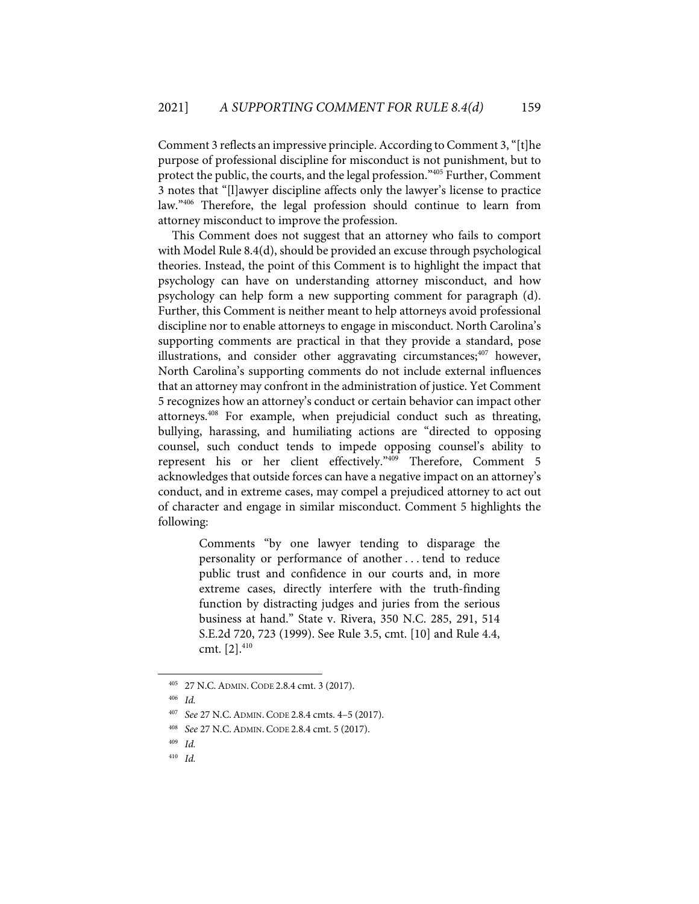Comment 3 reflects an impressive principle. According to Comment 3, "[t]he purpose of professional discipline for misconduct is not punishment, but to protect the public, the courts, and the legal profession."405 Further, Comment 3 notes that "[l]awyer discipline affects only the lawyer's license to practice law."406 Therefore, the legal profession should continue to learn from attorney misconduct to improve the profession.

This Comment does not suggest that an attorney who fails to comport with Model Rule 8.4(d), should be provided an excuse through psychological theories. Instead, the point of this Comment is to highlight the impact that psychology can have on understanding attorney misconduct, and how psychology can help form a new supporting comment for paragraph (d). Further, this Comment is neither meant to help attorneys avoid professional discipline nor to enable attorneys to engage in misconduct. North Carolina's supporting comments are practical in that they provide a standard, pose illustrations, and consider other aggravating circumstances;  $407$  however, North Carolina's supporting comments do not include external influences that an attorney may confront in the administration of justice. Yet Comment 5 recognizes how an attorney's conduct or certain behavior can impact other attorneys.408 For example, when prejudicial conduct such as threating, bullying, harassing, and humiliating actions are "directed to opposing counsel, such conduct tends to impede opposing counsel's ability to represent his or her client effectively."409 Therefore, Comment 5 acknowledges that outside forces can have a negative impact on an attorney's conduct, and in extreme cases, may compel a prejudiced attorney to act out of character and engage in similar misconduct. Comment 5 highlights the following:

> Comments "by one lawyer tending to disparage the personality or performance of another . . . tend to reduce public trust and confidence in our courts and, in more extreme cases, directly interfere with the truth-finding function by distracting judges and juries from the serious business at hand." State v. Rivera, 350 N.C. 285, 291, 514 S.E.2d 720, 723 (1999). See Rule 3.5, cmt. [10] and Rule 4.4, cmt. [2].<sup>410</sup>

<sup>405 27</sup> N.C.ADMIN. CODE 2.8.4 cmt. 3 (2017).

<sup>406</sup> *Id.* 

<sup>407</sup> *See* 27 N.C.ADMIN. CODE 2.8.4 cmts. 4–5 (2017).

<sup>408</sup> *See* 27 N.C.ADMIN. CODE 2.8.4 cmt. 5 (2017).

<sup>409</sup> *Id.*

<sup>410</sup> *Id.*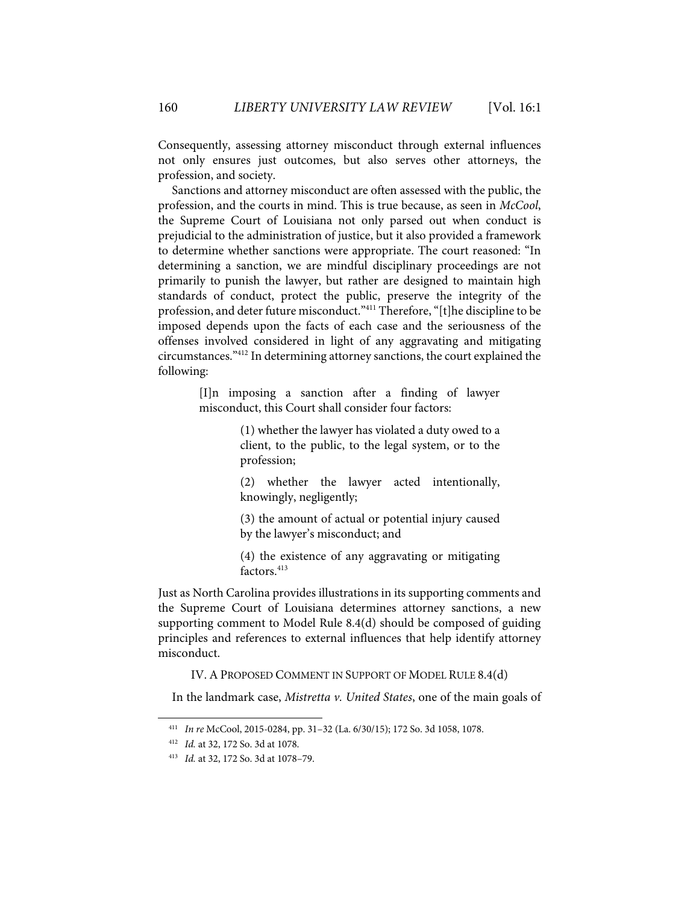Consequently, assessing attorney misconduct through external influences not only ensures just outcomes, but also serves other attorneys, the profession, and society.

Sanctions and attorney misconduct are often assessed with the public, the profession, and the courts in mind. This is true because, as seen in *McCool*, the Supreme Court of Louisiana not only parsed out when conduct is prejudicial to the administration of justice, but it also provided a framework to determine whether sanctions were appropriate. The court reasoned: "In determining a sanction, we are mindful disciplinary proceedings are not primarily to punish the lawyer, but rather are designed to maintain high standards of conduct, protect the public, preserve the integrity of the profession, and deter future misconduct."411 Therefore, "[t]he discipline to be imposed depends upon the facts of each case and the seriousness of the offenses involved considered in light of any aggravating and mitigating circumstances."412 In determining attorney sanctions, the court explained the following:

> [I]n imposing a sanction after a finding of lawyer misconduct, this Court shall consider four factors:

> > (1) whether the lawyer has violated a duty owed to a client, to the public, to the legal system, or to the profession;

> > (2) whether the lawyer acted intentionally, knowingly, negligently;

> > (3) the amount of actual or potential injury caused by the lawyer's misconduct; and

> > (4) the existence of any aggravating or mitigating factors.<sup>413</sup>

Just as North Carolina provides illustrations in its supporting comments and the Supreme Court of Louisiana determines attorney sanctions, a new supporting comment to Model Rule 8.4(d) should be composed of guiding principles and references to external influences that help identify attorney misconduct.

IV. A PROPOSED COMMENT IN SUPPORT OF MODEL RULE 8.4(d)

In the landmark case, *Mistretta v. United States*, one of the main goals of

<sup>411</sup> *In re* McCool, 2015-0284, pp. 31–32 (La. 6/30/15); 172 So. 3d 1058, 1078.

<sup>412</sup> *Id.* at 32, 172 So. 3d at 1078.

<sup>413</sup> *Id.* at 32, 172 So. 3d at 1078–79.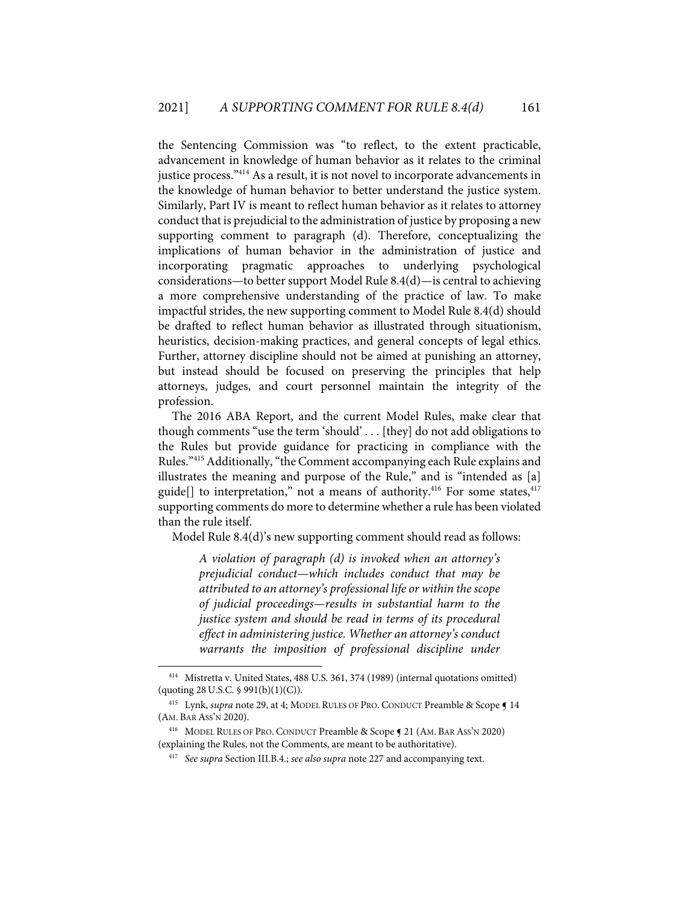the Sentencing Commission was "to reflect, to the extent practicable, advancement in knowledge of human behavior as it relates to the criminal justice process."414 As a result, it is not novel to incorporate advancements in the knowledge of human behavior to better understand the justice system. Similarly, Part IV is meant to reflect human behavior as it relates to attorney conduct that is prejudicial to the administration of justice by proposing a new supporting comment to paragraph (d). Therefore, conceptualizing the implications of human behavior in the administration of justice and incorporating pragmatic approaches to underlying psychological considerations—to better support Model Rule 8.4(d)—is central to achieving a more comprehensive understanding of the practice of law. To make impactful strides, the new supporting comment to Model Rule 8.4(d) should be drafted to reflect human behavior as illustrated through situationism, heuristics, decision-making practices, and general concepts of legal ethics. Further, attorney discipline should not be aimed at punishing an attorney, but instead should be focused on preserving the principles that help attorneys, judges, and court personnel maintain the integrity of the profession.

The 2016 ABA Report, and the current Model Rules, make clear that though comments "use the term 'should' . . . [they] do not add obligations to the Rules but provide guidance for practicing in compliance with the Rules."415 Additionally, "the Comment accompanying each Rule explains and illustrates the meaning and purpose of the Rule," and is "intended as [a] guide<sup>[]</sup> to interpretation," not a means of authority.<sup>416</sup> For some states,<sup>417</sup> supporting comments do more to determine whether a rule has been violated than the rule itself.

Model Rule 8.4(d)'s new supporting comment should read as follows:

*A violation of paragraph (d) is invoked when an attorney's prejudicial conduct—which includes conduct that may be attributed to an attorney's professional life or within the scope of judicial proceedings—results in substantial harm to the justice system and should be read in terms of its procedural effect in administering justice. Whether an attorney's conduct warrants the imposition of professional discipline under* 

<sup>414</sup> Mistretta v. United States, 488 U.S. 361, 374 (1989) (internal quotations omitted)  $($ quoting 28 U.S.C. § 991 $(b)(1)(C)$ .

<sup>&</sup>lt;sup>415</sup> Lynk, *supra* note 29, at 4; MODEL RULES OF PRO. CONDUCT Preamble & Scope **[14**] (AM. BAR ASS'N 2020).

<sup>416</sup> MODEL RULES OF PRO. CONDUCT Preamble & Scope ¶ 21 (AM. BAR ASS'N 2020) (explaining the Rules, not the Comments, are meant to be authoritative).

<sup>417</sup> *See supra* Section III.B.4.; *see also supra* note 227 and accompanying text.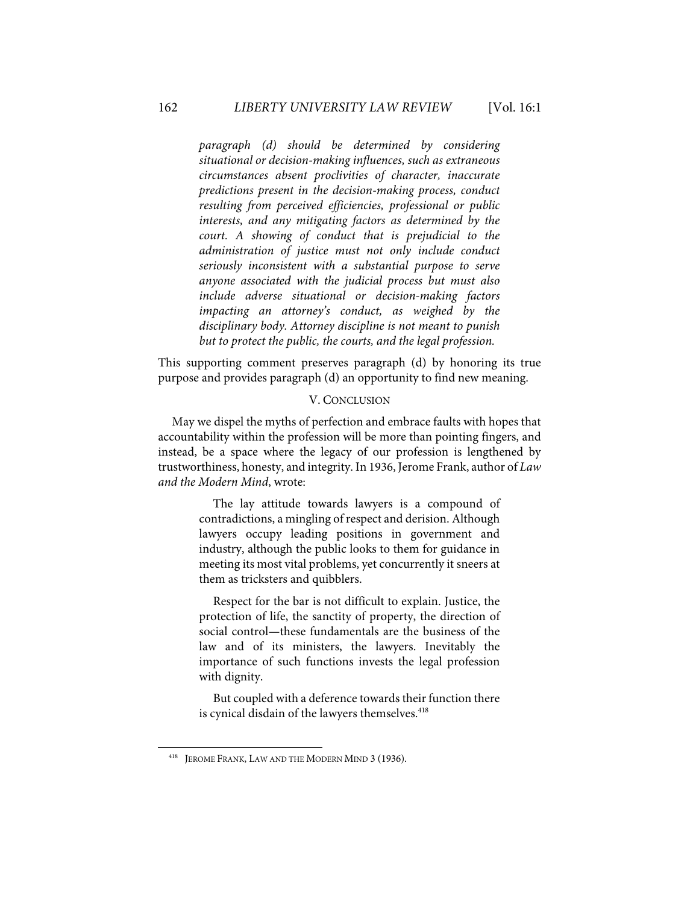*paragraph (d) should be determined by considering situational or decision-making influences, such as extraneous circumstances absent proclivities of character, inaccurate predictions present in the decision-making process, conduct resulting from perceived efficiencies, professional or public interests, and any mitigating factors as determined by the court. A showing of conduct that is prejudicial to the administration of justice must not only include conduct seriously inconsistent with a substantial purpose to serve anyone associated with the judicial process but must also include adverse situational or decision-making factors impacting an attorney's conduct, as weighed by the disciplinary body. Attorney discipline is not meant to punish but to protect the public, the courts, and the legal profession.* 

This supporting comment preserves paragraph (d) by honoring its true purpose and provides paragraph (d) an opportunity to find new meaning.

#### V. CONCLUSION

May we dispel the myths of perfection and embrace faults with hopes that accountability within the profession will be more than pointing fingers, and instead, be a space where the legacy of our profession is lengthened by trustworthiness, honesty, and integrity. In 1936, Jerome Frank, author of *Law and the Modern Mind*, wrote:

> The lay attitude towards lawyers is a compound of contradictions, a mingling of respect and derision. Although lawyers occupy leading positions in government and industry, although the public looks to them for guidance in meeting its most vital problems, yet concurrently it sneers at them as tricksters and quibblers.

> Respect for the bar is not difficult to explain. Justice, the protection of life, the sanctity of property, the direction of social control—these fundamentals are the business of the law and of its ministers, the lawyers. Inevitably the importance of such functions invests the legal profession with dignity.

> But coupled with a deference towards their function there is cynical disdain of the lawyers themselves.<sup>418</sup>

<sup>&</sup>lt;sup>418</sup> JEROME FRANK, LAW AND THE MODERN MIND 3 (1936).